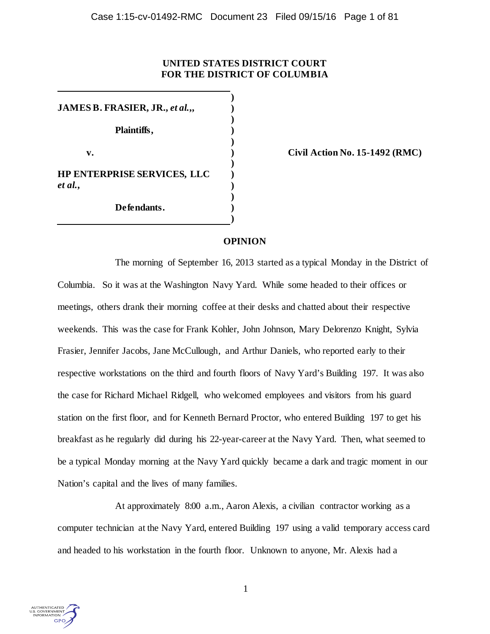# **UNITED STATES DISTRICT COURT FOR THE DISTRICT OF COLUMBIA**

**) JAMES B. FRASIER, JR.,** *et al.***,, ) ) Plaintiffs, ) ) v. ) Civil Action No. 15-1492 (RMC) ) HP ENTERPRISE SERVICES, LLC )** *et al.***, ) ) Defendants. )**

## **OPINION**

**)**

The morning of September 16, 2013 started as a typical Monday in the District of Columbia. So it was at the Washington Navy Yard. While some headed to their offices or meetings, others drank their morning coffee at their desks and chatted about their respective weekends. This was the case for Frank Kohler, John Johnson, Mary Delorenzo Knight, Sylvia Frasier, Jennifer Jacobs, Jane McCullough, and Arthur Daniels, who reported early to their respective workstations on the third and fourth floors of Navy Yard's Building 197. It was also the case for Richard Michael Ridgell, who welcomed employees and visitors from his guard station on the first floor, and for Kenneth Bernard Proctor, who entered Building 197 to get his breakfast as he regularly did during his 22-year-career at the Navy Yard. Then, what seemed to be a typical Monday morning at the Navy Yard quickly became a dark and tragic moment in our Nation's capital and the lives of many families.

At approximately 8:00 a.m., Aaron Alexis, a civilian contractor working as a computer technician at the Navy Yard, entered Building 197 using a valid temporary access card and headed to his workstation in the fourth floor. Unknown to anyone, Mr. Alexis had a

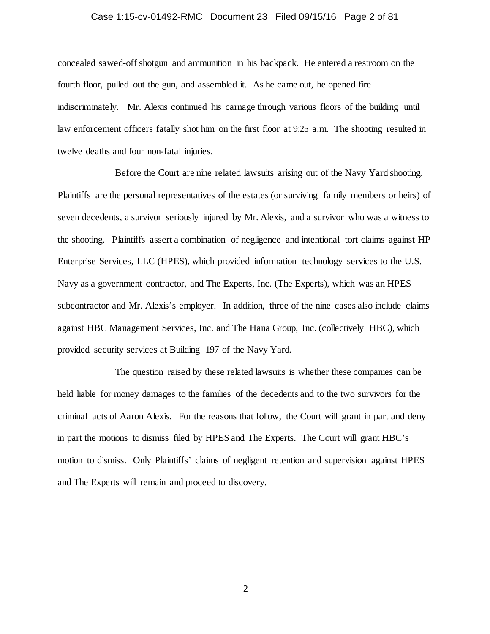## Case 1:15-cv-01492-RMC Document 23 Filed 09/15/16 Page 2 of 81

concealed sawed-off shotgun and ammunition in his backpack. He entered a restroom on the fourth floor, pulled out the gun, and assembled it. As he came out, he opened fire indiscriminately. Mr. Alexis continued his carnage through various floors of the building until law enforcement officers fatally shot him on the first floor at 9:25 a.m. The shooting resulted in twelve deaths and four non-fatal injuries.

Before the Court are nine related lawsuits arising out of the Navy Yard shooting. Plaintiffs are the personal representatives of the estates (or surviving family members or heirs) of seven decedents, a survivor seriously injured by Mr. Alexis, and a survivor who was a witness to the shooting. Plaintiffs assert a combination of negligence and intentional tort claims against HP Enterprise Services, LLC (HPES), which provided information technology services to the U.S. Navy as a government contractor, and The Experts, Inc. (The Experts), which was an HPES subcontractor and Mr. Alexis's employer. In addition, three of the nine cases also include claims against HBC Management Services, Inc. and The Hana Group, Inc. (collectively HBC), which provided security services at Building 197 of the Navy Yard.

The question raised by these related lawsuits is whether these companies can be held liable for money damages to the families of the decedents and to the two survivors for the criminal acts of Aaron Alexis. For the reasons that follow, the Court will grant in part and deny in part the motions to dismiss filed by HPES and The Experts. The Court will grant HBC's motion to dismiss. Only Plaintiffs' claims of negligent retention and supervision against HPES and The Experts will remain and proceed to discovery.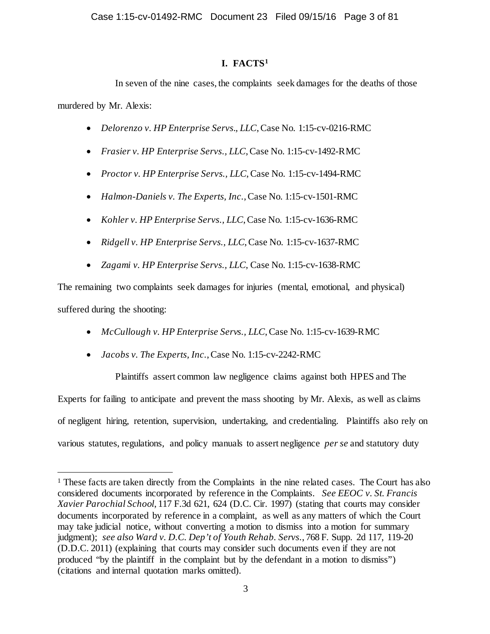# **I. FACTS[1](#page-2-0)**

In seven of the nine cases, the complaints seek damages for the deaths of those murdered by Mr. Alexis:

- *Delorenzo v. HP Enterprise Servs., LLC*, Case No. 1:15-cv-0216-RMC
- *Frasier v. HP Enterprise Servs., LLC*, Case No. 1:15-cv-1492-RMC
- *Proctor v. HP Enterprise Servs., LLC*, Case No. 1:15-cv-1494-RMC
- *Halmon-Daniels v. The Experts, Inc.*, Case No. 1:15-cv-1501-RMC
- *Kohler v. HP Enterprise Servs., LLC*, Case No. 1:15-cv-1636-RMC
- *Ridgell v. HP Enterprise Servs., LLC*, Case No. 1:15-cv-1637-RMC
- *Zagami v. HP Enterprise Servs., LLC*, Case No. 1:15-cv-1638-RMC

The remaining two complaints seek damages for injuries (mental, emotional, and physical) suffered during the shooting:

- *McCullough v. HP Enterprise Servs., LLC*, Case No. 1:15-cv-1639-RMC
- *Jacobs v. The Experts, Inc.*, Case No. 1:15-cv-2242-RMC

Plaintiffs assert common law negligence claims against both HPES and The Experts for failing to anticipate and prevent the mass shooting by Mr. Alexis, as well as claims of negligent hiring, retention, supervision, undertaking, and credentialing. Plaintiffs also rely on various statutes, regulations, and policy manuals to assert negligence *per se* and statutory duty

<span id="page-2-0"></span><sup>&</sup>lt;sup>1</sup> These facts are taken directly from the Complaints in the nine related cases. The Court has also considered documents incorporated by reference in the Complaints. *See EEOC v. St. Francis Xavier Parochial School*, 117 F.3d 621, 624 (D.C. Cir. 1997) (stating that courts may consider documents incorporated by reference in a complaint, as well as any matters of which the Court may take judicial notice, without converting a motion to dismiss into a motion for summary judgment); *see also Ward v. D.C. Dep't of Youth Rehab. Servs.*, 768 F. Supp. 2d 117, 119-20 (D.D.C. 2011) (explaining that courts may consider such documents even if they are not produced "by the plaintiff in the complaint but by the defendant in a motion to dismiss") (citations and internal quotation marks omitted).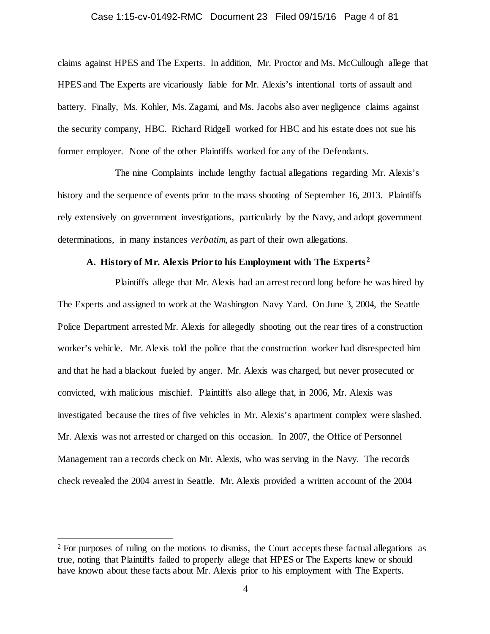#### Case 1:15-cv-01492-RMC Document 23 Filed 09/15/16 Page 4 of 81

claims against HPES and The Experts. In addition, Mr. Proctor and Ms. McCullough allege that HPES and The Experts are vicariously liable for Mr. Alexis's intentional torts of assault and battery. Finally, Ms. Kohler, Ms. Zagami, and Ms. Jacobs also aver negligence claims against the security company, HBC. Richard Ridgell worked for HBC and his estate does not sue his former employer. None of the other Plaintiffs worked for any of the Defendants.

The nine Complaints include lengthy factual allegations regarding Mr. Alexis's history and the sequence of events prior to the mass shooting of September 16, 2013. Plaintiffs rely extensively on government investigations, particularly by the Navy, and adopt government determinations, in many instances *verbatim*, as part of their own allegations.

## **A. History of Mr. Alexis Prior to his Employment with The Experts [2](#page-3-0)**

Plaintiffs allege that Mr. Alexis had an arrest record long before he was hired by The Experts and assigned to work at the Washington Navy Yard. On June 3, 2004, the Seattle Police Department arrested Mr. Alexis for allegedly shooting out the rear tires of a construction worker's vehicle. Mr. Alexis told the police that the construction worker had disrespected him and that he had a blackout fueled by anger. Mr. Alexis was charged, but never prosecuted or convicted, with malicious mischief. Plaintiffs also allege that, in 2006, Mr. Alexis was investigated because the tires of five vehicles in Mr. Alexis's apartment complex were slashed. Mr. Alexis was not arrested or charged on this occasion. In 2007, the Office of Personnel Management ran a records check on Mr. Alexis, who was serving in the Navy. The records check revealed the 2004 arrest in Seattle. Mr. Alexis provided a written account of the 2004

<span id="page-3-0"></span><sup>&</sup>lt;sup>2</sup> For purposes of ruling on the motions to dismiss, the Court accepts these factual allegations as true, noting that Plaintiffs failed to properly allege that HPES or The Experts knew or should have known about these facts about Mr. Alexis prior to his employment with The Experts.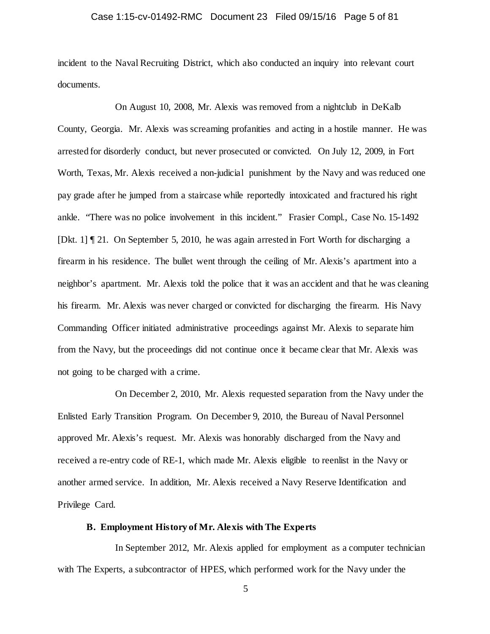## Case 1:15-cv-01492-RMC Document 23 Filed 09/15/16 Page 5 of 81

incident to the Naval Recruiting District, which also conducted an inquiry into relevant court documents.

On August 10, 2008, Mr. Alexis was removed from a nightclub in DeKalb County, Georgia. Mr. Alexis was screaming profanities and acting in a hostile manner. He was arrested for disorderly conduct, but never prosecuted or convicted. On July 12, 2009, in Fort Worth, Texas, Mr. Alexis received a non-judicial punishment by the Navy and was reduced one pay grade after he jumped from a staircase while reportedly intoxicated and fractured his right ankle. "There was no police involvement in this incident." Frasier Compl., Case No. 15-1492 [Dkt. 1] ¶ 21. On September 5, 2010, he was again arrested in Fort Worth for discharging a firearm in his residence. The bullet went through the ceiling of Mr. Alexis's apartment into a neighbor's apartment. Mr. Alexis told the police that it was an accident and that he was cleaning his firearm. Mr. Alexis was never charged or convicted for discharging the firearm. His Navy Commanding Officer initiated administrative proceedings against Mr. Alexis to separate him from the Navy, but the proceedings did not continue once it became clear that Mr. Alexis was not going to be charged with a crime.

On December 2, 2010, Mr. Alexis requested separation from the Navy under the Enlisted Early Transition Program. On December 9, 2010, the Bureau of Naval Personnel approved Mr. Alexis's request. Mr. Alexis was honorably discharged from the Navy and received a re-entry code of RE-1, which made Mr. Alexis eligible to reenlist in the Navy or another armed service. In addition, Mr. Alexis received a Navy Reserve Identification and Privilege Card.

## **B. Employment History of Mr. Alexis with The Experts**

In September 2012, Mr. Alexis applied for employment as a computer technician with The Experts, a subcontractor of HPES, which performed work for the Navy under the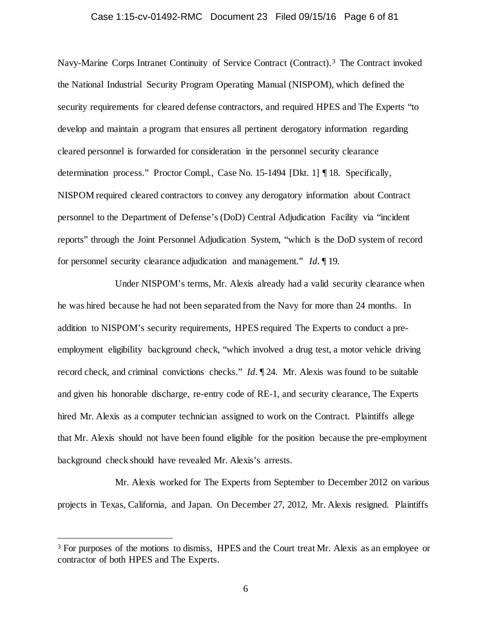## Case 1:15-cv-01492-RMC Document 23 Filed 09/15/16 Page 6 of 81

Navy-Marine Corps Intranet Continuity of Service Contract (Contract). [3](#page-5-0) The Contract invoked the National Industrial Security Program Operating Manual (NISPOM), which defined the security requirements for cleared defense contractors, and required HPES and The Experts "to develop and maintain a program that ensures all pertinent derogatory information regarding cleared personnel is forwarded for consideration in the personnel security clearance determination process." Proctor Compl., Case No. 15-1494 [Dkt. 1] ¶ 18. Specifically, NISPOM required cleared contractors to convey any derogatory information about Contract personnel to the Department of Defense's (DoD) Central Adjudication Facility via "incident reports" through the Joint Personnel Adjudication System, "which is the DoD system of record for personnel security clearance adjudication and management." *Id.* ¶ 19.

Under NISPOM's terms, Mr. Alexis already had a valid security clearance when he was hired because he had not been separated from the Navy for more than 24 months. In addition to NISPOM's security requirements, HPES required The Experts to conduct a preemployment eligibility background check, "which involved a drug test, a motor vehicle driving record check, and criminal convictions checks." *Id.* ¶ 24. Mr. Alexis was found to be suitable and given his honorable discharge, re-entry code of RE-1, and security clearance, The Experts hired Mr. Alexis as a computer technician assigned to work on the Contract. Plaintiffs allege that Mr. Alexis should not have been found eligible for the position because the pre-employment background check should have revealed Mr. Alexis's arrests.

Mr. Alexis worked for The Experts from September to December 2012 on various projects in Texas, California, and Japan. On December 27, 2012, Mr. Alexis resigned. Plaintiffs

<span id="page-5-0"></span><sup>&</sup>lt;sup>3</sup> For purposes of the motions to dismiss, HPES and the Court treat Mr. Alexis as an employee or contractor of both HPES and The Experts.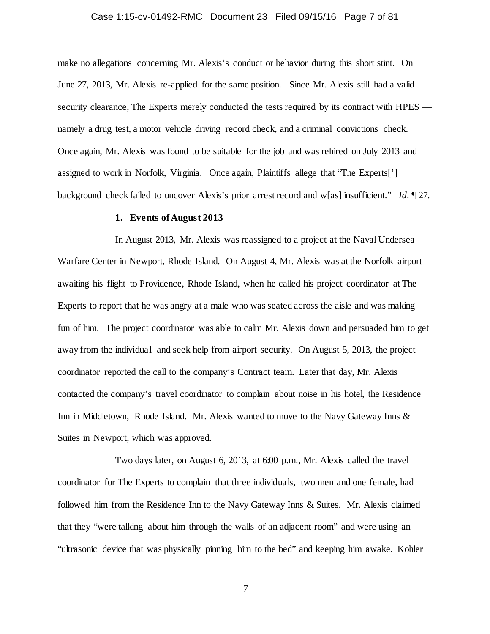## Case 1:15-cv-01492-RMC Document 23 Filed 09/15/16 Page 7 of 81

make no allegations concerning Mr. Alexis's conduct or behavior during this short stint. On June 27, 2013, Mr. Alexis re-applied for the same position. Since Mr. Alexis still had a valid security clearance. The Experts merely conducted the tests required by its contract with HPES –– namely a drug test, a motor vehicle driving record check, and a criminal convictions check. Once again, Mr. Alexis was found to be suitable for the job and was rehired on July 2013 and assigned to work in Norfolk, Virginia. Once again, Plaintiffs allege that "The Experts['] background check failed to uncover Alexis's prior arrest record and w[as] insufficient." *Id.* ¶ 27.

## **1. Events of August 2013**

In August 2013, Mr. Alexis was reassigned to a project at the Naval Undersea Warfare Center in Newport, Rhode Island. On August 4, Mr. Alexis was at the Norfolk airport awaiting his flight to Providence, Rhode Island, when he called his project coordinator at The Experts to report that he was angry at a male who was seated across the aisle and was making fun of him. The project coordinator was able to calm Mr. Alexis down and persuaded him to get away from the individual and seek help from airport security. On August 5, 2013, the project coordinator reported the call to the company's Contract team. Later that day, Mr. Alexis contacted the company's travel coordinator to complain about noise in his hotel, the Residence Inn in Middletown, Rhode Island. Mr. Alexis wanted to move to the Navy Gateway Inns & Suites in Newport, which was approved.

Two days later, on August 6, 2013, at 6:00 p.m., Mr. Alexis called the travel coordinator for The Experts to complain that three individuals, two men and one female, had followed him from the Residence Inn to the Navy Gateway Inns & Suites. Mr. Alexis claimed that they "were talking about him through the walls of an adjacent room" and were using an "ultrasonic device that was physically pinning him to the bed" and keeping him awake. Kohler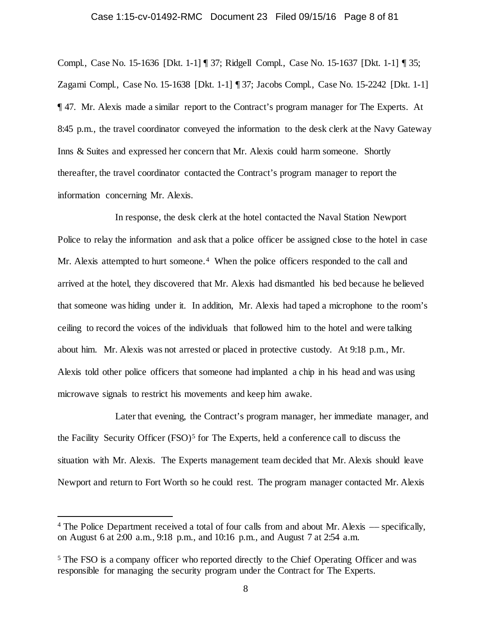## Case 1:15-cv-01492-RMC Document 23 Filed 09/15/16 Page 8 of 81

Compl., Case No. 15-1636 [Dkt. 1-1] ¶ 37; Ridgell Compl., Case No. 15-1637 [Dkt. 1-1] ¶ 35; Zagami Compl., Case No. 15-1638 [Dkt. 1-1] ¶ 37; Jacobs Compl., Case No. 15-2242 [Dkt. 1-1] ¶ 47. Mr. Alexis made a similar report to the Contract's program manager for The Experts. At 8:45 p.m., the travel coordinator conveyed the information to the desk clerk at the Navy Gateway Inns & Suites and expressed her concern that Mr. Alexis could harm someone. Shortly thereafter, the travel coordinator contacted the Contract's program manager to report the information concerning Mr. Alexis.

In response, the desk clerk at the hotel contacted the Naval Station Newport Police to relay the information and ask that a police officer be assigned close to the hotel in case Mr. Alexis attempted to hurt someone.<sup>[4](#page-7-0)</sup> When the police officers responded to the call and arrived at the hotel, they discovered that Mr. Alexis had dismantled his bed because he believed that someone was hiding under it. In addition, Mr. Alexis had taped a microphone to the room's ceiling to record the voices of the individuals that followed him to the hotel and were talking about him. Mr. Alexis was not arrested or placed in protective custody. At 9:18 p.m., Mr. Alexis told other police officers that someone had implanted a chip in his head and was using microwave signals to restrict his movements and keep him awake.

Later that evening, the Contract's program manager, her immediate manager, and the Facility Security Officer  $(FSO)^5$  $(FSO)^5$  for The Experts, held a conference call to discuss the situation with Mr. Alexis. The Experts management team decided that Mr. Alexis should leave Newport and return to Fort Worth so he could rest. The program manager contacted Mr. Alexis

<span id="page-7-0"></span> <sup>4</sup> The Police Department received a total of four calls from and about Mr. Alexis –– specifically, on August 6 at 2:00 a.m., 9:18 p.m., and 10:16 p.m., and August 7 at 2:54 a.m.

<span id="page-7-1"></span><sup>5</sup> The FSO is a company officer who reported directly to the Chief Operating Officer and was responsible for managing the security program under the Contract for The Experts.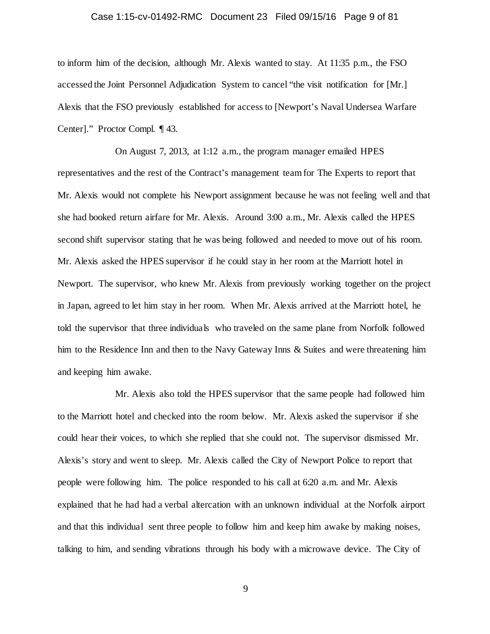## Case 1:15-cv-01492-RMC Document 23 Filed 09/15/16 Page 9 of 81

to inform him of the decision, although Mr. Alexis wanted to stay. At 11:35 p.m., the FSO accessed the Joint Personnel Adjudication System to cancel "the visit notification for [Mr.] Alexis that the FSO previously established for access to [Newport's Naval Undersea Warfare Center]." Proctor Compl. ¶ 43.

On August 7, 2013, at 1:12 a.m., the program manager emailed HPES representatives and the rest of the Contract's management team for The Experts to report that Mr. Alexis would not complete his Newport assignment because he was not feeling well and that she had booked return airfare for Mr. Alexis. Around 3:00 a.m., Mr. Alexis called the HPES second shift supervisor stating that he was being followed and needed to move out of his room. Mr. Alexis asked the HPES supervisor if he could stay in her room at the Marriott hotel in Newport. The supervisor, who knew Mr. Alexis from previously working together on the project in Japan, agreed to let him stay in her room. When Mr. Alexis arrived at the Marriott hotel, he told the supervisor that three individuals who traveled on the same plane from Norfolk followed him to the Residence Inn and then to the Navy Gateway Inns & Suites and were threatening him and keeping him awake.

Mr. Alexis also told the HPES supervisor that the same people had followed him to the Marriott hotel and checked into the room below. Mr. Alexis asked the supervisor if she could hear their voices, to which she replied that she could not. The supervisor dismissed Mr. Alexis's story and went to sleep. Mr. Alexis called the City of Newport Police to report that people were following him. The police responded to his call at 6:20 a.m. and Mr. Alexis explained that he had had a verbal altercation with an unknown individual at the Norfolk airport and that this individual sent three people to follow him and keep him awake by making noises, talking to him, and sending vibrations through his body with a microwave device. The City of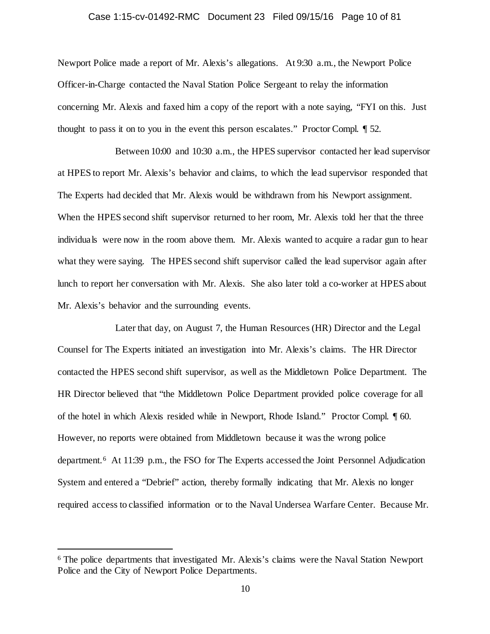## Case 1:15-cv-01492-RMC Document 23 Filed 09/15/16 Page 10 of 81

Newport Police made a report of Mr. Alexis's allegations. At 9:30 a.m., the Newport Police Officer-in-Charge contacted the Naval Station Police Sergeant to relay the information concerning Mr. Alexis and faxed him a copy of the report with a note saying, "FYI on this. Just thought to pass it on to you in the event this person escalates." Proctor Compl. ¶ 52.

Between 10:00 and 10:30 a.m., the HPES supervisor contacted her lead supervisor at HPES to report Mr. Alexis's behavior and claims, to which the lead supervisor responded that The Experts had decided that Mr. Alexis would be withdrawn from his Newport assignment. When the HPES second shift supervisor returned to her room, Mr. Alexis told her that the three individuals were now in the room above them. Mr. Alexis wanted to acquire a radar gun to hear what they were saying. The HPES second shift supervisor called the lead supervisor again after lunch to report her conversation with Mr. Alexis. She also later told a co-worker at HPES about Mr. Alexis's behavior and the surrounding events.

Later that day, on August 7, the Human Resources (HR) Director and the Legal Counsel for The Experts initiated an investigation into Mr. Alexis's claims. The HR Director contacted the HPES second shift supervisor, as well as the Middletown Police Department. The HR Director believed that "the Middletown Police Department provided police coverage for all of the hotel in which Alexis resided while in Newport, Rhode Island." Proctor Compl. ¶ 60. However, no reports were obtained from Middletown because it was the wrong police department.[6](#page-9-0) At 11:39 p.m., the FSO for The Experts accessed the Joint Personnel Adjudication System and entered a "Debrief" action, thereby formally indicating that Mr. Alexis no longer required access to classified information or to the Naval Undersea Warfare Center. Because Mr.

<span id="page-9-0"></span> <sup>6</sup> The police departments that investigated Mr. Alexis's claims were the Naval Station Newport Police and the City of Newport Police Departments.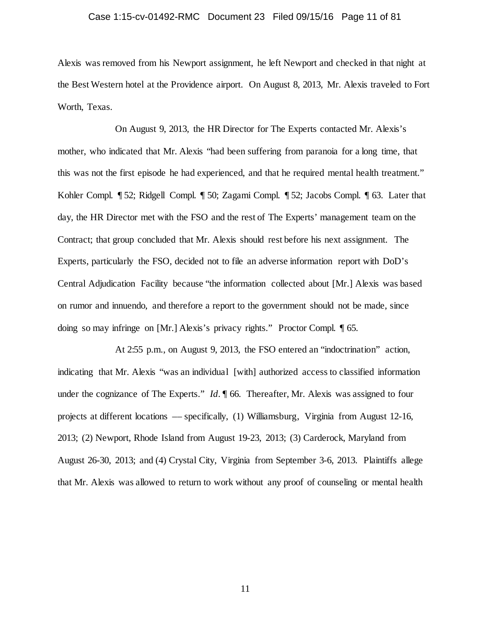## Case 1:15-cv-01492-RMC Document 23 Filed 09/15/16 Page 11 of 81

Alexis was removed from his Newport assignment, he left Newport and checked in that night at the Best Western hotel at the Providence airport. On August 8, 2013, Mr. Alexis traveled to Fort Worth, Texas.

On August 9, 2013, the HR Director for The Experts contacted Mr. Alexis's mother, who indicated that Mr. Alexis "had been suffering from paranoia for a long time, that this was not the first episode he had experienced, and that he required mental health treatment." Kohler Compl. ¶ 52; Ridgell Compl. ¶ 50; Zagami Compl. ¶ 52; Jacobs Compl. ¶ 63. Later that day, the HR Director met with the FSO and the rest of The Experts' management team on the Contract; that group concluded that Mr. Alexis should rest before his next assignment. The Experts, particularly the FSO, decided not to file an adverse information report with DoD's Central Adjudication Facility because "the information collected about [Mr.] Alexis was based on rumor and innuendo, and therefore a report to the government should not be made, since doing so may infringe on [Mr.] Alexis's privacy rights." Proctor Compl. ¶ 65.

At 2:55 p.m., on August 9, 2013, the FSO entered an "indoctrination" action, indicating that Mr. Alexis "was an individual [with] authorized access to classified information under the cognizance of The Experts." *Id.*  $\parallel$  66. Thereafter, Mr. Alexis was assigned to four projects at different locations –– specifically, (1) Williamsburg, Virginia from August 12-16, 2013; (2) Newport, Rhode Island from August 19-23, 2013; (3) Carderock, Maryland from August 26-30, 2013; and (4) Crystal City, Virginia from September 3-6, 2013. Plaintiffs allege that Mr. Alexis was allowed to return to work without any proof of counseling or mental health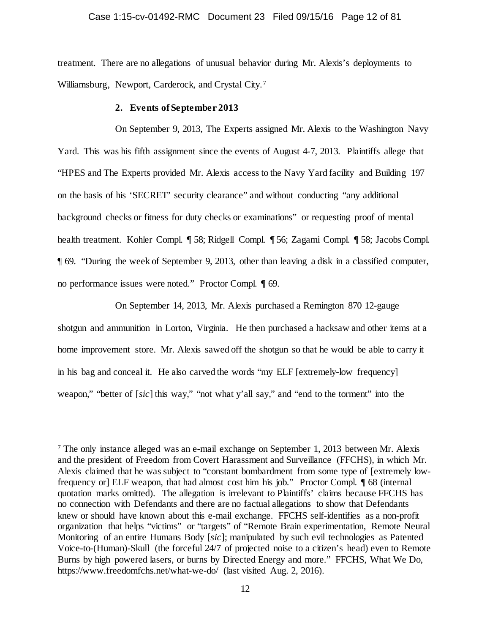## Case 1:15-cv-01492-RMC Document 23 Filed 09/15/16 Page 12 of 81

treatment. There are no allegations of unusual behavior during Mr. Alexis's deployments to Williamsburg, Newport, Carderock, and Crystal City.[7](#page-11-0) 

#### **2. Events of September 2013**

On September 9, 2013, The Experts assigned Mr. Alexis to the Washington Navy Yard. This was his fifth assignment since the events of August 4-7, 2013. Plaintiffs allege that "HPES and The Experts provided Mr. Alexis access to the Navy Yard facility and Building 197 on the basis of his 'SECRET' security clearance" and without conducting "any additional background checks or fitness for duty checks or examinations" or requesting proof of mental health treatment. Kohler Compl. ¶ 58; Ridgell Compl. ¶ 56; Zagami Compl. ¶ 58; Jacobs Compl. ¶ 69. "During the week of September 9, 2013, other than leaving a disk in a classified computer, no performance issues were noted." Proctor Compl. ¶ 69.

On September 14, 2013, Mr. Alexis purchased a Remington 870 12-gauge shotgun and ammunition in Lorton, Virginia. He then purchased a hacksaw and other items at a home improvement store. Mr. Alexis sawed off the shotgun so that he would be able to carry it in his bag and conceal it. He also carved the words "my ELF [extremely-low frequency] weapon," "better of [*sic*] this way," "not what y'all say," and "end to the torment" into the

<span id="page-11-0"></span> <sup>7</sup> The only instance alleged was an e-mail exchange on September 1, 2013 between Mr. Alexis and the president of Freedom from Covert Harassment and Surveillance (FFCHS), in which Mr. Alexis claimed that he was subject to "constant bombardment from some type of [extremely lowfrequency or] ELF weapon, that had almost cost him his job." Proctor Compl. ¶ 68 (internal quotation marks omitted). The allegation is irrelevant to Plaintiffs' claims because FFCHS has no connection with Defendants and there are no factual allegations to show that Defendants knew or should have known about this e-mail exchange. FFCHS self-identifies as a non-profit organization that helps "victims" or "targets" of "Remote Brain experimentation, Remote Neural Monitoring of an entire Humans Body [*sic*]; manipulated by such evil technologies as Patented Voice-to-(Human)-Skull (the forceful 24/7 of projected noise to a citizen's head) even to Remote Burns by high powered lasers, or burns by Directed Energy and more." FFCHS, What We Do, https://www.freedomfchs.net/what-we-do/ (last visited Aug. 2, 2016).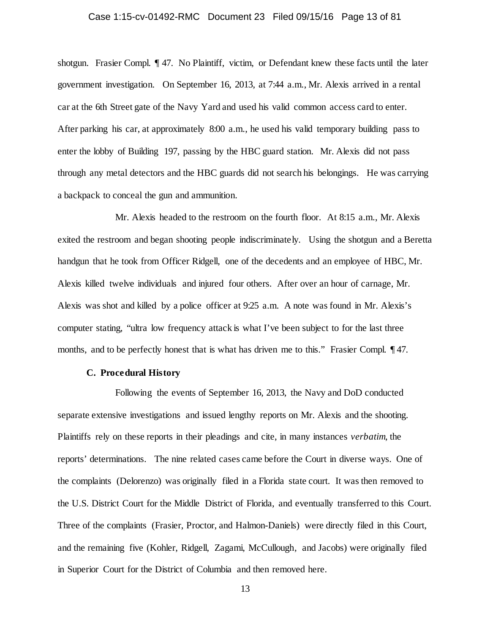## Case 1:15-cv-01492-RMC Document 23 Filed 09/15/16 Page 13 of 81

shotgun. Frasier Compl. ¶ 47. No Plaintiff, victim, or Defendant knew these facts until the later government investigation. On September 16, 2013, at 7:44 a.m., Mr. Alexis arrived in a rental car at the 6th Street gate of the Navy Yard and used his valid common access card to enter. After parking his car, at approximately 8:00 a.m., he used his valid temporary building pass to enter the lobby of Building 197, passing by the HBC guard station. Mr. Alexis did not pass through any metal detectors and the HBC guards did not search his belongings. He was carrying a backpack to conceal the gun and ammunition.

Mr. Alexis headed to the restroom on the fourth floor. At 8:15 a.m., Mr. Alexis exited the restroom and began shooting people indiscriminately. Using the shotgun and a Beretta handgun that he took from Officer Ridgell, one of the decedents and an employee of HBC, Mr. Alexis killed twelve individuals and injured four others. After over an hour of carnage, Mr. Alexis was shot and killed by a police officer at 9:25 a.m. A note was found in Mr. Alexis's computer stating, "ultra low frequency attack is what I've been subject to for the last three months, and to be perfectly honest that is what has driven me to this." Frasier Compl. 147.

## **C. Procedural History**

Following the events of September 16, 2013, the Navy and DoD conducted separate extensive investigations and issued lengthy reports on Mr. Alexis and the shooting. Plaintiffs rely on these reports in their pleadings and cite, in many instances *verbatim*, the reports' determinations. The nine related cases came before the Court in diverse ways. One of the complaints (Delorenzo) was originally filed in a Florida state court. It was then removed to the U.S. District Court for the Middle District of Florida, and eventually transferred to this Court. Three of the complaints (Frasier, Proctor, and Halmon-Daniels) were directly filed in this Court, and the remaining five (Kohler, Ridgell, Zagami, McCullough, and Jacobs) were originally filed in Superior Court for the District of Columbia and then removed here.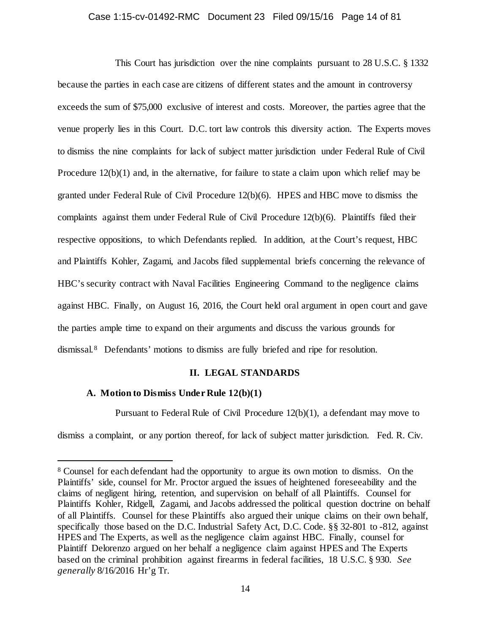## Case 1:15-cv-01492-RMC Document 23 Filed 09/15/16 Page 14 of 81

This Court has jurisdiction over the nine complaints pursuant to 28 U.S.C. § 1332 because the parties in each case are citizens of different states and the amount in controversy exceeds the sum of \$75,000 exclusive of interest and costs. Moreover, the parties agree that the venue properly lies in this Court. D.C. tort law controls this diversity action. The Experts moves to dismiss the nine complaints for lack of subject matter jurisdiction under Federal Rule of Civil Procedure 12(b)(1) and, in the alternative, for failure to state a claim upon which relief may be granted under Federal Rule of Civil Procedure 12(b)(6). HPES and HBC move to dismiss the complaints against them under Federal Rule of Civil Procedure 12(b)(6). Plaintiffs filed their respective oppositions, to which Defendants replied. In addition, at the Court's request, HBC and Plaintiffs Kohler, Zagami, and Jacobs filed supplemental briefs concerning the relevance of HBC's security contract with Naval Facilities Engineering Command to the negligence claims against HBC. Finally, on August 16, 2016, the Court held oral argument in open court and gave the parties ample time to expand on their arguments and discuss the various grounds for dismissal.[8](#page-13-0) Defendants' motions to dismiss are fully briefed and ripe for resolution.

## **II. LEGAL STANDARDS**

## **A. Motion to Dismiss Under Rule 12(b)(1)**

Pursuant to Federal Rule of Civil Procedure 12(b)(1), a defendant may move to

dismiss a complaint, or any portion thereof, for lack of subject matter jurisdiction. Fed. R. Civ.

<span id="page-13-0"></span> <sup>8</sup> Counsel for each defendant had the opportunity to argue its own motion to dismiss. On the Plaintiffs' side, counsel for Mr. Proctor argued the issues of heightened foreseeability and the claims of negligent hiring, retention, and supervision on behalf of all Plaintiffs. Counsel for Plaintiffs Kohler, Ridgell, Zagami, and Jacobs addressed the political question doctrine on behalf of all Plaintiffs. Counsel for these Plaintiffs also argued their unique claims on their own behalf, specifically those based on the D.C. Industrial Safety Act, D.C. Code. §§ 32-801 to -812, against HPES and The Experts, as well as the negligence claim against HBC. Finally, counsel for Plaintiff Delorenzo argued on her behalf a negligence claim against HPES and The Experts based on the criminal prohibition against firearms in federal facilities, 18 U.S.C. § 930. *See generally* 8/16/2016 Hr'g Tr.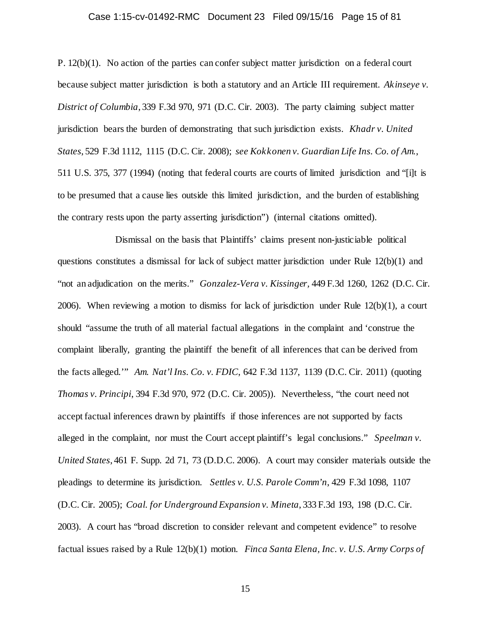## Case 1:15-cv-01492-RMC Document 23 Filed 09/15/16 Page 15 of 81

P. 12(b)(1). No action of the parties can confer subject matter jurisdiction on a federal court because subject matter jurisdiction is both a statutory and an Article III requirement. *Akinseye v. District of Columbia*, 339 F.3d 970, 971 (D.C. Cir. 2003). The party claiming subject matter jurisdiction bears the burden of demonstrating that such jurisdiction exists. *Khadr v. United States*, 529 F.3d 1112, 1115 (D.C. Cir. 2008); *see Kokkonen v. Guardian Life Ins. Co. of Am.*, 511 U.S. 375, 377 (1994) (noting that federal courts are courts of limited jurisdiction and "[i]t is to be presumed that a cause lies outside this limited jurisdiction, and the burden of establishing the contrary rests upon the party asserting jurisdiction") (internal citations omitted).

Dismissal on the basis that Plaintiffs' claims present non-justiciable political questions constitutes a dismissal for lack of subject matter jurisdiction under Rule 12(b)(1) and "not an adjudication on the merits." *Gonzalez-Vera v. Kissinger,* 449 F.3d 1260, 1262 (D.C. Cir. 2006). When reviewing a motion to dismiss for lack of jurisdiction under Rule 12(b)(1), a court should "assume the truth of all material factual allegations in the complaint and 'construe the complaint liberally, granting the plaintiff the benefit of all inferences that can be derived from the facts alleged.'" *Am. Nat'l Ins. Co. v. FDIC*, 642 F.3d 1137, 1139 (D.C. Cir. 2011) (quoting *Thomas v. Principi*, 394 F.3d 970, 972 (D.C. Cir. 2005)). Nevertheless, "the court need not accept factual inferences drawn by plaintiffs if those inferences are not supported by facts alleged in the complaint, nor must the Court accept plaintiff's legal conclusions." *Speelman v. United States*, 461 F. Supp. 2d 71, 73 (D.D.C. 2006). A court may consider materials outside the pleadings to determine its jurisdiction. *Settles v. U.S. Parole Comm'n*, 429 F.3d 1098, 1107 (D.C. Cir. 2005); *Coal. for Underground Expansion v. Mineta*, 333 F.3d 193, 198 (D.C. Cir. 2003). A court has "broad discretion to consider relevant and competent evidence" to resolve factual issues raised by a Rule 12(b)(1) motion. *Finca Santa Elena, Inc. v. U.S. Army Corps of*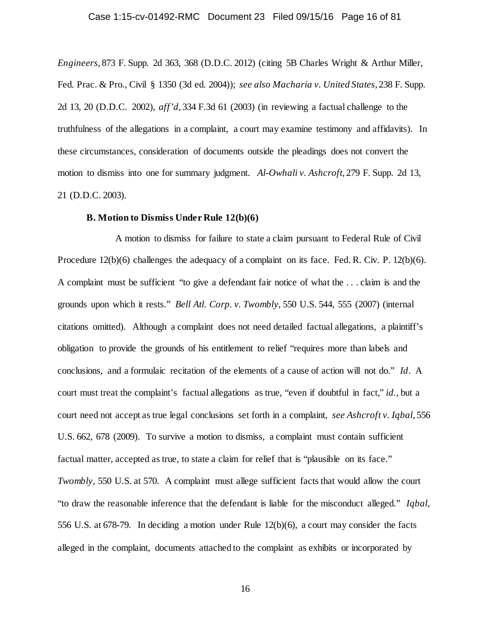## Case 1:15-cv-01492-RMC Document 23 Filed 09/15/16 Page 16 of 81

*Engineers*, 873 F. Supp. 2d 363, 368 (D.D.C. 2012) (citing 5B Charles Wright & Arthur Miller, Fed. Prac. & Pro., Civil § 1350 (3d ed. 2004)); *see also Macharia v. United States*, 238 F. Supp. 2d 13, 20 (D.D.C. 2002), *aff'd*, 334 F.3d 61 (2003) (in reviewing a factual challenge to the truthfulness of the allegations in a complaint, a court may examine testimony and affidavits). In these circumstances, consideration of documents outside the pleadings does not convert the motion to dismiss into one for summary judgment. *Al-Owhali v. Ashcroft*, 279 F. Supp. 2d 13, 21 (D.D.C. 2003).

### **B. Motion to Dismiss Under Rule 12(b)(6)**

A motion to dismiss for failure to state a claim pursuant to Federal Rule of Civil Procedure 12(b)(6) challenges the adequacy of a complaint on its face. Fed. R. Civ. P. 12(b)(6). A complaint must be sufficient "to give a defendant fair notice of what the . . . claim is and the grounds upon which it rests." *Bell Atl. Corp. v. Twombly*, 550 U.S. 544, 555 (2007) (internal citations omitted). Although a complaint does not need detailed factual allegations, a plaintiff's obligation to provide the grounds of his entitlement to relief "requires more than labels and conclusions, and a formulaic recitation of the elements of a cause of action will not do." *Id*. A court must treat the complaint's factual allegations as true, "even if doubtful in fact," *id.*, but a court need not accept as true legal conclusions set forth in a complaint, *see Ashcroft v. Iqbal*, 556 U.S. 662, 678 (2009). To survive a motion to dismiss, a complaint must contain sufficient factual matter, accepted as true, to state a claim for relief that is "plausible on its face." *Twombly*, 550 U.S. at 570. A complaint must allege sufficient facts that would allow the court "to draw the reasonable inference that the defendant is liable for the misconduct alleged." *Iqbal*, 556 U.S. at 678-79. In deciding a motion under Rule 12(b)(6), a court may consider the facts alleged in the complaint, documents attached to the complaint as exhibits or incorporated by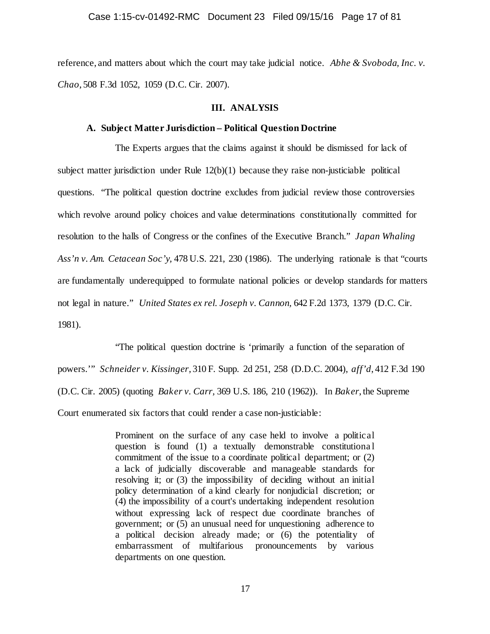reference, and matters about which the court may take judicial notice. *Abhe & Svoboda, Inc. v. Chao*, 508 F.3d 1052, 1059 (D.C. Cir. 2007).

### **III. ANALYSIS**

## **A. Subject Matter Jurisdiction – Political Question Doctrine**

The Experts argues that the claims against it should be dismissed for lack of subject matter jurisdiction under Rule  $12(b)(1)$  because they raise non-justiciable political questions. "The political question doctrine excludes from judicial review those controversies which revolve around policy choices and value determinations constitutionally committed for resolution to the halls of Congress or the confines of the Executive Branch." *Japan Whaling Ass'n v. Am. Cetacean Soc'y,* 478 U.S. 221, 230 (1986). The underlying rationale is that "courts are fundamentally underequipped to formulate national policies or develop standards for matters not legal in nature." *United States ex rel. Joseph v. Cannon,* 642 F.2d 1373, 1379 (D.C. Cir. 1981).

"The political question doctrine is 'primarily a function of the separation of powers.'" *Schneider v. Kissinger*, 310 F. Supp. 2d 251, 258 (D.D.C. 2004), *aff'd*, 412 F.3d 190 (D.C. Cir. 2005) (quoting *Baker v. Carr,* 369 U.S. 186, 210 (1962)). In *Baker*, the Supreme Court enumerated six factors that could render a case non-justiciable:

> Prominent on the surface of any case held to involve a political question is found (1) a textually demonstrable constitutiona l commitment of the issue to a coordinate political department; or (2) a lack of judicially discoverable and manageable standards for resolving it; or (3) the impossibility of deciding without an initial policy determination of a kind clearly for nonjudicial discretion; or (4) the impossibility of a court's undertaking independent resolution without expressing lack of respect due coordinate branches of government; or (5) an unusual need for unquestioning adherence to a political decision already made; or (6) the potentiality of embarrassment of multifarious pronouncements by various departments on one question.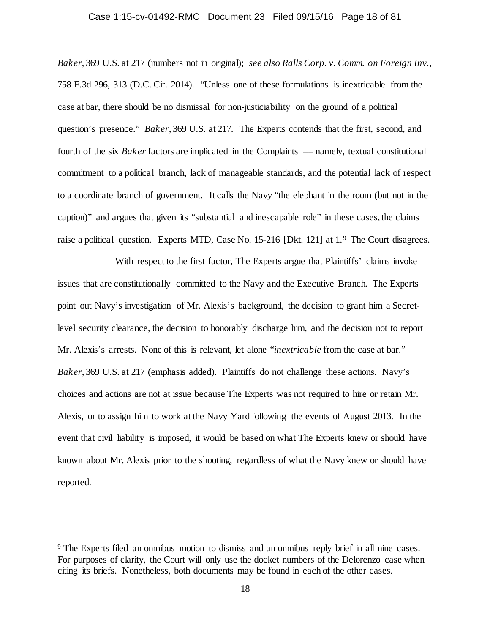#### Case 1:15-cv-01492-RMC Document 23 Filed 09/15/16 Page 18 of 81

*Baker*, 369 U.S. at 217 (numbers not in original); *see also Ralls Corp. v. Comm. on Foreign Inv.*, 758 F.3d 296, 313 (D.C. Cir. 2014). "Unless one of these formulations is inextricable from the case at bar, there should be no dismissal for non-justiciability on the ground of a political question's presence." *Baker*, 369 U.S. at 217. The Experts contends that the first, second, and fourth of the six *Baker* factors are implicated in the Complaints –– namely, textual constitutional commitment to a political branch, lack of manageable standards, and the potential lack of respect to a coordinate branch of government. It calls the Navy "the elephant in the room (but not in the caption)" and argues that given its "substantial and inescapable role" in these cases, the claims raise a political question. Experts MTD, Case No. 15-216 [Dkt. 121] at 1.<sup>[9](#page-17-0)</sup> The Court disagrees.

With respect to the first factor, The Experts argue that Plaintiffs' claims invoke issues that are constitutionally committed to the Navy and the Executive Branch. The Experts point out Navy's investigation of Mr. Alexis's background, the decision to grant him a Secretlevel security clearance, the decision to honorably discharge him, and the decision not to report Mr. Alexis's arrests. None of this is relevant, let alone "*inextricable* from the case at bar." *Baker*, 369 U.S. at 217 (emphasis added). Plaintiffs do not challenge these actions. Navy's choices and actions are not at issue because The Experts was not required to hire or retain Mr. Alexis, or to assign him to work at the Navy Yard following the events of August 2013. In the event that civil liability is imposed, it would be based on what The Experts knew or should have known about Mr. Alexis prior to the shooting, regardless of what the Navy knew or should have reported.

<span id="page-17-0"></span> <sup>9</sup> The Experts filed an omnibus motion to dismiss and an omnibus reply brief in all nine cases. For purposes of clarity, the Court will only use the docket numbers of the Delorenzo case when citing its briefs. Nonetheless, both documents may be found in each of the other cases.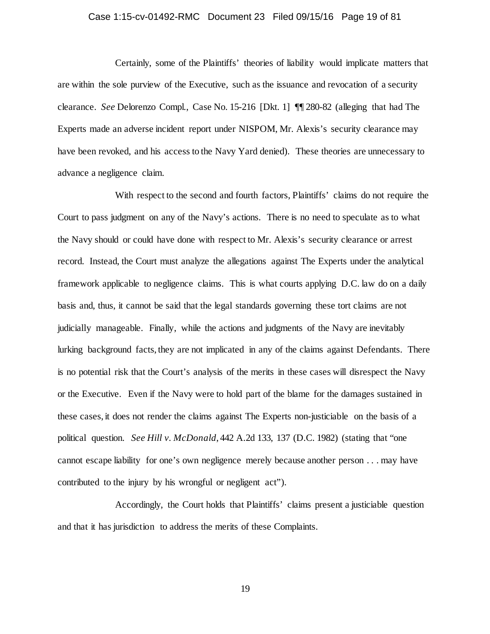## Case 1:15-cv-01492-RMC Document 23 Filed 09/15/16 Page 19 of 81

Certainly, some of the Plaintiffs' theories of liability would implicate matters that are within the sole purview of the Executive, such as the issuance and revocation of a security clearance. *See* Delorenzo Compl., Case No. 15-216 [Dkt. 1] ¶¶ 280-82 (alleging that had The Experts made an adverse incident report under NISPOM, Mr. Alexis's security clearance may have been revoked, and his access to the Navy Yard denied). These theories are unnecessary to advance a negligence claim.

With respect to the second and fourth factors, Plaintiffs' claims do not require the Court to pass judgment on any of the Navy's actions. There is no need to speculate as to what the Navy should or could have done with respect to Mr. Alexis's security clearance or arrest record. Instead, the Court must analyze the allegations against The Experts under the analytical framework applicable to negligence claims. This is what courts applying D.C. law do on a daily basis and, thus, it cannot be said that the legal standards governing these tort claims are not judicially manageable. Finally, while the actions and judgments of the Navy are inevitably lurking background facts, they are not implicated in any of the claims against Defendants. There is no potential risk that the Court's analysis of the merits in these cases will disrespect the Navy or the Executive. Even if the Navy were to hold part of the blame for the damages sustained in these cases, it does not render the claims against The Experts non-justiciable on the basis of a political question. *See Hill v. McDonald*, 442 A.2d 133, 137 (D.C. 1982) (stating that "one cannot escape liability for one's own negligence merely because another person . . . may have contributed to the injury by his wrongful or negligent act").

Accordingly, the Court holds that Plaintiffs' claims present a justiciable question and that it has jurisdiction to address the merits of these Complaints.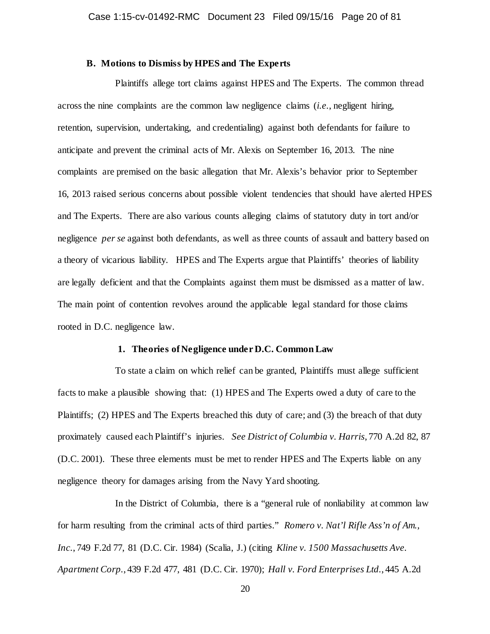## **B. Motions to Dismiss by HPES and The Experts**

Plaintiffs allege tort claims against HPES and The Experts. The common thread across the nine complaints are the common law negligence claims (*i.e.*, negligent hiring, retention, supervision, undertaking, and credentialing) against both defendants for failure to anticipate and prevent the criminal acts of Mr. Alexis on September 16, 2013. The nine complaints are premised on the basic allegation that Mr. Alexis's behavior prior to September 16, 2013 raised serious concerns about possible violent tendencies that should have alerted HPES and The Experts. There are also various counts alleging claims of statutory duty in tort and/or negligence *per se* against both defendants, as well as three counts of assault and battery based on a theory of vicarious liability. HPES and The Experts argue that Plaintiffs' theories of liability are legally deficient and that the Complaints against them must be dismissed as a matter of law. The main point of contention revolves around the applicable legal standard for those claims rooted in D.C. negligence law.

## **1. Theories of Negligence under D.C. Common Law**

To state a claim on which relief can be granted, Plaintiffs must allege sufficient facts to make a plausible showing that: (1) HPES and The Experts owed a duty of care to the Plaintiffs; (2) HPES and The Experts breached this duty of care; and (3) the breach of that duty proximately caused each Plaintiff's injuries. *See District of Columbia v. Harris*, 770 A.2d 82, 87 (D.C. 2001). These three elements must be met to render HPES and The Experts liable on any negligence theory for damages arising from the Navy Yard shooting.

In the District of Columbia, there is a "general rule of nonliability at common law for harm resulting from the criminal acts of third parties." *Romero v. Nat'l Rifle Ass'n of Am., Inc.*, 749 F.2d 77, 81 (D.C. Cir. 1984) (Scalia, J.) (citing *Kline v. 1500 Massachusetts Ave. Apartment Corp.*, 439 F.2d 477, 481 (D.C. Cir. 1970); *Hall v. Ford Enterprises Ltd.*, 445 A.2d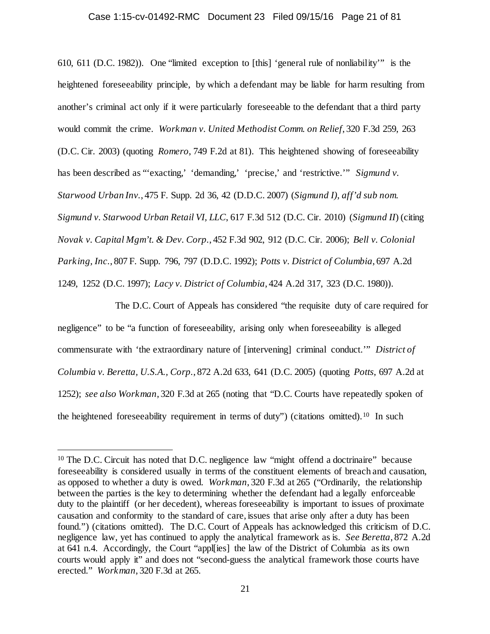### Case 1:15-cv-01492-RMC Document 23 Filed 09/15/16 Page 21 of 81

610, 611 (D.C. 1982)). One "limited exception to [this] 'general rule of nonliability'" is the heightened foreseeability principle, by which a defendant may be liable for harm resulting from another's criminal act only if it were particularly foreseeable to the defendant that a third party would commit the crime. *Workman v. United Methodist Comm. on Relief*, 320 F.3d 259, 263 (D.C. Cir. 2003) (quoting *Romero*, 749 F.2d at 81). This heightened showing of foreseeability has been described as "'exacting,' 'demanding,' 'precise,' and 'restrictive.'" *Sigmund v. Starwood Urban Inv.*, 475 F. Supp. 2d 36, 42 (D.D.C. 2007) (*Sigmund I)*, *aff'd sub nom. Sigmund v. Starwood Urban Retail VI, LLC*, 617 F.3d 512 (D.C. Cir. 2010) (*Sigmund II*) (citing *Novak v. Capital Mgm't. & Dev. Corp.*, 452 F.3d 902, 912 (D.C. Cir. 2006); *Bell v. Colonial Parking, Inc.*, 807 F. Supp. 796, 797 (D.D.C. 1992); *Potts v. District of Columbia*, 697 A.2d 1249, 1252 (D.C. 1997); *Lacy v. District of Columbia*, 424 A.2d 317, 323 (D.C. 1980)).

The D.C. Court of Appeals has considered "the requisite duty of care required for negligence" to be "a function of foreseeability, arising only when foreseeability is alleged commensurate with 'the extraordinary nature of [intervening] criminal conduct.'" *District of Columbia v. Beretta, U.S.A., Corp.*, 872 A.2d 633, 641 (D.C. 2005) (quoting *Potts*, 697 A.2d at 1252); *see also Workman*, 320 F.3d at 265 (noting that "D.C. Courts have repeatedly spoken of the heightened foreseeability requirement in terms of duty") (citations omitted).[10](#page-20-0) In such

<span id="page-20-0"></span><sup>&</sup>lt;sup>10</sup> The D.C. Circuit has noted that D.C. negligence law "might offend a doctrinaire" because foreseeability is considered usually in terms of the constituent elements of breach and causation, as opposed to whether a duty is owed. *Workman*, 320 F.3d at 265 ("Ordinarily, the relationship between the parties is the key to determining whether the defendant had a legally enforceable duty to the plaintiff (or her decedent), whereas foreseeability is important to issues of proximate causation and conformity to the standard of care, issues that arise only after a duty has been found.") (citations omitted). The D.C. Court of Appeals has acknowledged this criticism of D.C. negligence law, yet has continued to apply the analytical framework as is. *See Beretta*, 872 A.2d at 641 n.4. Accordingly, the Court "appl[ies] the law of the District of Columbia as its own courts would apply it" and does not "second-guess the analytical framework those courts have erected." *Workman*, 320 F.3d at 265.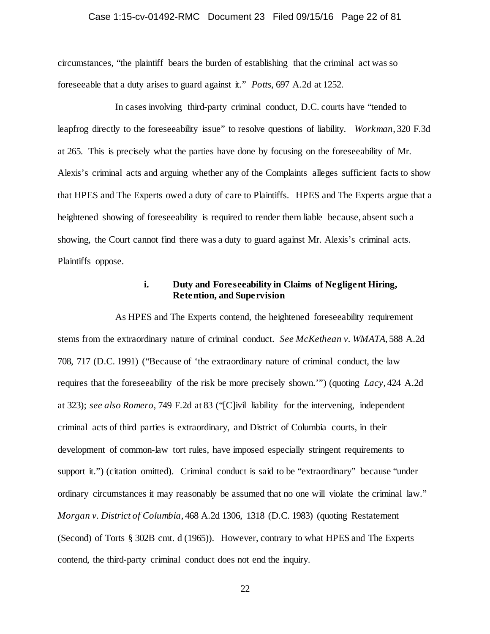## Case 1:15-cv-01492-RMC Document 23 Filed 09/15/16 Page 22 of 81

circumstances, "the plaintiff bears the burden of establishing that the criminal act was so foreseeable that a duty arises to guard against it." *Potts*, 697 A.2d at 1252.

In cases involving third-party criminal conduct, D.C. courts have "tended to leapfrog directly to the foreseeability issue" to resolve questions of liability. *Workman*, 320 F.3d at 265. This is precisely what the parties have done by focusing on the foreseeability of Mr. Alexis's criminal acts and arguing whether any of the Complaints alleges sufficient facts to show that HPES and The Experts owed a duty of care to Plaintiffs. HPES and The Experts argue that a heightened showing of foreseeability is required to render them liable because, absent such a showing, the Court cannot find there was a duty to guard against Mr. Alexis's criminal acts. Plaintiffs oppose.

## **i. Duty and Foreseeability in Claims of Negligent Hiring, Retention, and Supervision**

As HPES and The Experts contend, the heightened foreseeability requirement stems from the extraordinary nature of criminal conduct. *See McKethean v. WMATA*, 588 A.2d 708, 717 (D.C. 1991) ("Because of 'the extraordinary nature of criminal conduct, the law requires that the foreseeability of the risk be more precisely shown.'") (quoting *Lacy*, 424 A.2d at 323); *see also Romero*, 749 F.2d at 83 ("[C]ivil liability for the intervening, independent criminal acts of third parties is extraordinary, and District of Columbia courts, in their development of common-law tort rules, have imposed especially stringent requirements to support it.") (citation omitted). Criminal conduct is said to be "extraordinary" because "under ordinary circumstances it may reasonably be assumed that no one will violate the criminal law." *Morgan v. District of Columbia*, 468 A.2d 1306, 1318 (D.C. 1983) (quoting Restatement (Second) of Torts § 302B cmt. d (1965)). However, contrary to what HPES and The Experts contend, the third-party criminal conduct does not end the inquiry.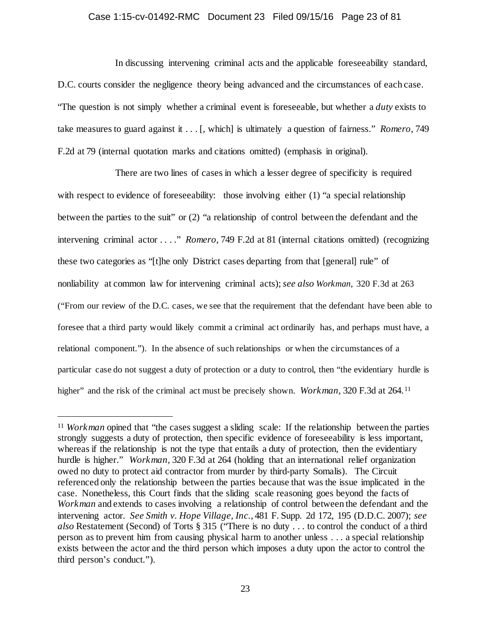## Case 1:15-cv-01492-RMC Document 23 Filed 09/15/16 Page 23 of 81

In discussing intervening criminal acts and the applicable foreseeability standard, D.C. courts consider the negligence theory being advanced and the circumstances of each case. "The question is not simply whether a criminal event is foreseeable, but whether a *duty* exists to take measures to guard against it . . . [, which] is ultimately a question of fairness." *Romero*, 749 F.2d at 79 (internal quotation marks and citations omitted) (emphasis in original).

There are two lines of cases in which a lesser degree of specificity is required with respect to evidence of foreseeability: those involving either (1) "a special relationship between the parties to the suit" or (2) "a relationship of control between the defendant and the intervening criminal actor . . . ." *Romero*, 749 F.2d at 81 (internal citations omitted) (recognizing these two categories as "[t]he only District cases departing from that [general] rule" of nonliability at common law for intervening criminal acts); *see also Workman*, 320 F.3d at 263 ("From our review of the D.C. cases, we see that the requirement that the defendant have been able to foresee that a third party would likely commit a criminal act ordinarily has, and perhaps must have, a relational component."). In the absence of such relationships or when the circumstances of a particular case do not suggest a duty of protection or a duty to control, then "the evidentiary hurdle is higher" and the risk of the criminal act must be precisely shown. *Workman*, 320 F.3d at 264.<sup>[11](#page-22-0)</sup>

<span id="page-22-0"></span><sup>&</sup>lt;sup>11</sup> *Workman* opined that "the cases suggest a sliding scale: If the relationship between the parties strongly suggests a duty of protection, then specific evidence of foreseeability is less important, whereas if the relationship is not the type that entails a duty of protection, then the evidentiary hurdle is higher." *Workman,* 320 F.3d at 264 (holding that an international relief organization owed no duty to protect aid contractor from murder by third-party Somalis). The Circuit referenced only the relationship between the parties because that was the issue implicated in the case. Nonetheless, this Court finds that the sliding scale reasoning goes beyond the facts of *Workman* and extends to cases involving a relationship of control between the defendant and the intervening actor. *See Smith v. Hope Village, Inc.*, 481 F. Supp. 2d 172, 195 (D.D.C. 2007); *see also* Restatement (Second) of Torts § 315 ("There is no duty . . . to control the conduct of a third person as to prevent him from causing physical harm to another unless . . . a special relationship exists between the actor and the third person which imposes a duty upon the actor to control the third person's conduct.").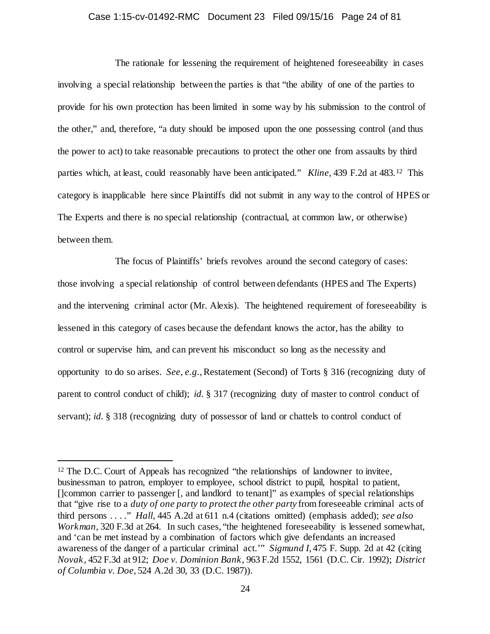## Case 1:15-cv-01492-RMC Document 23 Filed 09/15/16 Page 24 of 81

The rationale for lessening the requirement of heightened foreseeability in cases involving a special relationship between the parties is that "the ability of one of the parties to provide for his own protection has been limited in some way by his submission to the control of the other," and, therefore, "a duty should be imposed upon the one possessing control (and thus the power to act) to take reasonable precautions to protect the other one from assaults by third parties which, at least, could reasonably have been anticipated." *Kline*, 439 F.2d at 483.[12](#page-23-0) This category is inapplicable here since Plaintiffs did not submit in any way to the control of HPES or The Experts and there is no special relationship (contractual, at common law, or otherwise) between them.

The focus of Plaintiffs' briefs revolves around the second category of cases: those involving a special relationship of control between defendants (HPES and The Experts) and the intervening criminal actor (Mr. Alexis). The heightened requirement of foreseeability is lessened in this category of cases because the defendant knows the actor, has the ability to control or supervise him, and can prevent his misconduct so long as the necessity and opportunity to do so arises. *See, e.g.*, Restatement (Second) of Torts § 316 (recognizing duty of parent to control conduct of child); *id.* § 317 (recognizing duty of master to control conduct of servant); *id.* § 318 (recognizing duty of possessor of land or chattels to control conduct of

<span id="page-23-0"></span><sup>&</sup>lt;sup>12</sup> The D.C. Court of Appeals has recognized "the relationships of landowner to invitee, businessman to patron, employer to employee, school district to pupil, hospital to patient, []common carrier to passenger [, and landlord to tenant]" as examples of special relationships that "give rise to a *duty of one party to protect the other party* from foreseeable criminal acts of third persons . . . ." *Hall*, 445 A.2d at 611 n.4 (citations omitted) (emphasis added); *see also Workman,* 320 F.3d at 264. In such cases, "the heightened foreseeability is lessened somewhat, and 'can be met instead by a combination of factors which give defendants an increased awareness of the danger of a particular criminal act.'" *Sigmund I*, 475 F. Supp. 2d at 42 (citing *Novak,* 452 F.3d at 912; *Doe v. Dominion Bank,* 963 F.2d 1552, 1561 (D.C. Cir. 1992); *District of Columbia v. Doe*, 524 A.2d 30, 33 (D.C. 1987)).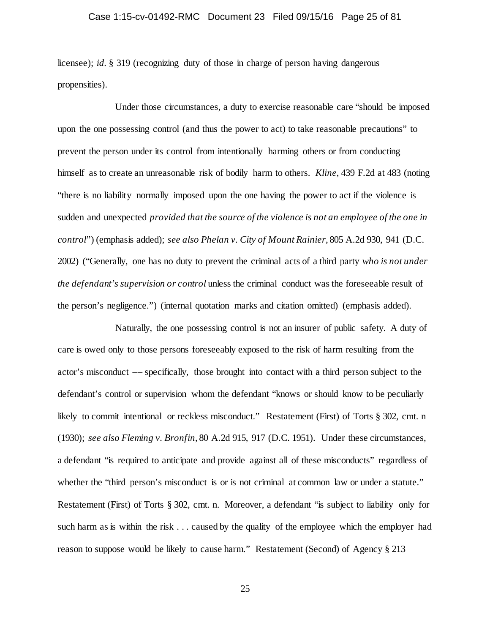## Case 1:15-cv-01492-RMC Document 23 Filed 09/15/16 Page 25 of 81

licensee); *id.* § 319 (recognizing duty of those in charge of person having dangerous propensities).

Under those circumstances, a duty to exercise reasonable care "should be imposed upon the one possessing control (and thus the power to act) to take reasonable precautions" to prevent the person under its control from intentionally harming others or from conducting himself as to create an unreasonable risk of bodily harm to others. *Kline*, 439 F.2d at 483 (noting "there is no liability normally imposed upon the one having the power to act if the violence is sudden and unexpected *provided that the source of the violence is not an employee of the one in control*") (emphasis added); *see also Phelan v. City of Mount Rainier*, 805 A.2d 930, 941 (D.C. 2002) ("Generally, one has no duty to prevent the criminal acts of a third party *who is not under the defendant's supervision or control* unless the criminal conduct was the foreseeable result of the person's negligence.") (internal quotation marks and citation omitted) (emphasis added).

Naturally, the one possessing control is not an insurer of public safety. A duty of care is owed only to those persons foreseeably exposed to the risk of harm resulting from the actor's misconduct –– specifically, those brought into contact with a third person subject to the defendant's control or supervision whom the defendant "knows or should know to be peculiarly likely to commit intentional or reckless misconduct." Restatement (First) of Torts § 302, cmt. n (1930); *see also Fleming v. Bronfin*, 80 A.2d 915, 917 (D.C. 1951). Under these circumstances, a defendant "is required to anticipate and provide against all of these misconducts" regardless of whether the "third person's misconduct is or is not criminal at common law or under a statute." Restatement (First) of Torts § 302, cmt. n. Moreover, a defendant "is subject to liability only for such harm as is within the risk . . . caused by the quality of the employee which the employer had reason to suppose would be likely to cause harm." Restatement (Second) of Agency § 213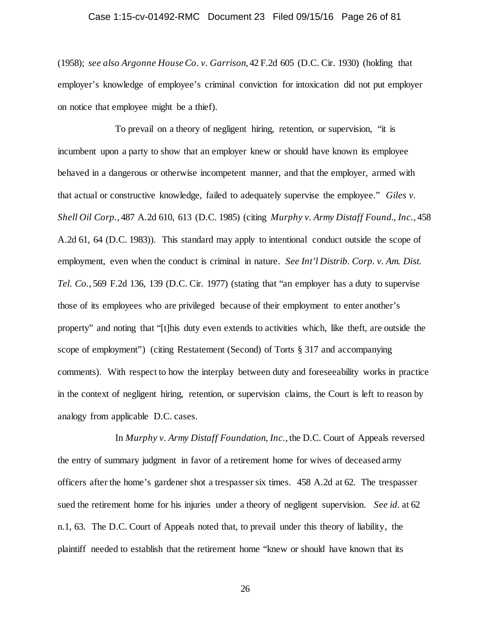## Case 1:15-cv-01492-RMC Document 23 Filed 09/15/16 Page 26 of 81

(1958); *see also Argonne House Co. v. Garrison*, 42 F.2d 605 (D.C. Cir. 1930) (holding that employer's knowledge of employee's criminal conviction for intoxication did not put employer on notice that employee might be a thief).

To prevail on a theory of negligent hiring, retention, or supervision, "it is incumbent upon a party to show that an employer knew or should have known its employee behaved in a dangerous or otherwise incompetent manner, and that the employer, armed with that actual or constructive knowledge, failed to adequately supervise the employee." *Giles v. Shell Oil Corp.*, 487 A.2d 610, 613 (D.C. 1985) (citing *Murphy v. Army Distaff Found., Inc.*, 458 A.2d 61, 64 (D.C. 1983)). This standard may apply to intentional conduct outside the scope of employment, even when the conduct is criminal in nature. *See Int'l Distrib. Corp. v. Am. Dist. Tel. Co.*, 569 F.2d 136, 139 (D.C. Cir. 1977) (stating that "an employer has a duty to supervise those of its employees who are privileged because of their employment to enter another's property" and noting that "[t]his duty even extends to activities which, like theft, are outside the scope of employment") (citing Restatement (Second) of Torts § 317 and accompanying comments). With respect to how the interplay between duty and foreseeability works in practice in the context of negligent hiring, retention, or supervision claims, the Court is left to reason by analogy from applicable D.C. cases.

In *Murphy v. Army Distaff Foundation, Inc.*, the D.C. Court of Appeals reversed the entry of summary judgment in favor of a retirement home for wives of deceased army officers after the home's gardener shot a trespasser six times. 458 A.2d at 62. The trespasser sued the retirement home for his injuries under a theory of negligent supervision. *See id.* at 62 n.1, 63. The D.C. Court of Appeals noted that, to prevail under this theory of liability, the plaintiff needed to establish that the retirement home "knew or should have known that its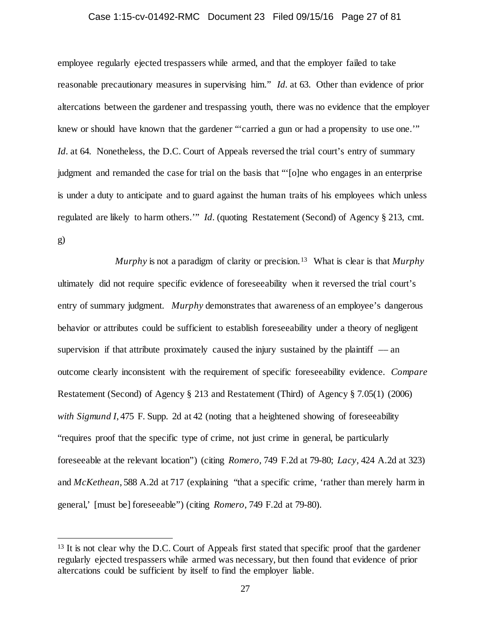### Case 1:15-cv-01492-RMC Document 23 Filed 09/15/16 Page 27 of 81

employee regularly ejected trespassers while armed, and that the employer failed to take reasonable precautionary measures in supervising him." *Id.* at 63. Other than evidence of prior altercations between the gardener and trespassing youth, there was no evidence that the employer knew or should have known that the gardener "'carried a gun or had a propensity to use one.'" *Id.* at 64. Nonetheless, the D.C. Court of Appeals reversed the trial court's entry of summary judgment and remanded the case for trial on the basis that "'[o]ne who engages in an enterprise is under a duty to anticipate and to guard against the human traits of his employees which unless regulated are likely to harm others.'" *Id.* (quoting Restatement (Second) of Agency § 213, cmt. g)

*Murphy* is not a paradigm of clarity or precision.[13](#page-26-0) What is clear is that *Murphy* ultimately did not require specific evidence of foreseeability when it reversed the trial court's entry of summary judgment. *Murphy* demonstrates that awareness of an employee's dangerous behavior or attributes could be sufficient to establish foreseeability under a theory of negligent supervision if that attribute proximately caused the injury sustained by the plaintiff  $-$  an outcome clearly inconsistent with the requirement of specific foreseeability evidence. *Compare*  Restatement (Second) of Agency § 213 and Restatement (Third) of Agency § 7.05(1) (2006) *with Sigmund I*, 475 F. Supp. 2d at 42 (noting that a heightened showing of foreseeability "requires proof that the specific type of crime, not just crime in general, be particularly foreseeable at the relevant location") (citing *Romero,* 749 F.2d at 79-80; *Lacy,* 424 A.2d at 323) and *McKethean*, 588 A.2d at 717 (explaining "that a specific crime, 'rather than merely harm in general,' [must be] foreseeable") (citing *Romero*, 749 F.2d at 79-80).

<span id="page-26-0"></span><sup>&</sup>lt;sup>13</sup> It is not clear why the D.C. Court of Appeals first stated that specific proof that the gardener regularly ejected trespassers while armed was necessary, but then found that evidence of prior altercations could be sufficient by itself to find the employer liable.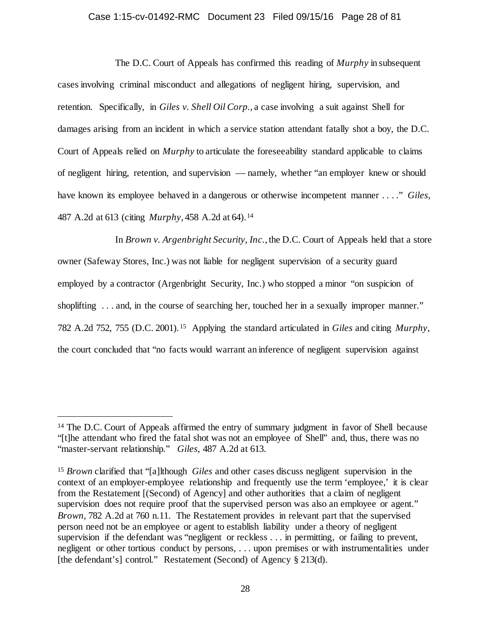## Case 1:15-cv-01492-RMC Document 23 Filed 09/15/16 Page 28 of 81

The D.C. Court of Appeals has confirmed this reading of *Murphy* in subsequent cases involving criminal misconduct and allegations of negligent hiring, supervision, and retention. Specifically, in *Giles v. Shell Oil Corp.*, a case involving a suit against Shell for damages arising from an incident in which a service station attendant fatally shot a boy, the D.C. Court of Appeals relied on *Murphy* to articulate the foreseeability standard applicable to claims of negligent hiring, retention, and supervision –– namely, whether "an employer knew or should have known its employee behaved in a dangerous or otherwise incompetent manner . . . ." *Giles*, 487 A.2d at 613 (citing *Murphy*, 458 A.2d at 64).[14](#page-27-0) 

In *Brown v. Argenbright Security, Inc.*, the D.C. Court of Appeals held that a store owner (Safeway Stores, Inc.) was not liable for negligent supervision of a security guard employed by a contractor (Argenbright Security, Inc.) who stopped a minor "on suspicion of shoplifting ... and, in the course of searching her, touched her in a sexually improper manner." 782 A.2d 752, 755 (D.C. 2001).[15](#page-27-1) Applying the standard articulated in *Giles* and citing *Murphy*, the court concluded that "no facts would warrant an inference of negligent supervision against

<span id="page-27-0"></span><sup>&</sup>lt;sup>14</sup> The D.C. Court of Appeals affirmed the entry of summary judgment in favor of Shell because "[t]he attendant who fired the fatal shot was not an employee of Shell" and, thus, there was no "master-servant relationship." *Giles*, 487 A.2d at 613.

<span id="page-27-1"></span><sup>15</sup> *Brown* clarified that "[a]lthough *Giles* and other cases discuss negligent supervision in the context of an employer-employee relationship and frequently use the term 'employee,' it is clear from the Restatement [(Second) of Agency] and other authorities that a claim of negligent supervision does not require proof that the supervised person was also an employee or agent." *Brown*, 782 A.2d at 760 n.11. The Restatement provides in relevant part that the supervised person need not be an employee or agent to establish liability under a theory of negligent supervision if the defendant was "negligent or reckless . . . in permitting, or failing to prevent, negligent or other tortious conduct by persons, . . . upon premises or with instrumentalities under [the defendant's] control." Restatement (Second) of Agency § 213(d).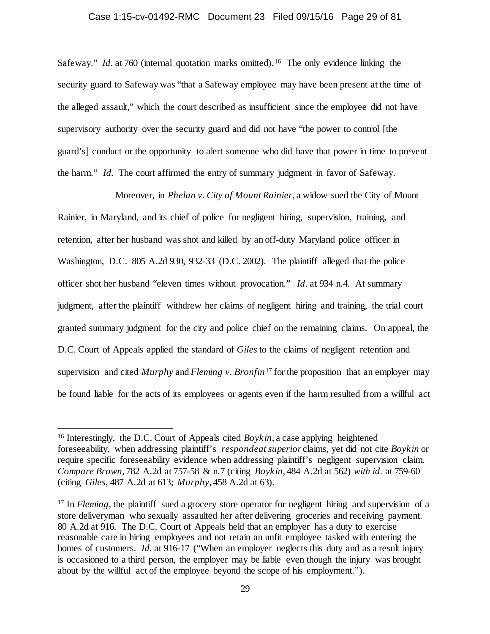### Case 1:15-cv-01492-RMC Document 23 Filed 09/15/16 Page 29 of 81

Safeway." *Id.* at 760 (internal quotation marks omitted).<sup>[16](#page-28-0)</sup> The only evidence linking the security guard to Safeway was "that a Safeway employee may have been present at the time of the alleged assault," which the court described as insufficient since the employee did not have supervisory authority over the security guard and did not have "the power to control [the guard's] conduct or the opportunity to alert someone who did have that power in time to prevent the harm." *Id.* The court affirmed the entry of summary judgment in favor of Safeway.

Moreover, in *Phelan v. City of Mount Rainier*, a widow sued the City of Mount Rainier, in Maryland, and its chief of police for negligent hiring, supervision, training, and retention, after her husband was shot and killed by an off-duty Maryland police officer in Washington, D.C. 805 A.2d 930, 932-33 (D.C. 2002). The plaintiff alleged that the police officer shot her husband "eleven times without provocation." *Id.* at 934 n.4. At summary judgment, after the plaintiff withdrew her claims of negligent hiring and training, the trial court granted summary judgment for the city and police chief on the remaining claims. On appeal, the D.C. Court of Appeals applied the standard of *Giles* to the claims of negligent retention and supervision and cited *Murphy* and *Fleming v. Bronfin*[17](#page-28-1) for the proposition that an employer may be found liable for the acts of its employees or agents even if the harm resulted from a willful act

<span id="page-28-0"></span><sup>&</sup>lt;sup>16</sup> Interestingly, the D.C. Court of Appeals cited *Boykin*, a case applying heightened foreseeability, when addressing plaintiff's *respondeat superior* claims, yet did not cite *Boykin* or require specific foreseeability evidence when addressing plaintiff's negligent supervision claim. *Compare Brown*, 782 A.2d at 757-58 & n.7 (citing *Boykin*, 484 A.2d at 562) *with id.* at 759-60 (citing *Giles*, 487 A.2d at 613; *Murphy*, 458 A.2d at 63).

<span id="page-28-1"></span><sup>&</sup>lt;sup>17</sup> In *Fleming*, the plaintiff sued a grocery store operator for negligent hiring and supervision of a store deliveryman who sexually assaulted her after delivering groceries and receiving payment. 80 A.2d at 916. The D.C. Court of Appeals held that an employer has a duty to exercise reasonable care in hiring employees and not retain an unfit employee tasked with entering the homes of customers. *Id.* at 916-17 ("When an employer neglects this duty and as a result injury is occasioned to a third person, the employer may be liable even though the injury was brought about by the willful act of the employee beyond the scope of his employment.").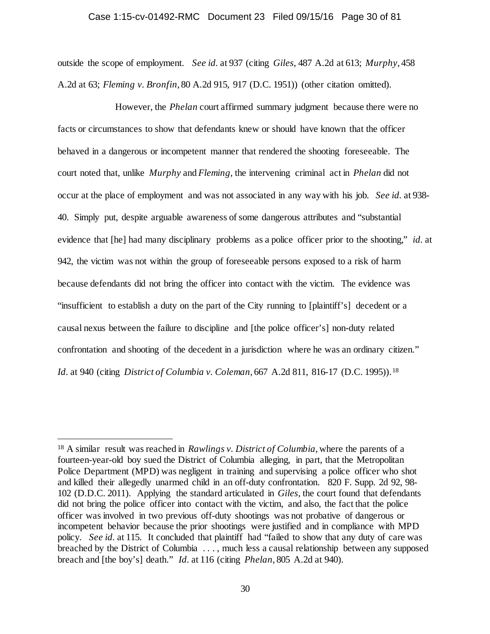#### Case 1:15-cv-01492-RMC Document 23 Filed 09/15/16 Page 30 of 81

outside the scope of employment. *See id.* at 937 (citing *Giles*, 487 A.2d at 613; *Murphy*, 458 A.2d at 63; *Fleming v. Bronfin*, 80 A.2d 915, 917 (D.C. 1951)) (other citation omitted).

However, the *Phelan* court affirmed summary judgment because there were no facts or circumstances to show that defendants knew or should have known that the officer behaved in a dangerous or incompetent manner that rendered the shooting foreseeable. The court noted that, unlike *Murphy* and *Fleming*, the intervening criminal act in *Phelan* did not occur at the place of employment and was not associated in any way with his job. *See id.* at 938- 40. Simply put, despite arguable awareness of some dangerous attributes and "substantial evidence that [he] had many disciplinary problems as a police officer prior to the shooting," *id.* at 942, the victim was not within the group of foreseeable persons exposed to a risk of harm because defendants did not bring the officer into contact with the victim. The evidence was "insufficient to establish a duty on the part of the City running to [plaintiff's] decedent or a causal nexus between the failure to discipline and [the police officer's] non-duty related confrontation and shooting of the decedent in a jurisdiction where he was an ordinary citizen." *Id.* at 940 (citing *District of Columbia v. Coleman,* 667 A.2d 811, 816-17 (D.C. 1995)).<sup>[18](#page-29-0)</sup>

<span id="page-29-0"></span> <sup>18</sup> A similar result was reached in *Rawlings v. District of Columbia*, where the parents of a fourteen-year-old boy sued the District of Columbia alleging, in part, that the Metropolitan Police Department (MPD) was negligent in training and supervising a police officer who shot and killed their allegedly unarmed child in an off-duty confrontation. 820 F. Supp. 2d 92, 98- 102 (D.D.C. 2011). Applying the standard articulated in *Giles*, the court found that defendants did not bring the police officer into contact with the victim, and also, the fact that the police officer was involved in two previous off-duty shootings was not probative of dangerous or incompetent behavior because the prior shootings were justified and in compliance with MPD policy. *See id.* at 115. It concluded that plaintiff had "failed to show that any duty of care was breached by the District of Columbia . . . , much less a causal relationship between any supposed breach and [the boy's] death." *Id.* at 116 (citing *Phelan*, 805 A.2d at 940).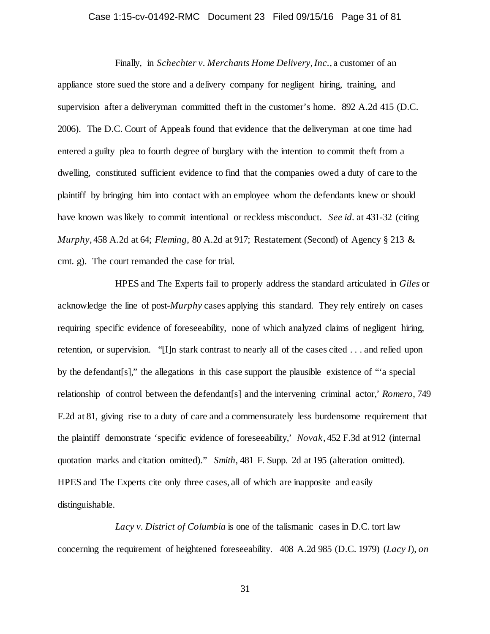## Case 1:15-cv-01492-RMC Document 23 Filed 09/15/16 Page 31 of 81

Finally, in *Schechter v. Merchants Home Delivery, Inc.*, a customer of an appliance store sued the store and a delivery company for negligent hiring, training, and supervision after a deliveryman committed theft in the customer's home. 892 A.2d 415 (D.C. 2006). The D.C. Court of Appeals found that evidence that the deliveryman at one time had entered a guilty plea to fourth degree of burglary with the intention to commit theft from a dwelling, constituted sufficient evidence to find that the companies owed a duty of care to the plaintiff by bringing him into contact with an employee whom the defendants knew or should have known was likely to commit intentional or reckless misconduct. *See id.* at 431-32 (citing *Murphy*, 458 A.2d at 64; *Fleming*, 80 A.2d at 917; Restatement (Second) of Agency § 213 & cmt. g). The court remanded the case for trial.

HPES and The Experts fail to properly address the standard articulated in *Giles* or acknowledge the line of post-*Murphy* cases applying this standard. They rely entirely on cases requiring specific evidence of foreseeability, none of which analyzed claims of negligent hiring, retention, or supervision. "[I]n stark contrast to nearly all of the cases cited . . . and relied upon by the defendant[s]," the allegations in this case support the plausible existence of "'a special relationship of control between the defendant[s] and the intervening criminal actor,' *Romero*, 749 F.2d at 81, giving rise to a duty of care and a commensurately less burdensome requirement that the plaintiff demonstrate 'specific evidence of foreseeability,' *Novak*, 452 F.3d at 912 (internal quotation marks and citation omitted)." *Smith*, 481 F. Supp. 2d at 195 (alteration omitted). HPES and The Experts cite only three cases, all of which are inapposite and easily distinguishable.

*Lacy v. District of Columbia* is one of the talismanic cases in D.C. tort law concerning the requirement of heightened foreseeability. 408 A.2d 985 (D.C. 1979) (*Lacy I*), *on*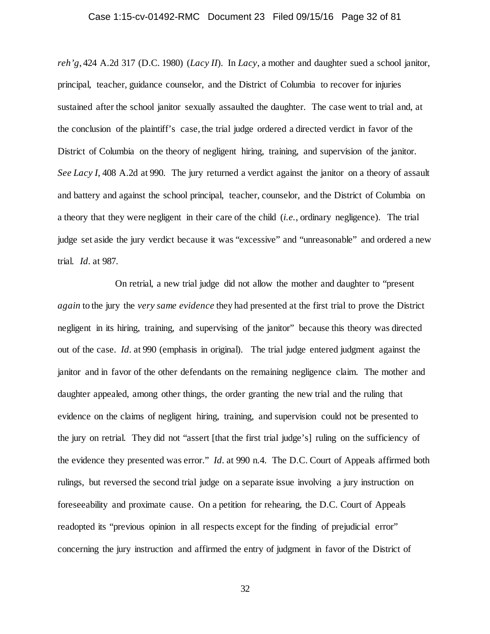## Case 1:15-cv-01492-RMC Document 23 Filed 09/15/16 Page 32 of 81

*reh'g*, 424 A.2d 317 (D.C. 1980) (*Lacy II*). In *Lacy*, a mother and daughter sued a school janitor, principal, teacher, guidance counselor, and the District of Columbia to recover for injuries sustained after the school janitor sexually assaulted the daughter. The case went to trial and, at the conclusion of the plaintiff's case, the trial judge ordered a directed verdict in favor of the District of Columbia on the theory of negligent hiring, training, and supervision of the janitor. *See Lacy I*, 408 A.2d at 990. The jury returned a verdict against the janitor on a theory of assault and battery and against the school principal, teacher, counselor, and the District of Columbia on a theory that they were negligent in their care of the child (*i.e.*, ordinary negligence). The trial judge set aside the jury verdict because it was "excessive" and "unreasonable" and ordered a new trial. *Id.* at 987.

On retrial, a new trial judge did not allow the mother and daughter to "present *again* to the jury the *very same evidence* they had presented at the first trial to prove the District negligent in its hiring, training, and supervising of the janitor" because this theory was directed out of the case. *Id.* at 990 (emphasis in original). The trial judge entered judgment against the janitor and in favor of the other defendants on the remaining negligence claim. The mother and daughter appealed, among other things, the order granting the new trial and the ruling that evidence on the claims of negligent hiring, training, and supervision could not be presented to the jury on retrial. They did not "assert [that the first trial judge's] ruling on the sufficiency of the evidence they presented was error." *Id.* at 990 n.4. The D.C. Court of Appeals affirmed both rulings, but reversed the second trial judge on a separate issue involving a jury instruction on foreseeability and proximate cause. On a petition for rehearing, the D.C. Court of Appeals readopted its "previous opinion in all respects except for the finding of prejudicial error" concerning the jury instruction and affirmed the entry of judgment in favor of the District of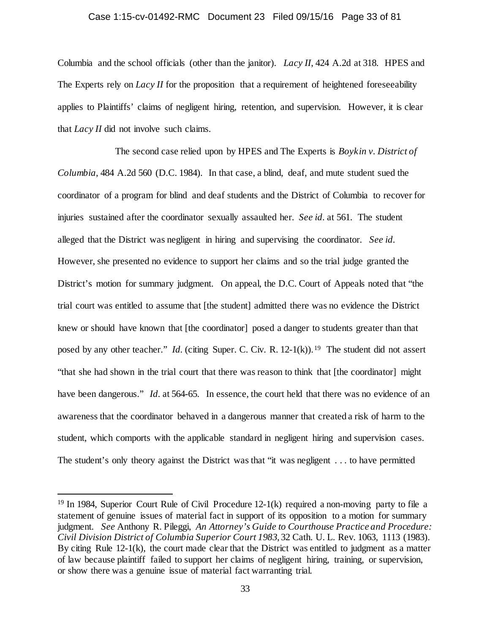#### Case 1:15-cv-01492-RMC Document 23 Filed 09/15/16 Page 33 of 81

Columbia and the school officials (other than the janitor). *Lacy II*, 424 A.2d at 318. HPES and The Experts rely on *Lacy II* for the proposition that a requirement of heightened foreseeability applies to Plaintiffs' claims of negligent hiring, retention, and supervision. However, it is clear that *Lacy II* did not involve such claims.

The second case relied upon by HPES and The Experts is *Boykin v. District of Columbia*, 484 A.2d 560 (D.C. 1984). In that case, a blind, deaf, and mute student sued the coordinator of a program for blind and deaf students and the District of Columbia to recover for injuries sustained after the coordinator sexually assaulted her. *See id.* at 561. The student alleged that the District was negligent in hiring and supervising the coordinator. *See id.* However, she presented no evidence to support her claims and so the trial judge granted the District's motion for summary judgment. On appeal, the D.C. Court of Appeals noted that "the trial court was entitled to assume that [the student] admitted there was no evidence the District knew or should have known that [the coordinator] posed a danger to students greater than that posed by any other teacher." *Id.* (citing Super. C. Civ. R. 12-1(k)).<sup>19</sup> The student did not assert "that she had shown in the trial court that there was reason to think that [the coordinator] might have been dangerous." *Id.* at 564-65. In essence, the court held that there was no evidence of an awareness that the coordinator behaved in a dangerous manner that created a risk of harm to the student, which comports with the applicable standard in negligent hiring and supervision cases. The student's only theory against the District was that "it was negligent . . . to have permitted

<span id="page-32-0"></span> <sup>19</sup> In 1984, Superior Court Rule of Civil Procedure 12-1(k) required a non-moving party to file a statement of genuine issues of material fact in support of its opposition to a motion for summary judgment. *See* Anthony R. Pileggi, *An Attorney's Guide to Courthouse Practice and Procedure: Civil Division District of Columbia Superior Court 1983*, 32 Cath. U. L. Rev. 1063, 1113 (1983). By citing Rule 12-1(k), the court made clear that the District was entitled to judgment as a matter of law because plaintiff failed to support her claims of negligent hiring, training, or supervision, or show there was a genuine issue of material fact warranting trial.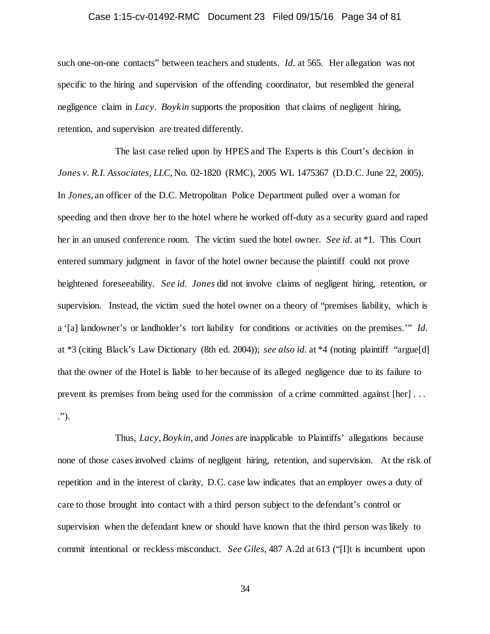## Case 1:15-cv-01492-RMC Document 23 Filed 09/15/16 Page 34 of 81

such one-on-one contacts" between teachers and students. *Id.* at 565. Her allegation was not specific to the hiring and supervision of the offending coordinator, but resembled the general negligence claim in *Lacy*. *Boykin* supports the proposition that claims of negligent hiring, retention, and supervision are treated differently.

The last case relied upon by HPES and The Experts is this Court's decision in *Jones v. R.I. Associates, LLC*, No. 02-1820 (RMC), 2005 WL 1475367 (D.D.C. June 22, 2005). In *Jones*, an officer of the D.C. Metropolitan Police Department pulled over a woman for speeding and then drove her to the hotel where he worked off-duty as a security guard and raped her in an unused conference room. The victim sued the hotel owner. *See id.* at \*1. This Court entered summary judgment in favor of the hotel owner because the plaintiff could not prove heightened foreseeability. *See id. Jones* did not involve claims of negligent hiring, retention, or supervision. Instead, the victim sued the hotel owner on a theory of "premises liability, which is a '[a] landowner's or landholder's tort liability for conditions or activities on the premises.'" *Id.* at \*3 (citing Black's Law Dictionary (8th ed. 2004)); *see also id.* at \*4 (noting plaintiff "argue[d] that the owner of the Hotel is liable to her because of its alleged negligence due to its failure to prevent its premises from being used for the commission of a crime committed against [her] . . . .").

Thus, *Lacy*, *Boykin*, and *Jones* are inapplicable to Plaintiffs' allegations because none of those cases involved claims of negligent hiring, retention, and supervision. At the risk of repetition and in the interest of clarity, D.C. case law indicates that an employer owes a duty of care to those brought into contact with a third person subject to the defendant's control or supervision when the defendant knew or should have known that the third person was likely to commit intentional or reckless misconduct. *See Giles*, 487 A.2d at 613 ("[I]t is incumbent upon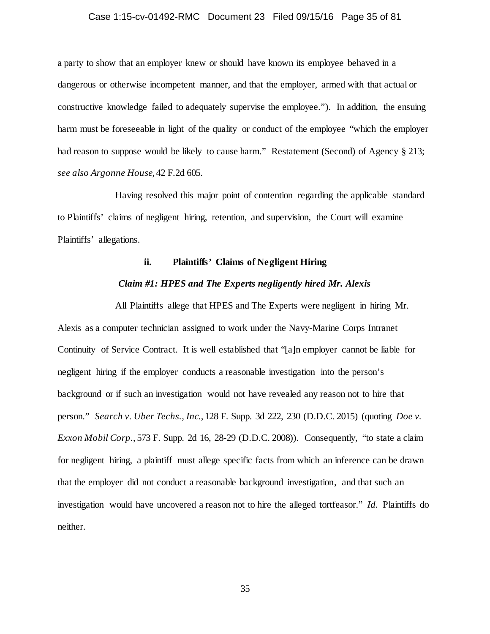## Case 1:15-cv-01492-RMC Document 23 Filed 09/15/16 Page 35 of 81

a party to show that an employer knew or should have known its employee behaved in a dangerous or otherwise incompetent manner, and that the employer, armed with that actual or constructive knowledge failed to adequately supervise the employee."). In addition, the ensuing harm must be foreseeable in light of the quality or conduct of the employee "which the employer had reason to suppose would be likely to cause harm." Restatement (Second) of Agency § 213; *see also Argonne House*, 42 F.2d 605.

Having resolved this major point of contention regarding the applicable standard to Plaintiffs' claims of negligent hiring, retention, and supervision, the Court will examine Plaintiffs' allegations.

## **ii. Plaintiffs' Claims of Negligent Hiring**

### *Claim #1: HPES and The Experts negligently hired Mr. Alexis*

All Plaintiffs allege that HPES and The Experts were negligent in hiring Mr. Alexis as a computer technician assigned to work under the Navy-Marine Corps Intranet Continuity of Service Contract. It is well established that "[a]n employer cannot be liable for negligent hiring if the employer conducts a reasonable investigation into the person's background or if such an investigation would not have revealed any reason not to hire that person." *Search v. Uber Techs., Inc.*, 128 F. Supp. 3d 222, 230 (D.D.C. 2015) (quoting *Doe v. Exxon Mobil Corp.*, 573 F. Supp. 2d 16, 28-29 (D.D.C. 2008)). Consequently, "to state a claim for negligent hiring, a plaintiff must allege specific facts from which an inference can be drawn that the employer did not conduct a reasonable background investigation, and that such an investigation would have uncovered a reason not to hire the alleged tortfeasor." *Id.* Plaintiffs do neither.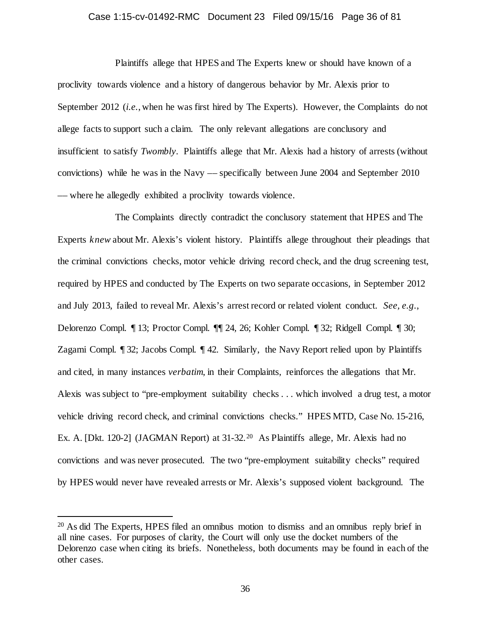## Case 1:15-cv-01492-RMC Document 23 Filed 09/15/16 Page 36 of 81

Plaintiffs allege that HPES and The Experts knew or should have known of a proclivity towards violence and a history of dangerous behavior by Mr. Alexis prior to September 2012 (*i.e.*, when he was first hired by The Experts). However, the Complaints do not allege facts to support such a claim. The only relevant allegations are conclusory and insufficient to satisfy *Twombly*. Plaintiffs allege that Mr. Alexis had a history of arrests (without convictions) while he was in the Navy –– specifically between June 2004 and September 2010 –– where he allegedly exhibited a proclivity towards violence.

The Complaints directly contradict the conclusory statement that HPES and The Experts *knew* about Mr. Alexis's violent history. Plaintiffs allege throughout their pleadings that the criminal convictions checks, motor vehicle driving record check, and the drug screening test, required by HPES and conducted by The Experts on two separate occasions, in September 2012 and July 2013, failed to reveal Mr. Alexis's arrest record or related violent conduct. *See, e.g.*, Delorenzo Compl. ¶ 13; Proctor Compl. ¶¶ 24, 26; Kohler Compl. ¶ 32; Ridgell Compl. ¶ 30; Zagami Compl. ¶ 32; Jacobs Compl. ¶ 42. Similarly, the Navy Report relied upon by Plaintiffs and cited, in many instances *verbatim*, in their Complaints, reinforces the allegations that Mr. Alexis was subject to "pre-employment suitability checks . . . which involved a drug test, a motor vehicle driving record check, and criminal convictions checks." HPES MTD, Case No. 15-216, Ex. A. [Dkt. 1[20](#page-35-0)-2] (JAGMAN Report) at 31-32.<sup>20</sup> As Plaintiffs allege, Mr. Alexis had no convictions and was never prosecuted. The two "pre-employment suitability checks" required by HPES would never have revealed arrests or Mr. Alexis's supposed violent background. The

<span id="page-35-0"></span> <sup>20</sup> As did The Experts, HPES filed an omnibus motion to dismiss and an omnibus reply brief in all nine cases. For purposes of clarity, the Court will only use the docket numbers of the Delorenzo case when citing its briefs. Nonetheless, both documents may be found in each of the other cases.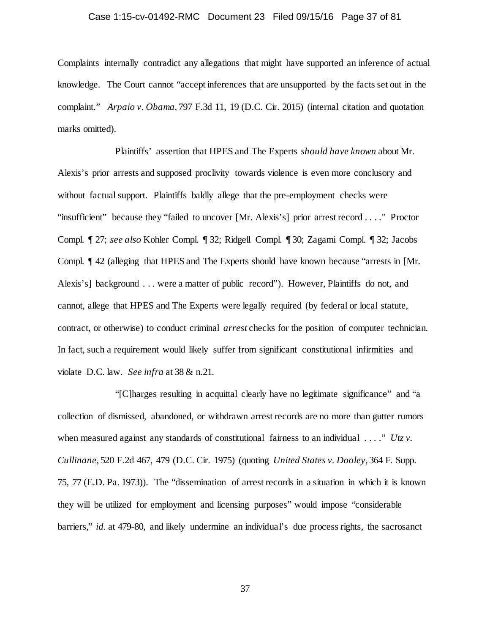# Case 1:15-cv-01492-RMC Document 23 Filed 09/15/16 Page 37 of 81

Complaints internally contradict any allegations that might have supported an inference of actual knowledge. The Court cannot "accept inferences that are unsupported by the facts set out in the complaint." *Arpaio v. Obama*, 797 F.3d 11, 19 (D.C. Cir. 2015) (internal citation and quotation marks omitted).

Plaintiffs' assertion that HPES and The Experts *should have known* about Mr. Alexis's prior arrests and supposed proclivity towards violence is even more conclusory and without factual support. Plaintiffs baldly allege that the pre-employment checks were "insufficient" because they "failed to uncover [Mr. Alexis's] prior arrest record . . . ." Proctor Compl. ¶ 27; *see also* Kohler Compl. ¶ 32; Ridgell Compl. ¶ 30; Zagami Compl. ¶ 32; Jacobs Compl. ¶ 42 (alleging that HPES and The Experts should have known because "arrests in [Mr. Alexis's] background . . . were a matter of public record"). However, Plaintiffs do not, and cannot, allege that HPES and The Experts were legally required (by federal or local statute, contract, or otherwise) to conduct criminal *arrest* checks for the position of computer technician. In fact, such a requirement would likely suffer from significant constitutional infirmities and violate D.C. law. *See infra* at 38 & n.21.

"[C]harges resulting in acquittal clearly have no legitimate significance" and "a collection of dismissed, abandoned, or withdrawn arrest records are no more than gutter rumors when measured against any standards of constitutional fairness to an individual . . . ." *Utz v*. *Cullinane*, 520 F.2d 467, 479 (D.C. Cir. 1975) (quoting *United States v. Dooley*, 364 F. Supp. 75, 77 (E.D. Pa. 1973)). The "dissemination of arrest records in a situation in which it is known they will be utilized for employment and licensing purposes" would impose "considerable barriers," *id.* at 479-80, and likely undermine an individual's due process rights, the sacrosanct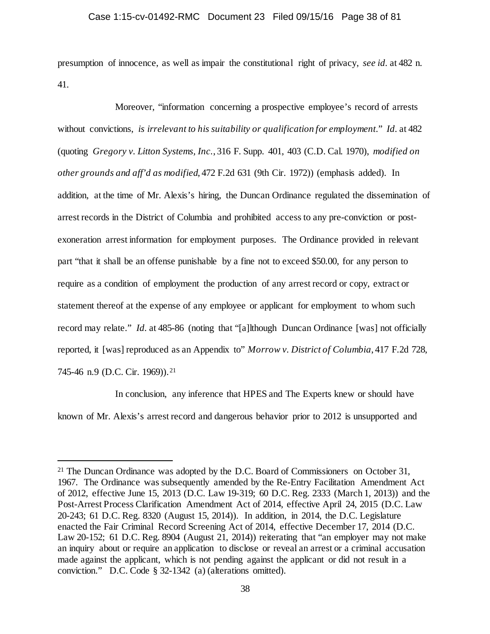presumption of innocence, as well as impair the constitutional right of privacy, *see id.* at 482 n. 41.

Moreover, "information concerning a prospective employee's record of arrests without convictions, *is irrelevant to his suitability or qualification for employment*." *Id.* at 482 (quoting *Gregory v. Litton Systems, Inc.*, 316 F. Supp. 401, 403 (C.D. Cal. 1970), *modified on other grounds and aff'd as modified*, 472 F.2d 631 (9th Cir. 1972)) (emphasis added). In addition, at the time of Mr. Alexis's hiring, the Duncan Ordinance regulated the dissemination of arrest records in the District of Columbia and prohibited access to any pre-conviction or postexoneration arrest information for employment purposes. The Ordinance provided in relevant part "that it shall be an offense punishable by a fine not to exceed \$50.00, for any person to require as a condition of employment the production of any arrest record or copy, extract or statement thereof at the expense of any employee or applicant for employment to whom such record may relate." *Id.* at 485-86 (noting that "[a]lthough Duncan Ordinance [was] not officially reported, it [was] reproduced as an Appendix to" *Morrow v. District of Columbia*, 417 F.2d 728, 745-46 n.9 (D.C. Cir. 1969)).<sup>[21](#page-37-0)</sup>

In conclusion, any inference that HPES and The Experts knew or should have known of Mr. Alexis's arrest record and dangerous behavior prior to 2012 is unsupported and

<span id="page-37-0"></span><sup>&</sup>lt;sup>21</sup> The Duncan Ordinance was adopted by the D.C. Board of Commissioners on October 31, 1967. The Ordinance was subsequently amended by the Re-Entry Facilitation Amendment Act of 2012, effective June 15, 2013 (D.C. Law 19-319; 60 D.C. Reg. 2333 (March 1, 2013)) and the Post-Arrest Process Clarification Amendment Act of 2014, effective April 24, 2015 (D.C. Law 20-243; 61 D.C. Reg. 8320 (August 15, 2014)). In addition, in 2014, the D.C. Legislature enacted the Fair Criminal Record Screening Act of 2014, effective December 17, 2014 (D.C. Law 20-152; 61 D.C. Reg. 8904 (August 21, 2014)) reiterating that "an employer may not make an inquiry about or require an application to disclose or reveal an arrest or a criminal accusation made against the applicant, which is not pending against the applicant or did not result in a conviction." D.C. Code § 32-1342 (a) (alterations omitted).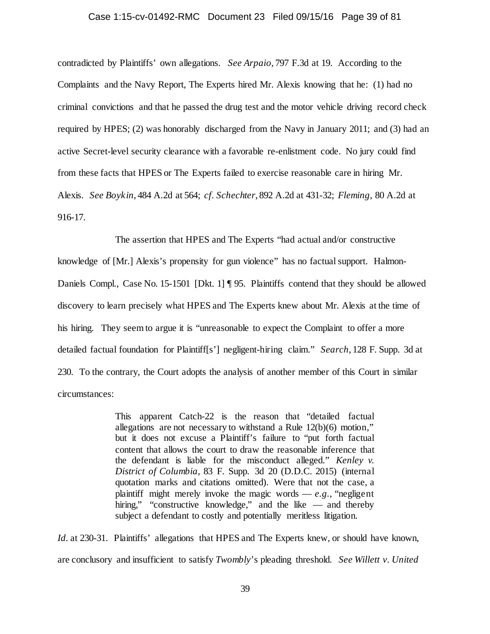#### Case 1:15-cv-01492-RMC Document 23 Filed 09/15/16 Page 39 of 81

contradicted by Plaintiffs' own allegations. *See Arpaio*, 797 F.3d at 19. According to the Complaints and the Navy Report, The Experts hired Mr. Alexis knowing that he: (1) had no criminal convictions and that he passed the drug test and the motor vehicle driving record check required by HPES; (2) was honorably discharged from the Navy in January 2011; and (3) had an active Secret-level security clearance with a favorable re-enlistment code. No jury could find from these facts that HPES or The Experts failed to exercise reasonable care in hiring Mr. Alexis. *See Boykin*, 484 A.2d at 564; *cf. Schechter*, 892 A.2d at 431-32; *Fleming*, 80 A.2d at 916-17.

The assertion that HPES and The Experts "had actual and/or constructive knowledge of [Mr.] Alexis's propensity for gun violence" has no factual support. Halmon-Daniels Compl., Case No. 15-1501 [Dkt. 1] ¶ 95. Plaintiffs contend that they should be allowed discovery to learn precisely what HPES and The Experts knew about Mr. Alexis at the time of his hiring. They seem to argue it is "unreasonable to expect the Complaint to offer a more detailed factual foundation for Plaintiff[s'] negligent-hiring claim." *Search*, 128 F. Supp. 3d at 230. To the contrary, the Court adopts the analysis of another member of this Court in similar circumstances:

> This apparent Catch-22 is the reason that "detailed factual allegations are not necessary to withstand a Rule 12(b)(6) motion," but it does not excuse a Plaintiff's failure to "put forth factual content that allows the court to draw the reasonable inference that the defendant is liable for the misconduct alleged." *Kenley v. District of Columbia,* 83 F. Supp. 3d 20 (D.D.C. 2015) (internal quotation marks and citations omitted). Were that not the case, a plaintiff might merely invoke the magic words  $-e.g.,$  "negligent" hiring," "constructive knowledge," and the like — and thereby subject a defendant to costly and potentially meritless litigation.

*Id.* at 230-31. Plaintiffs' allegations that HPES and The Experts knew, or should have known, are conclusory and insufficient to satisfy *Twombly*'s pleading threshold. *See Willett v. United*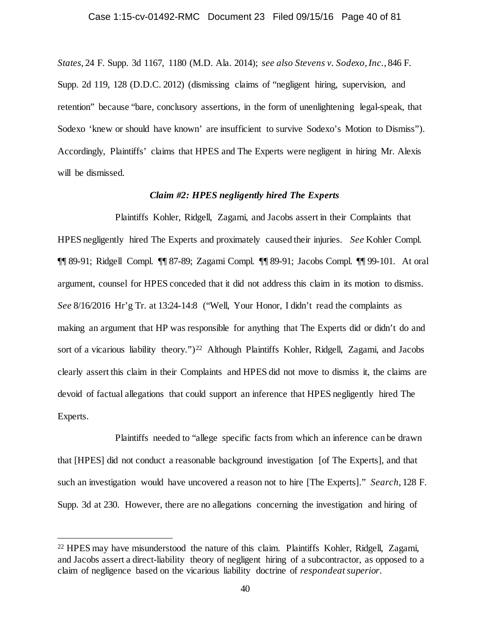#### Case 1:15-cv-01492-RMC Document 23 Filed 09/15/16 Page 40 of 81

*States*, 24 F. Supp. 3d 1167, 1180 (M.D. Ala. 2014); *see also Stevens v. Sodexo, Inc.*, 846 F. Supp. 2d 119, 128 (D.D.C. 2012) (dismissing claims of "negligent hiring, supervision, and retention" because "bare, conclusory assertions, in the form of unenlightening legal-speak, that Sodexo 'knew or should have known' are insufficient to survive Sodexo's Motion to Dismiss"). Accordingly, Plaintiffs' claims that HPES and The Experts were negligent in hiring Mr. Alexis will be dismissed.

# *Claim #2: HPES negligently hired The Experts*

Plaintiffs Kohler, Ridgell, Zagami, and Jacobs assert in their Complaints that HPES negligently hired The Experts and proximately caused their injuries. *See* Kohler Compl. ¶¶ 89-91; Ridgell Compl. ¶¶ 87-89; Zagami Compl. ¶¶ 89-91; Jacobs Compl. ¶¶ 99-101. At oral argument, counsel for HPES conceded that it did not address this claim in its motion to dismiss. *See* 8/16/2016 Hr'g Tr. at 13:24-14:8 ("Well, Your Honor, I didn't read the complaints as making an argument that HP was responsible for anything that The Experts did or didn't do and sort of a vicarious liability theory.")<sup>22</sup> Although Plaintiffs Kohler, Ridgell, Zagami, and Jacobs clearly assert this claim in their Complaints and HPES did not move to dismiss it, the claims are devoid of factual allegations that could support an inference that HPES negligently hired The Experts.

Plaintiffs needed to "allege specific facts from which an inference can be drawn that [HPES] did not conduct a reasonable background investigation [of The Experts], and that such an investigation would have uncovered a reason not to hire [The Experts]." *Search*, 128 F. Supp. 3d at 230. However, there are no allegations concerning the investigation and hiring of

<span id="page-39-0"></span> <sup>22</sup> HPES may have misunderstood the nature of this claim. Plaintiffs Kohler, Ridgell, Zagami, and Jacobs assert a direct-liability theory of negligent hiring of a subcontractor, as opposed to a claim of negligence based on the vicarious liability doctrine of *respondeat superior*.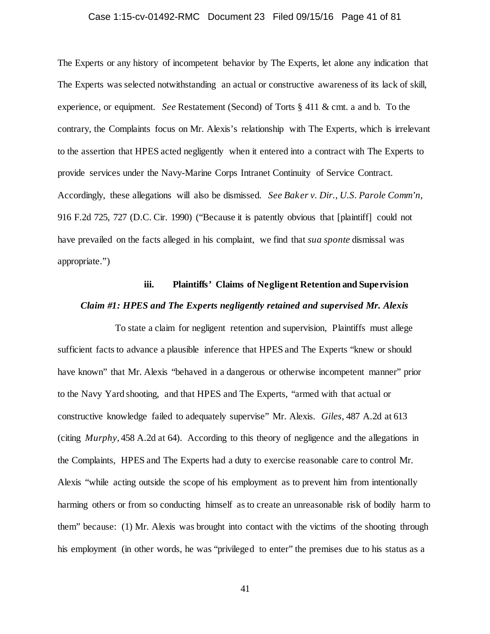# Case 1:15-cv-01492-RMC Document 23 Filed 09/15/16 Page 41 of 81

The Experts or any history of incompetent behavior by The Experts, let alone any indication that The Experts was selected notwithstanding an actual or constructive awareness of its lack of skill, experience, or equipment. *See* Restatement (Second) of Torts § 411 & cmt. a and b. To the contrary, the Complaints focus on Mr. Alexis's relationship with The Experts, which is irrelevant to the assertion that HPES acted negligently when it entered into a contract with The Experts to provide services under the Navy-Marine Corps Intranet Continuity of Service Contract. Accordingly, these allegations will also be dismissed. *See Baker v. Dir., U.S. Parole Comm'n*, 916 F.2d 725, 727 (D.C. Cir. 1990) ("Because it is patently obvious that [plaintiff] could not have prevailed on the facts alleged in his complaint, we find that *sua sponte* dismissal was appropriate.")

# **iii. Plaintiffs' Claims of Negligent Retention and Supervision** *Claim #1: HPES and The Experts negligently retained and supervised Mr. Alexis*

To state a claim for negligent retention and supervision, Plaintiffs must allege sufficient facts to advance a plausible inference that HPES and The Experts "knew or should have known" that Mr. Alexis "behaved in a dangerous or otherwise incompetent manner" prior to the Navy Yard shooting, and that HPES and The Experts, "armed with that actual or constructive knowledge failed to adequately supervise" Mr. Alexis. *Giles*, 487 A.2d at 613 (citing *Murphy*, 458 A.2d at 64). According to this theory of negligence and the allegations in the Complaints, HPES and The Experts had a duty to exercise reasonable care to control Mr. Alexis "while acting outside the scope of his employment as to prevent him from intentionally harming others or from so conducting himself as to create an unreasonable risk of bodily harm to them" because: (1) Mr. Alexis was brought into contact with the victims of the shooting through his employment (in other words, he was "privileged to enter" the premises due to his status as a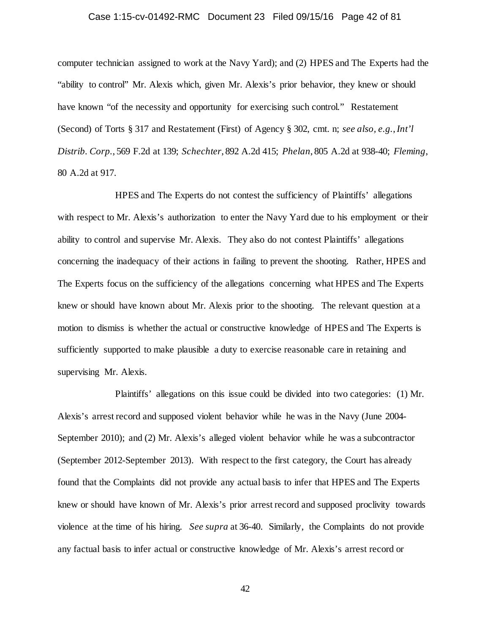# Case 1:15-cv-01492-RMC Document 23 Filed 09/15/16 Page 42 of 81

computer technician assigned to work at the Navy Yard); and (2) HPES and The Experts had the "ability to control" Mr. Alexis which, given Mr. Alexis's prior behavior, they knew or should have known "of the necessity and opportunity for exercising such control." Restatement (Second) of Torts § 317 and Restatement (First) of Agency § 302, cmt. n; *see also, e.g.*,*Int'l Distrib. Corp.*, 569 F.2d at 139; *Schechter*, 892 A.2d 415; *Phelan*, 805 A.2d at 938-40; *Fleming*, 80 A.2d at 917.

HPES and The Experts do not contest the sufficiency of Plaintiffs' allegations with respect to Mr. Alexis's authorization to enter the Navy Yard due to his employment or their ability to control and supervise Mr. Alexis. They also do not contest Plaintiffs' allegations concerning the inadequacy of their actions in failing to prevent the shooting. Rather, HPES and The Experts focus on the sufficiency of the allegations concerning what HPES and The Experts knew or should have known about Mr. Alexis prior to the shooting. The relevant question at a motion to dismiss is whether the actual or constructive knowledge of HPES and The Experts is sufficiently supported to make plausible a duty to exercise reasonable care in retaining and supervising Mr. Alexis.

Plaintiffs' allegations on this issue could be divided into two categories: (1) Mr. Alexis's arrest record and supposed violent behavior while he was in the Navy (June 2004- September 2010); and (2) Mr. Alexis's alleged violent behavior while he was a subcontractor (September 2012-September 2013). With respect to the first category, the Court has already found that the Complaints did not provide any actual basis to infer that HPES and The Experts knew or should have known of Mr. Alexis's prior arrest record and supposed proclivity towards violence at the time of his hiring. *See supra* at 36-40. Similarly, the Complaints do not provide any factual basis to infer actual or constructive knowledge of Mr. Alexis's arrest record or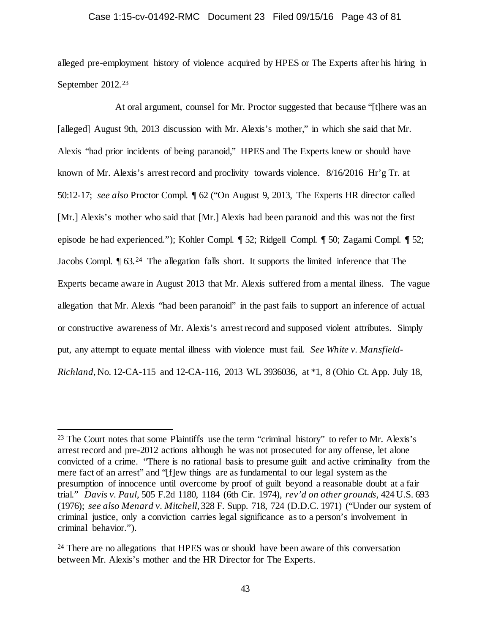# Case 1:15-cv-01492-RMC Document 23 Filed 09/15/16 Page 43 of 81

alleged pre-employment history of violence acquired by HPES or The Experts after his hiring in September 2012.<sup>[23](#page-42-0)</sup>

At oral argument, counsel for Mr. Proctor suggested that because "[t]here was an [alleged] August 9th, 2013 discussion with Mr. Alexis's mother," in which she said that Mr. Alexis "had prior incidents of being paranoid," HPES and The Experts knew or should have known of Mr. Alexis's arrest record and proclivity towards violence. 8/16/2016 Hr'g Tr. at 50:12-17; *see also* Proctor Compl. ¶ 62 ("On August 9, 2013, The Experts HR director called [Mr.] Alexis's mother who said that [Mr.] Alexis had been paranoid and this was not the first episode he had experienced."); Kohler Compl. ¶ 52; Ridgell Compl. ¶ 50; Zagami Compl. ¶ 52; Jacobs Compl. ¶ 63.[24](#page-42-1) The allegation falls short. It supports the limited inference that The Experts became aware in August 2013 that Mr. Alexis suffered from a mental illness. The vague allegation that Mr. Alexis "had been paranoid" in the past fails to support an inference of actual or constructive awareness of Mr. Alexis's arrest record and supposed violent attributes. Simply put, any attempt to equate mental illness with violence must fail. *See White v. Mansfield-Richland*, No. 12-CA-115 and 12-CA-116, 2013 WL 3936036, at \*1, 8 (Ohio Ct. App. July 18,

<span id="page-42-0"></span><sup>&</sup>lt;sup>23</sup> The Court notes that some Plaintiffs use the term "criminal history" to refer to Mr. Alexis's arrest record and pre-2012 actions although he was not prosecuted for any offense, let alone convicted of a crime. "There is no rational basis to presume guilt and active criminality from the mere fact of an arrest" and "[f]ew things are as fundamental to our legal system as the presumption of innocence until overcome by proof of guilt beyond a reasonable doubt at a fair trial." *Davis v. Paul*, 505 F.2d 1180, 1184 (6th Cir. 1974), *rev'd on other grounds,* 424 U.S. 693 (1976); *see also Menard v. Mitchell*, 328 F. Supp. 718, 724 (D.D.C. 1971) ("Under our system of criminal justice, only a conviction carries legal significance as to a person's involvement in criminal behavior.").

<span id="page-42-1"></span><sup>&</sup>lt;sup>24</sup> There are no allegations that HPES was or should have been aware of this conversation between Mr. Alexis's mother and the HR Director for The Experts.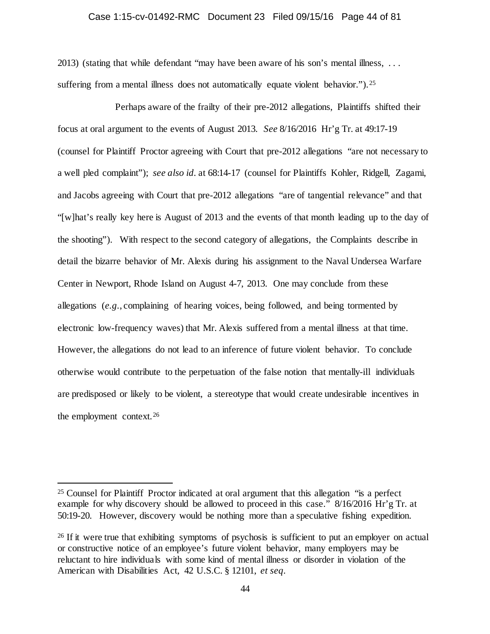#### Case 1:15-cv-01492-RMC Document 23 Filed 09/15/16 Page 44 of 81

2013) (stating that while defendant "may have been aware of his son's mental illness, . . . suffering from a mental illness does not automatically equate violent behavior."). <sup>25</sup>

Perhaps aware of the frailty of their pre-2012 allegations, Plaintiffs shifted their focus at oral argument to the events of August 2013. *See* 8/16/2016 Hr'g Tr. at 49:17-19 (counsel for Plaintiff Proctor agreeing with Court that pre-2012 allegations "are not necessary to a well pled complaint"); *see also id.* at 68:14-17 (counsel for Plaintiffs Kohler, Ridgell, Zagami, and Jacobs agreeing with Court that pre-2012 allegations "are of tangential relevance" and that "[w]hat's really key here is August of 2013 and the events of that month leading up to the day of the shooting"). With respect to the second category of allegations, the Complaints describe in detail the bizarre behavior of Mr. Alexis during his assignment to the Naval Undersea Warfare Center in Newport, Rhode Island on August 4-7, 2013. One may conclude from these allegations (*e.g.*, complaining of hearing voices, being followed, and being tormented by electronic low-frequency waves) that Mr. Alexis suffered from a mental illness at that time. However, the allegations do not lead to an inference of future violent behavior. To conclude otherwise would contribute to the perpetuation of the false notion that mentally-ill individuals are predisposed or likely to be violent, a stereotype that would create undesirable incentives in the employment context.[26](#page-43-1)

<span id="page-43-0"></span> <sup>25</sup> Counsel for Plaintiff Proctor indicated at oral argument that this allegation "is a perfect example for why discovery should be allowed to proceed in this case." 8/16/2016 Hr'g Tr. at 50:19-20. However, discovery would be nothing more than a speculative fishing expedition.

<span id="page-43-1"></span><sup>&</sup>lt;sup>26</sup> If it were true that exhibiting symptoms of psychosis is sufficient to put an employer on actual or constructive notice of an employee's future violent behavior, many employers may be reluctant to hire individuals with some kind of mental illness or disorder in violation of the American with Disabilities Act, 42 U.S.C. § 12101, *et seq.*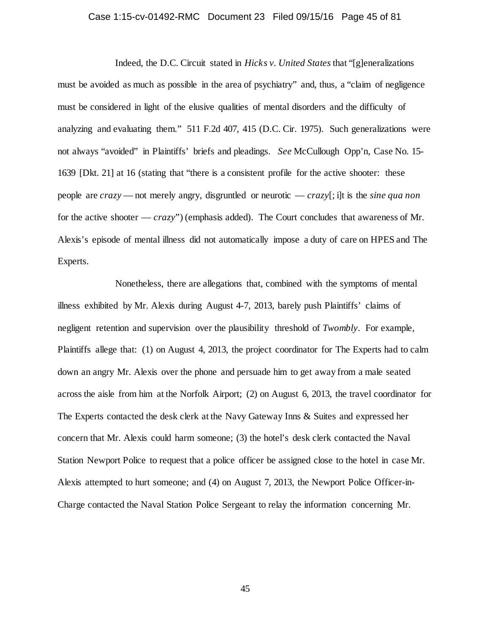# Case 1:15-cv-01492-RMC Document 23 Filed 09/15/16 Page 45 of 81

Indeed, the D.C. Circuit stated in *Hicks v. United States* that "[g]eneralizations must be avoided as much as possible in the area of psychiatry" and, thus, a "claim of negligence must be considered in light of the elusive qualities of mental disorders and the difficulty of analyzing and evaluating them." 511 F.2d 407, 415 (D.C. Cir. 1975). Such generalizations were not always "avoided" in Plaintiffs' briefs and pleadings. *See* McCullough Opp'n, Case No. 15- 1639 [Dkt. 21] at 16 (stating that "there is a consistent profile for the active shooter: these people are *crazy* — not merely angry, disgruntled or neurotic — *crazy*[; i]t is the *sine qua non*  for the active shooter — *crazy*") (emphasis added). The Court concludes that awareness of Mr. Alexis's episode of mental illness did not automatically impose a duty of care on HPES and The Experts.

Nonetheless, there are allegations that, combined with the symptoms of mental illness exhibited by Mr. Alexis during August 4-7, 2013, barely push Plaintiffs' claims of negligent retention and supervision over the plausibility threshold of *Twombly*. For example, Plaintiffs allege that: (1) on August 4, 2013, the project coordinator for The Experts had to calm down an angry Mr. Alexis over the phone and persuade him to get away from a male seated across the aisle from him at the Norfolk Airport; (2) on August 6, 2013, the travel coordinator for The Experts contacted the desk clerk at the Navy Gateway Inns & Suites and expressed her concern that Mr. Alexis could harm someone; (3) the hotel's desk clerk contacted the Naval Station Newport Police to request that a police officer be assigned close to the hotel in case Mr. Alexis attempted to hurt someone; and (4) on August 7, 2013, the Newport Police Officer-in-Charge contacted the Naval Station Police Sergeant to relay the information concerning Mr.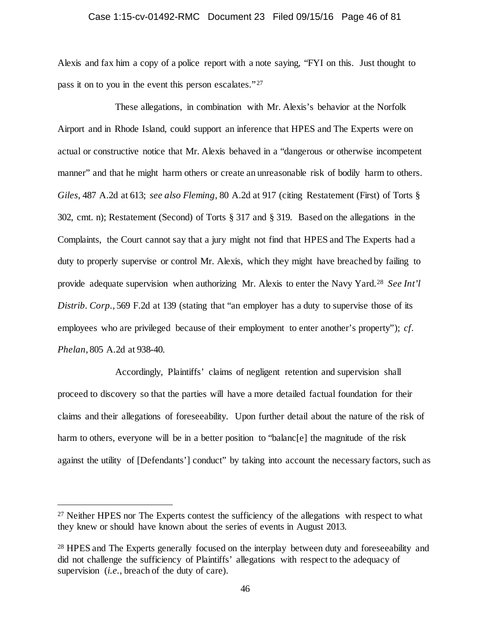# Case 1:15-cv-01492-RMC Document 23 Filed 09/15/16 Page 46 of 81

Alexis and fax him a copy of a police report with a note saying, "FYI on this. Just thought to pass it on to you in the event this person escalates."<sup>[27](#page-45-0)</sup>

These allegations, in combination with Mr. Alexis's behavior at the Norfolk Airport and in Rhode Island, could support an inference that HPES and The Experts were on actual or constructive notice that Mr. Alexis behaved in a "dangerous or otherwise incompetent manner" and that he might harm others or create an unreasonable risk of bodily harm to others. *Giles*, 487 A.2d at 613; *see also Fleming*, 80 A.2d at 917 (citing Restatement (First) of Torts § 302, cmt. n); Restatement (Second) of Torts § 317 and § 319. Based on the allegations in the Complaints, the Court cannot say that a jury might not find that HPES and The Experts had a duty to properly supervise or control Mr. Alexis, which they might have breached by failing to provide adequate supervision when authorizing Mr. Alexis to enter the Navy Yard.[28](#page-45-1) *See Int'l Distrib. Corp.*, 569 F.2d at 139 (stating that "an employer has a duty to supervise those of its employees who are privileged because of their employment to enter another's property"); *cf. Phelan*, 805 A.2d at 938-40.

Accordingly, Plaintiffs' claims of negligent retention and supervision shall proceed to discovery so that the parties will have a more detailed factual foundation for their claims and their allegations of foreseeability. Upon further detail about the nature of the risk of harm to others, everyone will be in a better position to "balanc[e] the magnitude of the risk against the utility of [Defendants'] conduct" by taking into account the necessary factors, such as

<span id="page-45-0"></span><sup>&</sup>lt;sup>27</sup> Neither HPES nor The Experts contest the sufficiency of the allegations with respect to what they knew or should have known about the series of events in August 2013.

<span id="page-45-1"></span><sup>&</sup>lt;sup>28</sup> HPES and The Experts generally focused on the interplay between duty and foreseeability and did not challenge the sufficiency of Plaintiffs' allegations with respect to the adequacy of supervision (*i.e.*, breach of the duty of care).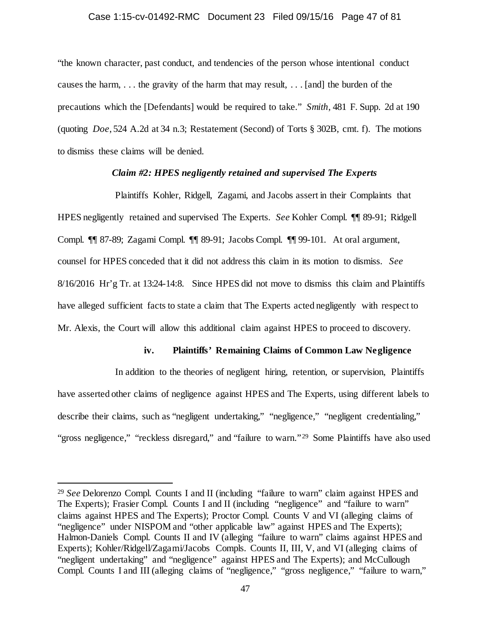#### Case 1:15-cv-01492-RMC Document 23 Filed 09/15/16 Page 47 of 81

"the known character, past conduct, and tendencies of the person whose intentional conduct causes the harm, . . . the gravity of the harm that may result, . . . [and] the burden of the precautions which the [Defendants] would be required to take." *Smith*, 481 F. Supp. 2d at 190 (quoting *Doe*, 524 A.2d at 34 n.3; Restatement (Second) of Torts § 302B, cmt. f). The motions to dismiss these claims will be denied.

# *Claim #2: HPES negligently retained and supervised The Experts*

Plaintiffs Kohler, Ridgell, Zagami, and Jacobs assert in their Complaints that HPES negligently retained and supervised The Experts. *See* Kohler Compl. ¶¶ 89-91; Ridgell Compl. ¶¶ 87-89; Zagami Compl. ¶¶ 89-91; Jacobs Compl. ¶¶ 99-101. At oral argument, counsel for HPES conceded that it did not address this claim in its motion to dismiss. *See*  8/16/2016 Hr'g Tr. at 13:24-14:8. Since HPES did not move to dismiss this claim and Plaintiffs have alleged sufficient facts to state a claim that The Experts acted negligently with respect to Mr. Alexis, the Court will allow this additional claim against HPES to proceed to discovery.

# **iv. Plaintiffs' Remaining Claims of Common Law Negligence**

In addition to the theories of negligent hiring, retention, or supervision, Plaintiffs have asserted other claims of negligence against HPES and The Experts, using different labels to describe their claims, such as "negligent undertaking," "negligence," "negligent credentialing," "gross negligence," "reckless disregard," and "failure to warn."<sup>29</sup> Some Plaintiffs have also used

<span id="page-46-0"></span> <sup>29</sup> *See* Delorenzo Compl. Counts I and II (including "failure to warn" claim against HPES and The Experts); Frasier Compl. Counts I and II (including "negligence" and "failure to warn" claims against HPES and The Experts); Proctor Compl. Counts V and VI (alleging claims of "negligence" under NISPOM and "other applicable law" against HPES and The Experts); Halmon-Daniels Compl. Counts II and IV (alleging "failure to warn" claims against HPES and Experts); Kohler/Ridgell/Zagami/Jacobs Compls. Counts II, III, V, and VI (alleging claims of "negligent undertaking" and "negligence" against HPES and The Experts); and McCullough Compl. Counts I and III (alleging claims of "negligence," "gross negligence," "failure to warn,"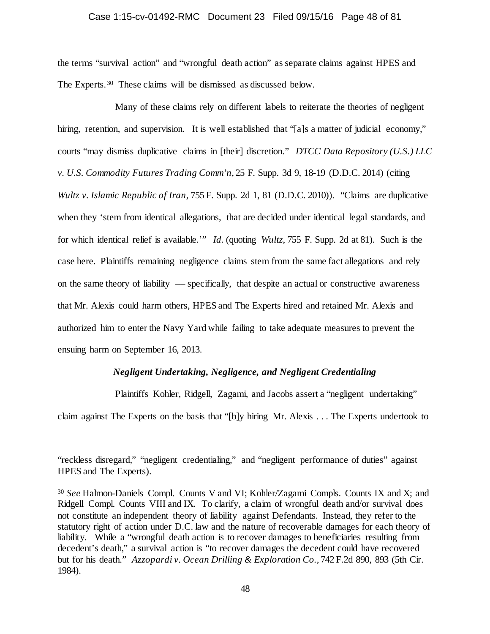#### Case 1:15-cv-01492-RMC Document 23 Filed 09/15/16 Page 48 of 81

the terms "survival action" and "wrongful death action" as separate claims against HPES and The Experts.[30](#page-47-0) These claims will be dismissed as discussed below.

Many of these claims rely on different labels to reiterate the theories of negligent hiring, retention, and supervision. It is well established that "[a]s a matter of judicial economy," courts "may dismiss duplicative claims in [their] discretion." *DTCC Data Repository (U.S.) LLC v. U.S. Commodity Futures Trading Comm'n*, 25 F. Supp. 3d 9, 18-19 (D.D.C. 2014) (citing *Wultz v. Islamic Republic of Iran,* 755 F. Supp. 2d 1, 81 (D.D.C. 2010)). "Claims are duplicative when they 'stem from identical allegations, that are decided under identical legal standards, and for which identical relief is available.'" *Id.* (quoting *Wultz*, 755 F. Supp. 2d at 81). Such is the case here. Plaintiffs remaining negligence claims stem from the same fact allegations and rely on the same theory of liability –– specifically, that despite an actual or constructive awareness that Mr. Alexis could harm others, HPES and The Experts hired and retained Mr. Alexis and authorized him to enter the Navy Yard while failing to take adequate measures to prevent the ensuing harm on September 16, 2013.

# *Negligent Undertaking, Negligence, and Negligent Credentialing*

Plaintiffs Kohler, Ridgell, Zagami, and Jacobs assert a "negligent undertaking"

claim against The Experts on the basis that "[b]y hiring Mr. Alexis . . . The Experts undertook to

 $\overline{a}$ 

<sup>&</sup>quot;reckless disregard," "negligent credentialing," and "negligent performance of duties" against HPES and The Experts).

<span id="page-47-0"></span><sup>30</sup> *See* Halmon-Daniels Compl. Counts V and VI; Kohler/Zagami Compls. Counts IX and X; and Ridgell Compl. Counts VIII and IX. To clarify, a claim of wrongful death and/or survival does not constitute an independent theory of liability against Defendants. Instead, they refer to the statutory right of action under D.C. law and the nature of recoverable damages for each theory of liability. While a "wrongful death action is to recover damages to beneficiaries resulting from decedent's death," a survival action is "to recover damages the decedent could have recovered but for his death." *Azzopardi v. Ocean Drilling & Exploration Co.,* 742 F.2d 890, 893 (5th Cir. 1984).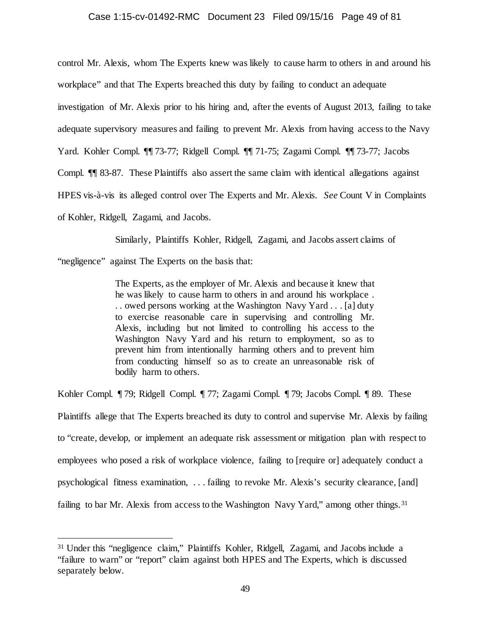#### Case 1:15-cv-01492-RMC Document 23 Filed 09/15/16 Page 49 of 81

control Mr. Alexis, whom The Experts knew was likely to cause harm to others in and around his

workplace" and that The Experts breached this duty by failing to conduct an adequate

investigation of Mr. Alexis prior to his hiring and, after the events of August 2013, failing to take

adequate supervisory measures and failing to prevent Mr. Alexis from having access to the Navy

Yard. Kohler Compl. ¶¶ 73-77; Ridgell Compl. ¶¶ 71-75; Zagami Compl. ¶¶ 73-77; Jacobs

Compl. ¶¶ 83-87. These Plaintiffs also assert the same claim with identical allegations against

HPES vis-à-vis its alleged control over The Experts and Mr. Alexis. *See* Count V in Complaints

of Kohler, Ridgell, Zagami, and Jacobs.

Similarly, Plaintiffs Kohler, Ridgell, Zagami, and Jacobs assert claims of

"negligence" against The Experts on the basis that:

The Experts, as the employer of Mr. Alexis and because it knew that he was likely to cause harm to others in and around his workplace . . . owed persons working at the Washington Navy Yard . . . [a] duty to exercise reasonable care in supervising and controlling Mr. Alexis, including but not limited to controlling his access to the Washington Navy Yard and his return to employment, so as to prevent him from intentionally harming others and to prevent him from conducting himself so as to create an unreasonable risk of bodily harm to others.

Kohler Compl. ¶ 79; Ridgell Compl. ¶ 77; Zagami Compl. ¶ 79; Jacobs Compl. ¶ 89. These Plaintiffs allege that The Experts breached its duty to control and supervise Mr. Alexis by failing to "create, develop, or implement an adequate risk assessment or mitigation plan with respect to employees who posed a risk of workplace violence, failing to [require or] adequately conduct a psychological fitness examination, . . . failing to revoke Mr. Alexis's security clearance, [and] failing to bar Mr. Alexis from access to the Washington Navy Yard," among other things.<sup>31</sup>

<span id="page-48-0"></span> <sup>31</sup> Under this "negligence claim," Plaintiffs Kohler, Ridgell, Zagami, and Jacobs include a "failure to warn" or "report" claim against both HPES and The Experts, which is discussed separately below.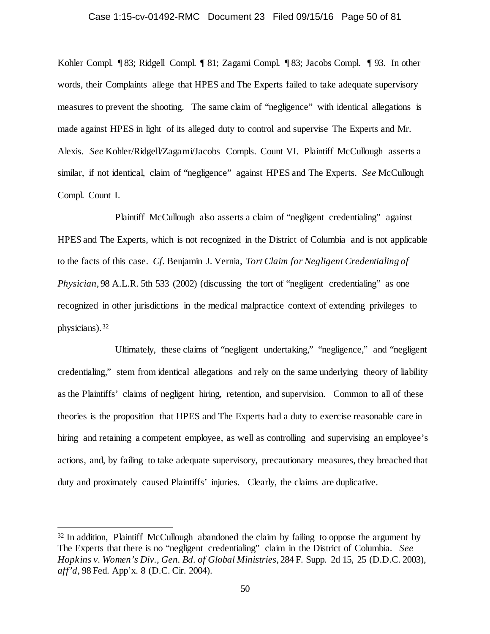#### Case 1:15-cv-01492-RMC Document 23 Filed 09/15/16 Page 50 of 81

Kohler Compl. ¶ 83; Ridgell Compl. ¶ 81; Zagami Compl. ¶ 83; Jacobs Compl. ¶ 93. In other words, their Complaints allege that HPES and The Experts failed to take adequate supervisory measures to prevent the shooting. The same claim of "negligence" with identical allegations is made against HPES in light of its alleged duty to control and supervise The Experts and Mr. Alexis. *See* Kohler/Ridgell/Zagami/Jacobs Compls. Count VI. Plaintiff McCullough asserts a similar, if not identical, claim of "negligence" against HPES and The Experts. *See* McCullough Compl. Count I.

Plaintiff McCullough also asserts a claim of "negligent credentialing" against HPES and The Experts, which is not recognized in the District of Columbia and is not applicable to the facts of this case. *Cf.* Benjamin J. Vernia, *Tort Claim for Negligent Credentialing of Physician*, 98 A.L.R. 5th 533 (2002) (discussing the tort of "negligent credentialing" as one recognized in other jurisdictions in the medical malpractice context of extending privileges to physicians).[32](#page-49-0)

Ultimately, these claims of "negligent undertaking," "negligence," and "negligent credentialing," stem from identical allegations and rely on the same underlying theory of liability as the Plaintiffs' claims of negligent hiring, retention, and supervision. Common to all of these theories is the proposition that HPES and The Experts had a duty to exercise reasonable care in hiring and retaining a competent employee, as well as controlling and supervising an employee's actions, and, by failing to take adequate supervisory, precautionary measures, they breached that duty and proximately caused Plaintiffs' injuries. Clearly, the claims are duplicative.

<span id="page-49-0"></span><sup>&</sup>lt;sup>32</sup> In addition, Plaintiff McCullough abandoned the claim by failing to oppose the argument by The Experts that there is no "negligent credentialing" claim in the District of Columbia. *See Hopkins v. Women's Div., Gen. Bd. of Global Ministries*, 284 F. Supp. 2d 15, 25 (D.D.C. 2003), *aff'd,* 98 Fed. App'x. 8 (D.C. Cir. 2004).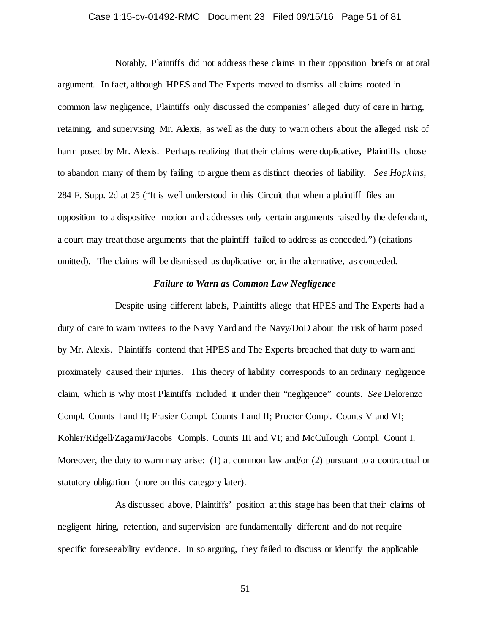# Case 1:15-cv-01492-RMC Document 23 Filed 09/15/16 Page 51 of 81

Notably, Plaintiffs did not address these claims in their opposition briefs or at oral argument. In fact, although HPES and The Experts moved to dismiss all claims rooted in common law negligence, Plaintiffs only discussed the companies' alleged duty of care in hiring, retaining, and supervising Mr. Alexis, as well as the duty to warn others about the alleged risk of harm posed by Mr. Alexis. Perhaps realizing that their claims were duplicative, Plaintiffs chose to abandon many of them by failing to argue them as distinct theories of liability. *See Hopkins*, 284 F. Supp. 2d at 25 ("It is well understood in this Circuit that when a plaintiff files an opposition to a dispositive motion and addresses only certain arguments raised by the defendant, a court may treat those arguments that the plaintiff failed to address as conceded.") (citations omitted). The claims will be dismissed as duplicative or, in the alternative, as conceded.

# *Failure to Warn as Common Law Negligence*

Despite using different labels, Plaintiffs allege that HPES and The Experts had a duty of care to warn invitees to the Navy Yard and the Navy/DoD about the risk of harm posed by Mr. Alexis. Plaintiffs contend that HPES and The Experts breached that duty to warn and proximately caused their injuries. This theory of liability corresponds to an ordinary negligence claim, which is why most Plaintiffs included it under their "negligence" counts. *See* Delorenzo Compl. Counts I and II; Frasier Compl. Counts I and II; Proctor Compl. Counts V and VI; Kohler/Ridgell/Zagami/Jacobs Compls. Counts III and VI; and McCullough Compl. Count I. Moreover, the duty to warn may arise: (1) at common law and/or (2) pursuant to a contractual or statutory obligation (more on this category later).

As discussed above, Plaintiffs' position at this stage has been that their claims of negligent hiring, retention, and supervision are fundamentally different and do not require specific foreseeability evidence. In so arguing, they failed to discuss or identify the applicable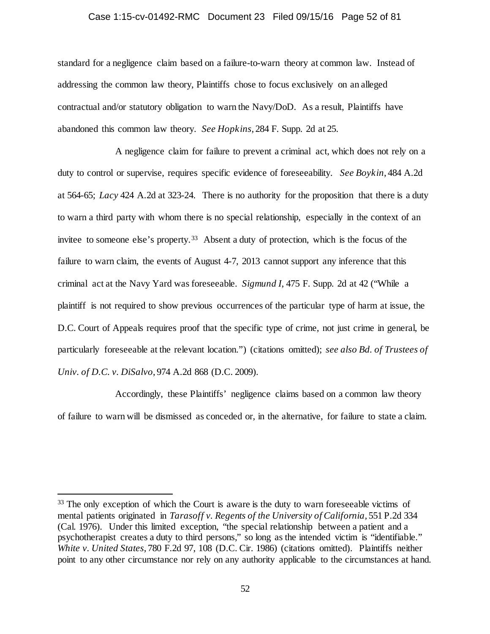#### Case 1:15-cv-01492-RMC Document 23 Filed 09/15/16 Page 52 of 81

standard for a negligence claim based on a failure-to-warn theory at common law. Instead of addressing the common law theory, Plaintiffs chose to focus exclusively on an alleged contractual and/or statutory obligation to warn the Navy/DoD. As a result, Plaintiffs have abandoned this common law theory. *See Hopkins*, 284 F. Supp. 2d at 25.

A negligence claim for failure to prevent a criminal act, which does not rely on a duty to control or supervise, requires specific evidence of foreseeability. *See Boykin*, 484 A.2d at 564-65; *Lacy* 424 A.2d at 323-24. There is no authority for the proposition that there is a duty to warn a third party with whom there is no special relationship, especially in the context of an invitee to someone else's property.<sup>[33](#page-51-0)</sup> Absent a duty of protection, which is the focus of the failure to warn claim, the events of August 4-7, 2013 cannot support any inference that this criminal act at the Navy Yard was foreseeable. *Sigmund I*, 475 F. Supp. 2d at 42 ("While a plaintiff is not required to show previous occurrences of the particular type of harm at issue, the D.C. Court of Appeals requires proof that the specific type of crime, not just crime in general, be particularly foreseeable at the relevant location.") (citations omitted); *see also Bd. of Trustees of Univ. of D.C. v. DiSalvo*, 974 A.2d 868 (D.C. 2009).

Accordingly, these Plaintiffs' negligence claims based on a common law theory of failure to warn will be dismissed as conceded or, in the alternative, for failure to state a claim.

<span id="page-51-0"></span><sup>&</sup>lt;sup>33</sup> The only exception of which the Court is aware is the duty to warn foreseeable victims of mental patients originated in *Tarasoff v. Regents of the University of California*, 551 P.2d 334 (Cal. 1976). Under this limited exception, "the special relationship between a patient and a psychotherapist creates a duty to third persons," so long as the intended victim is "identifiable." *White v. United States*, 780 F.2d 97, 108 (D.C. Cir. 1986) (citations omitted). Plaintiffs neither point to any other circumstance nor rely on any authority applicable to the circumstances at hand.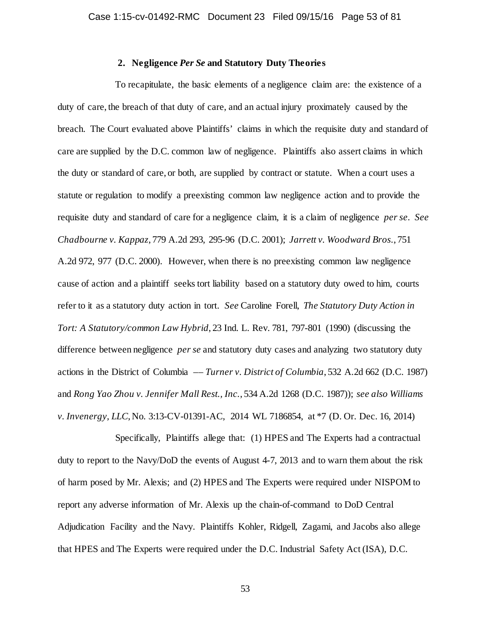# **2. Negligence** *Per Se* **and Statutory Duty Theories**

To recapitulate, the basic elements of a negligence claim are: the existence of a duty of care, the breach of that duty of care, and an actual injury proximately caused by the breach. The Court evaluated above Plaintiffs' claims in which the requisite duty and standard of care are supplied by the D.C. common law of negligence. Plaintiffs also assert claims in which the duty or standard of care, or both, are supplied by contract or statute. When a court uses a statute or regulation to modify a preexisting common law negligence action and to provide the requisite duty and standard of care for a negligence claim, it is a claim of negligence *per se*. *See Chadbourne v. Kappaz*, 779 A.2d 293, 295-96 (D.C. 2001); *Jarrett v. Woodward Bros.*, 751 A.2d 972, 977 (D.C. 2000). However, when there is no preexisting common law negligence cause of action and a plaintiff seeks tort liability based on a statutory duty owed to him, courts refer to it as a statutory duty action in tort. *See* Caroline Forell, *The Statutory Duty Action in Tort: A Statutory/common Law Hybrid*, 23 Ind. L. Rev. 781, 797-801 (1990) (discussing the difference between negligence *per se* and statutory duty cases and analyzing two statutory duty actions in the District of Columbia –– *Turner v. District of Columbia*, 532 A.2d 662 (D.C. 1987) and *Rong Yao Zhou v. Jennifer Mall Rest., Inc.*, 534 A.2d 1268 (D.C. 1987)); *see also Williams v. Invenergy, LLC*, No. 3:13-CV-01391-AC, 2014 WL 7186854, at \*7 (D. Or. Dec. 16, 2014)

Specifically, Plaintiffs allege that: (1) HPES and The Experts had a contractual duty to report to the Navy/DoD the events of August 4-7, 2013 and to warn them about the risk of harm posed by Mr. Alexis; and (2) HPES and The Experts were required under NISPOM to report any adverse information of Mr. Alexis up the chain-of-command to DoD Central Adjudication Facility and the Navy. Plaintiffs Kohler, Ridgell, Zagami, and Jacobs also allege that HPES and The Experts were required under the D.C. Industrial Safety Act (ISA), D.C.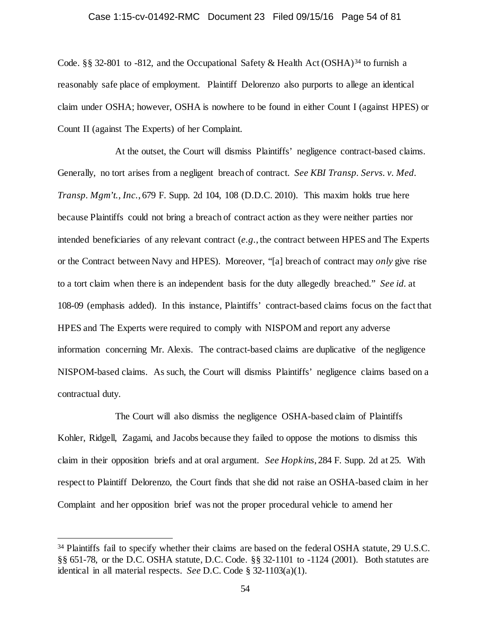# Case 1:15-cv-01492-RMC Document 23 Filed 09/15/16 Page 54 of 81

Code. §§ 32-801 to -812, and the Occupational Safety & Health Act (OSHA)<sup>[34](#page-53-0)</sup> to furnish a reasonably safe place of employment. Plaintiff Delorenzo also purports to allege an identical claim under OSHA; however, OSHA is nowhere to be found in either Count I (against HPES) or Count II (against The Experts) of her Complaint.

At the outset, the Court will dismiss Plaintiffs' negligence contract-based claims. Generally, no tort arises from a negligent breach of contract. *See KBI Transp. Servs. v. Med. Transp. Mgm't., Inc.*, 679 F. Supp. 2d 104, 108 (D.D.C. 2010). This maxim holds true here because Plaintiffs could not bring a breach of contract action as they were neither parties nor intended beneficiaries of any relevant contract (*e.g.*, the contract between HPES and The Experts or the Contract between Navy and HPES). Moreover, "[a] breach of contract may *only* give rise to a tort claim when there is an independent basis for the duty allegedly breached." *See id.* at 108-09 (emphasis added). In this instance, Plaintiffs' contract-based claims focus on the fact that HPES and The Experts were required to comply with NISPOM and report any adverse information concerning Mr. Alexis. The contract-based claims are duplicative of the negligence NISPOM-based claims. As such, the Court will dismiss Plaintiffs' negligence claims based on a contractual duty.

The Court will also dismiss the negligence OSHA-based claim of Plaintiffs Kohler, Ridgell, Zagami, and Jacobs because they failed to oppose the motions to dismiss this claim in their opposition briefs and at oral argument. *See Hopkins*, 284 F. Supp. 2d at 25. With respect to Plaintiff Delorenzo, the Court finds that she did not raise an OSHA-based claim in her Complaint and her opposition brief was not the proper procedural vehicle to amend her

<span id="page-53-0"></span><sup>&</sup>lt;sup>34</sup> Plaintiffs fail to specify whether their claims are based on the federal OSHA statute, 29 U.S.C. §§ 651-78, or the D.C. OSHA statute, D.C. Code. §§ 32-1101 to -1124 (2001). Both statutes are identical in all material respects. *See* D.C. Code § 32-1103(a)(1).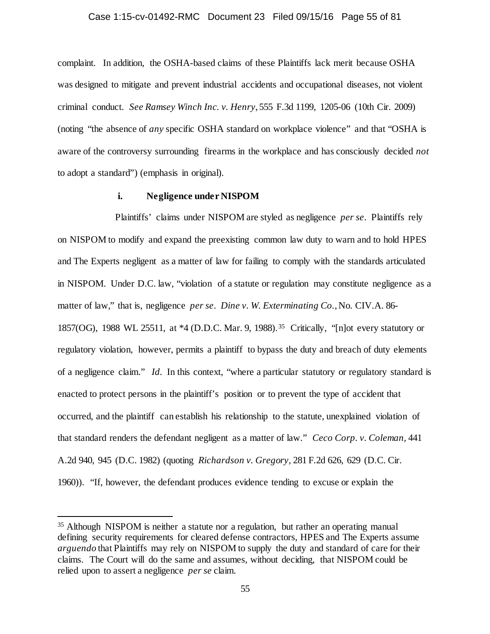#### Case 1:15-cv-01492-RMC Document 23 Filed 09/15/16 Page 55 of 81

complaint. In addition, the OSHA-based claims of these Plaintiffs lack merit because OSHA was designed to mitigate and prevent industrial accidents and occupational diseases, not violent criminal conduct. *See Ramsey Winch Inc. v. Henry*, 555 F.3d 1199, 1205-06 (10th Cir. 2009) (noting "the absence of *any* specific OSHA standard on workplace violence" and that "OSHA is aware of the controversy surrounding firearms in the workplace and has consciously decided *not*  to adopt a standard") (emphasis in original).

# **i. Negligence under NISPOM**

Plaintiffs' claims under NISPOM are styled as negligence *per se*. Plaintiffs rely on NISPOM to modify and expand the preexisting common law duty to warn and to hold HPES and The Experts negligent as a matter of law for failing to comply with the standards articulated in NISPOM. Under D.C. law, "violation of a statute or regulation may constitute negligence as a matter of law," that is, negligence *per se*. *Dine v. W. Exterminating Co.*, No. CIV.A. 86- 1857(OG), 1988 WL 25511, at \*4 (D.D.C. Mar. 9, 1988).[35](#page-54-0) Critically, "[n]ot every statutory or regulatory violation, however, permits a plaintiff to bypass the duty and breach of duty elements of a negligence claim." *Id.* In this context, "where a particular statutory or regulatory standard is enacted to protect persons in the plaintiff's position or to prevent the type of accident that occurred, and the plaintiff can establish his relationship to the statute, unexplained violation of that standard renders the defendant negligent as a matter of law." *Ceco Corp. v. Coleman,* 441 A.2d 940, 945 (D.C. 1982) (quoting *Richardson v. Gregory,* 281 F.2d 626, 629 (D.C. Cir. 1960)). "If, however, the defendant produces evidence tending to excuse or explain the

<span id="page-54-0"></span> <sup>35</sup> Although NISPOM is neither a statute nor a regulation, but rather an operating manual defining security requirements for cleared defense contractors, HPES and The Experts assume *arguendo* that Plaintiffs may rely on NISPOM to supply the duty and standard of care for their claims. The Court will do the same and assumes, without deciding, that NISPOM could be relied upon to assert a negligence *per se* claim.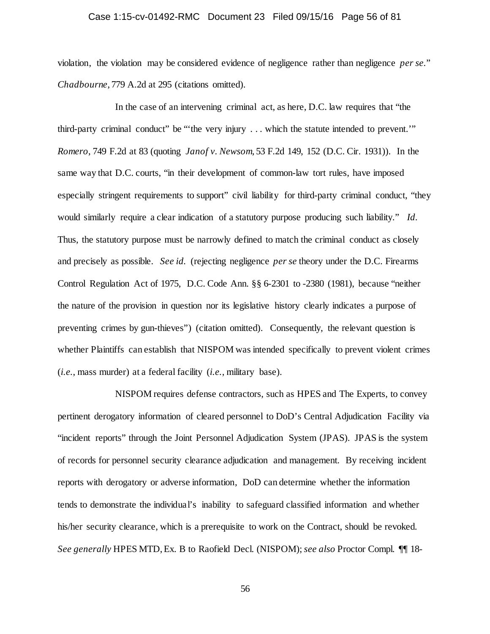# Case 1:15-cv-01492-RMC Document 23 Filed 09/15/16 Page 56 of 81

violation, the violation may be considered evidence of negligence rather than negligence *per se.*" *Chadbourne*, 779 A.2d at 295 (citations omitted).

In the case of an intervening criminal act, as here, D.C. law requires that "the third-party criminal conduct" be "'the very injury . . . which the statute intended to prevent.'" *Romero*, 749 F.2d at 83 (quoting *Janof v. Newsom*, 53 F.2d 149, 152 (D.C. Cir. 1931)). In the same way that D.C. courts, "in their development of common-law tort rules, have imposed especially stringent requirements to support" civil liability for third-party criminal conduct, "they would similarly require a clear indication of a statutory purpose producing such liability." *Id.* Thus, the statutory purpose must be narrowly defined to match the criminal conduct as closely and precisely as possible. *See id.* (rejecting negligence *per se* theory under the D.C. Firearms Control Regulation Act of 1975, D.C. Code Ann. §§ 6-2301 to -2380 (1981), because "neither the nature of the provision in question nor its legislative history clearly indicates a purpose of preventing crimes by gun-thieves") (citation omitted). Consequently, the relevant question is whether Plaintiffs can establish that NISPOM was intended specifically to prevent violent crimes (*i.e.*, mass murder) at a federal facility (*i.e.*, military base).

NISPOM requires defense contractors, such as HPES and The Experts, to convey pertinent derogatory information of cleared personnel to DoD's Central Adjudication Facility via "incident reports" through the Joint Personnel Adjudication System (JPAS). JPAS is the system of records for personnel security clearance adjudication and management. By receiving incident reports with derogatory or adverse information, DoD can determine whether the information tends to demonstrate the individual's inability to safeguard classified information and whether his/her security clearance, which is a prerequisite to work on the Contract, should be revoked. *See generally* HPES MTD, Ex. B to Raofield Decl. (NISPOM); *see also* Proctor Compl. ¶¶ 18-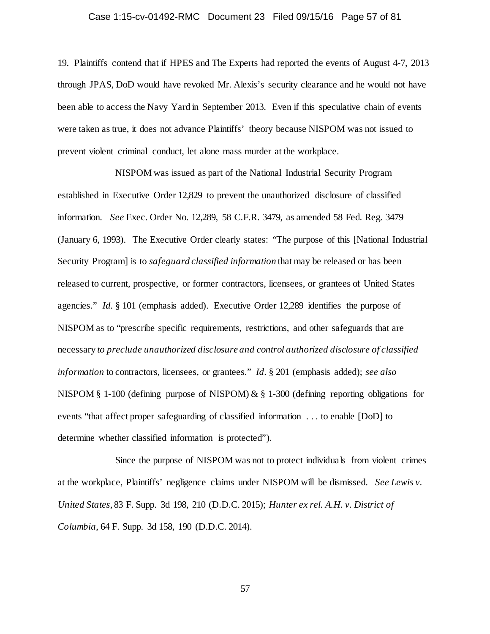# Case 1:15-cv-01492-RMC Document 23 Filed 09/15/16 Page 57 of 81

19. Plaintiffs contend that if HPES and The Experts had reported the events of August 4-7, 2013 through JPAS, DoD would have revoked Mr. Alexis's security clearance and he would not have been able to access the Navy Yard in September 2013. Even if this speculative chain of events were taken as true, it does not advance Plaintiffs' theory because NISPOM was not issued to prevent violent criminal conduct, let alone mass murder at the workplace.

NISPOM was issued as part of the National Industrial Security Program established in Executive Order 12,829 to prevent the unauthorized disclosure of classified information. *See* Exec. Order No. 12,289, 58 C.F.R. 3479, as amended 58 Fed. Reg. 3479 (January 6, 1993). The Executive Order clearly states: "The purpose of this [National Industrial Security Program] is to *safeguard classified information* that may be released or has been released to current, prospective, or former contractors, licensees, or grantees of United States agencies." *Id.* § 101 (emphasis added). Executive Order 12,289 identifies the purpose of NISPOM as to "prescribe specific requirements, restrictions, and other safeguards that are necessary *to preclude unauthorized disclosure and control authorized disclosure of classified information* to contractors, licensees, or grantees." *Id.* § 201 (emphasis added); *see also* NISPOM § 1-100 (defining purpose of NISPOM) & § 1-300 (defining reporting obligations for events "that affect proper safeguarding of classified information . . . to enable [DoD] to determine whether classified information is protected").

Since the purpose of NISPOM was not to protect individuals from violent crimes at the workplace, Plaintiffs' negligence claims under NISPOM will be dismissed. *See Lewis v. United States*, 83 F. Supp. 3d 198, 210 (D.D.C. 2015); *Hunter ex rel. A.H. v. District of Columbia*, 64 F. Supp. 3d 158, 190 (D.D.C. 2014).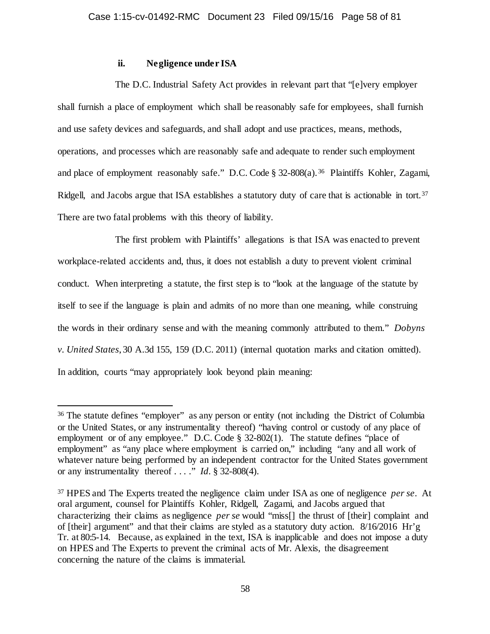# **ii. Negligence under ISA**

The D.C. Industrial Safety Act provides in relevant part that "[e]very employer shall furnish a place of employment which shall be reasonably safe for employees, shall furnish and use safety devices and safeguards, and shall adopt and use practices, means, methods, operations, and processes which are reasonably safe and adequate to render such employment and place of employment reasonably safe." D.C. Code § 32-808(a).<sup>36</sup> Plaintiffs Kohler, Zagami, Ridgell, and Jacobs argue that ISA establishes a statutory duty of care that is actionable in tort.<sup>[37](#page-57-1)</sup> There are two fatal problems with this theory of liability.

The first problem with Plaintiffs' allegations is that ISA was enacted to prevent workplace-related accidents and, thus, it does not establish a duty to prevent violent criminal conduct. When interpreting a statute, the first step is to "look at the language of the statute by itself to see if the language is plain and admits of no more than one meaning, while construing the words in their ordinary sense and with the meaning commonly attributed to them." *Dobyns v. United States*, 30 A.3d 155, 159 (D.C. 2011) (internal quotation marks and citation omitted). In addition, courts "may appropriately look beyond plain meaning:

<span id="page-57-0"></span> <sup>36</sup> The statute defines "employer" as any person or entity (not including the District of Columbia or the United States, or any instrumentality thereof) "having control or custody of any place of employment or of any employee." D.C. Code § 32-802(1). The statute defines "place of employment" as "any place where employment is carried on," including "any and all work of whatever nature being performed by an independent contractor for the United States government or any instrumentality thereof . . . ." *Id.* § 32-808(4).

<span id="page-57-1"></span><sup>37</sup> HPES and The Experts treated the negligence claim under ISA as one of negligence *per se*. At oral argument, counsel for Plaintiffs Kohler, Ridgell, Zagami, and Jacobs argued that characterizing their claims as negligence *per se* would "miss[] the thrust of [their] complaint and of [their] argument" and that their claims are styled as a statutory duty action. 8/16/2016 Hr'g Tr. at 80:5-14. Because, as explained in the text, ISA is inapplicable and does not impose a duty on HPES and The Experts to prevent the criminal acts of Mr. Alexis, the disagreement concerning the nature of the claims is immaterial.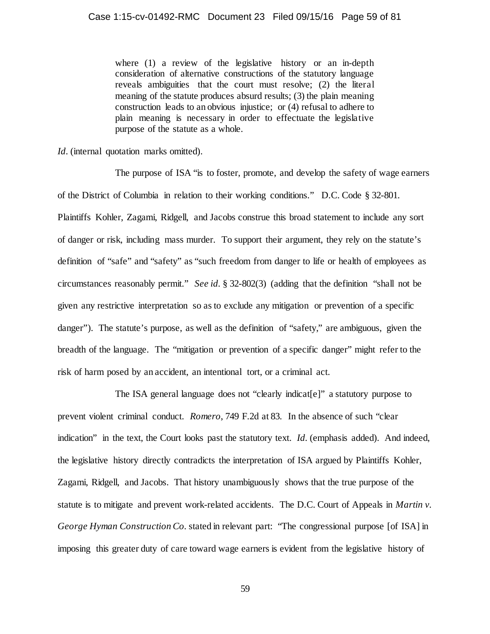where (1) a review of the legislative history or an in-depth consideration of alternative constructions of the statutory language reveals ambiguities that the court must resolve; (2) the literal meaning of the statute produces absurd results; (3) the plain meaning construction leads to an obvious injustice; or (4) refusal to adhere to plain meaning is necessary in order to effectuate the legislative purpose of the statute as a whole.

*Id.* (internal quotation marks omitted).

The purpose of ISA "is to foster, promote, and develop the safety of wage earners of the District of Columbia in relation to their working conditions." D.C. Code § 32-801. Plaintiffs Kohler, Zagami, Ridgell, and Jacobs construe this broad statement to include any sort of danger or risk, including mass murder. To support their argument, they rely on the statute's definition of "safe" and "safety" as "such freedom from danger to life or health of employees as circumstances reasonably permit." *See id.* § 32-802(3) (adding that the definition "shall not be given any restrictive interpretation so as to exclude any mitigation or prevention of a specific danger"). The statute's purpose, as well as the definition of "safety," are ambiguous, given the breadth of the language. The "mitigation or prevention of a specific danger" might refer to the risk of harm posed by an accident, an intentional tort, or a criminal act.

The ISA general language does not "clearly indicat[e]" a statutory purpose to prevent violent criminal conduct. *Romero*, 749 F.2d at 83. In the absence of such "clear indication" in the text, the Court looks past the statutory text. *Id.* (emphasis added). And indeed, the legislative history directly contradicts the interpretation of ISA argued by Plaintiffs Kohler, Zagami, Ridgell, and Jacobs. That history unambiguously shows that the true purpose of the statute is to mitigate and prevent work-related accidents. The D.C. Court of Appeals in *Martin v. George Hyman Construction Co.* stated in relevant part: "The congressional purpose [of ISA] in imposing this greater duty of care toward wage earners is evident from the legislative history of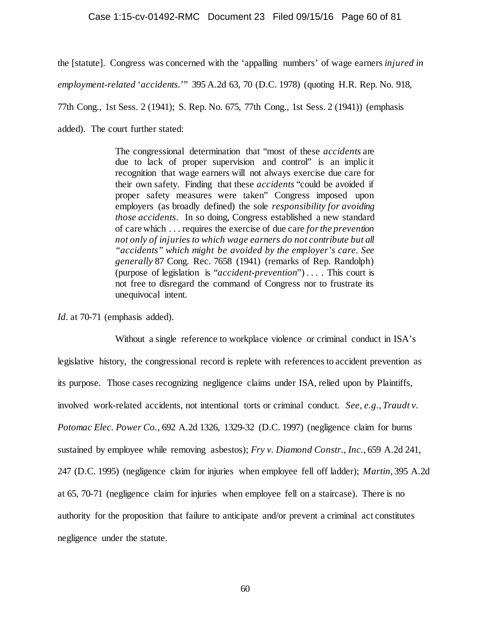#### Case 1:15-cv-01492-RMC Document 23 Filed 09/15/16 Page 60 of 81

the [statute]. Congress was concerned with the 'appalling numbers' of wage earners *injured in employment-related* '*accidents.*'" 395 A.2d 63, 70 (D.C. 1978) (quoting H.R. Rep. No. 918, 77th Cong., 1st Sess. 2 (1941); S. Rep. No. 675, 77th Cong., 1st Sess. 2 (1941)) (emphasis added). The court further stated:

> The congressional determination that "most of these *accidents* are due to lack of proper supervision and control" is an implic it recognition that wage earners will not always exercise due care for their own safety. Finding that these *accidents* "could be avoided if proper safety measures were taken" Congress imposed upon employers (as broadly defined) the sole *responsibility for avoiding those accidents*. In so doing, Congress established a new standard of care which . . . requires the exercise of due care *for the prevention not only of injuries to which wage earners do not contribute but all "accidents" which might be avoided by the employer's care. See generally* 87 Cong. Rec. 7658 (1941) (remarks of Rep. Randolph) (purpose of legislation is "*accident-prevention*") . . . . This court is not free to disregard the command of Congress nor to frustrate its unequivocal intent.

*Id.* at 70-71 (emphasis added).

Without a single reference to workplace violence or criminal conduct in ISA's legislative history, the congressional record is replete with references to accident prevention as its purpose. Those cases recognizing negligence claims under ISA, relied upon by Plaintiffs, involved work-related accidents, not intentional torts or criminal conduct. *See, e.g.*, *Traudt v. Potomac Elec. Power Co.*, 692 A.2d 1326, 1329-32 (D.C. 1997) (negligence claim for burns sustained by employee while removing asbestos); *Fry v. Diamond Constr., Inc.*, 659 A.2d 241, 247 (D.C. 1995) (negligence claim for injuries when employee fell off ladder); *Martin*, 395 A.2d at 65, 70-71 (negligence claim for injuries when employee fell on a staircase). There is no authority for the proposition that failure to anticipate and/or prevent a criminal act constitutes negligence under the statute.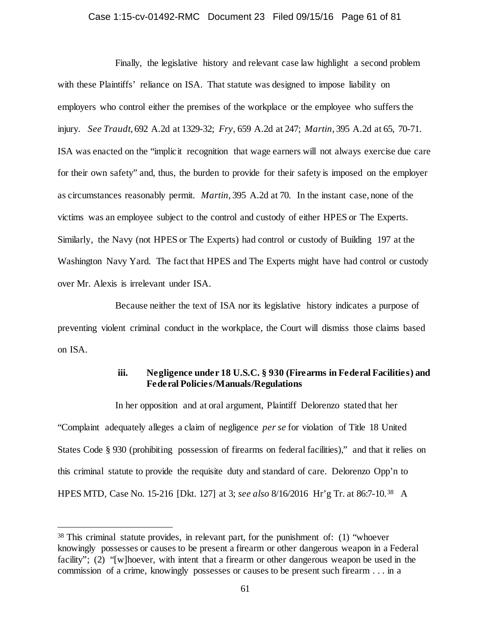#### Case 1:15-cv-01492-RMC Document 23 Filed 09/15/16 Page 61 of 81

Finally, the legislative history and relevant case law highlight a second problem with these Plaintiffs' reliance on ISA. That statute was designed to impose liability on employers who control either the premises of the workplace or the employee who suffers the injury. *See Traudt*, 692 A.2d at 1329-32; *Fry*, 659 A.2d at 247; *Martin*, 395 A.2d at 65, 70-71. ISA was enacted on the "implicit recognition that wage earners will not always exercise due care for their own safety" and, thus, the burden to provide for their safety is imposed on the employer as circumstances reasonably permit. *Martin*, 395 A.2d at 70. In the instant case, none of the victims was an employee subject to the control and custody of either HPES or The Experts. Similarly, the Navy (not HPES or The Experts) had control or custody of Building 197 at the Washington Navy Yard. The fact that HPES and The Experts might have had control or custody over Mr. Alexis is irrelevant under ISA.

Because neither the text of ISA nor its legislative history indicates a purpose of preventing violent criminal conduct in the workplace, the Court will dismiss those claims based on ISA.

# **iii. Negligence under 18 U.S.C. § 930 (Firearms in Federal Facilities) and Federal Policies/Manuals/Regulations**

In her opposition and at oral argument, Plaintiff Delorenzo stated that her "Complaint adequately alleges a claim of negligence *per se* for violation of Title 18 United States Code § 930 (prohibiting possession of firearms on federal facilities)," and that it relies on this criminal statute to provide the requisite duty and standard of care. Delorenzo Opp'n to HPES MTD, Case No. 15-216 [Dkt. 127] at 3; *see also* 8/16/2016 Hr'g Tr. at 86:7-10.[38](#page-60-0) A

<span id="page-60-0"></span> <sup>38</sup> This criminal statute provides, in relevant part, for the punishment of: (1) "whoever knowingly possesses or causes to be present a firearm or other dangerous weapon in a Federal facility"; (2) "[w]hoever, with intent that a firearm or other dangerous weapon be used in the commission of a crime, knowingly possesses or causes to be present such firearm . . . in a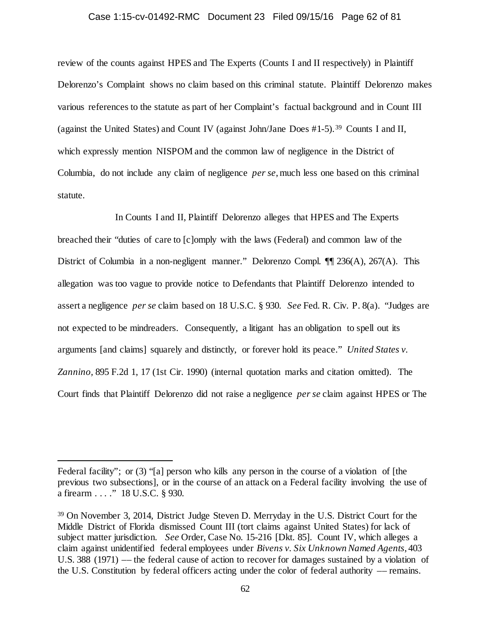#### Case 1:15-cv-01492-RMC Document 23 Filed 09/15/16 Page 62 of 81

review of the counts against HPES and The Experts (Counts I and II respectively) in Plaintiff Delorenzo's Complaint shows no claim based on this criminal statute. Plaintiff Delorenzo makes various references to the statute as part of her Complaint's factual background and in Count III (against the United States) and Count IV (against John/Jane Does #1-5).[39](#page-61-0) Counts I and II, which expressly mention NISPOM and the common law of negligence in the District of Columbia, do not include any claim of negligence *per se*, much less one based on this criminal statute.

In Counts I and II, Plaintiff Delorenzo alleges that HPES and The Experts breached their "duties of care to [c]omply with the laws (Federal) and common law of the District of Columbia in a non-negligent manner." Delorenzo Compl. ¶¶ 236(A), 267(A). This allegation was too vague to provide notice to Defendants that Plaintiff Delorenzo intended to assert a negligence *per se* claim based on 18 U.S.C. § 930. *See* Fed. R. Civ. P. 8(a). "Judges are not expected to be mindreaders. Consequently, a litigant has an obligation to spell out its arguments [and claims] squarely and distinctly, or forever hold its peace." *United States v. Zannino,* 895 F.2d 1, 17 (1st Cir. 1990) (internal quotation marks and citation omitted). The Court finds that Plaintiff Delorenzo did not raise a negligence *per se* claim against HPES or The

 $\overline{a}$ 

Federal facility"; or (3) "[a] person who kills any person in the course of a violation of [the previous two subsections], or in the course of an attack on a Federal facility involving the use of a firearm . . . ." 18 U.S.C. § 930.

<span id="page-61-0"></span><sup>39</sup> On November 3, 2014, District Judge Steven D. Merryday in the U.S. District Court for the Middle District of Florida dismissed Count III (tort claims against United States) for lack of subject matter jurisdiction. *See* Order, Case No. 15-216 [Dkt. 85]. Count IV, which alleges a claim against unidentified federal employees under *Bivens v. Six Unknown Named Agents*, 403 U.S. 388 (1971) –– the federal cause of action to recover for damages sustained by a violation of the U.S. Constitution by federal officers acting under the color of federal authority –– remains.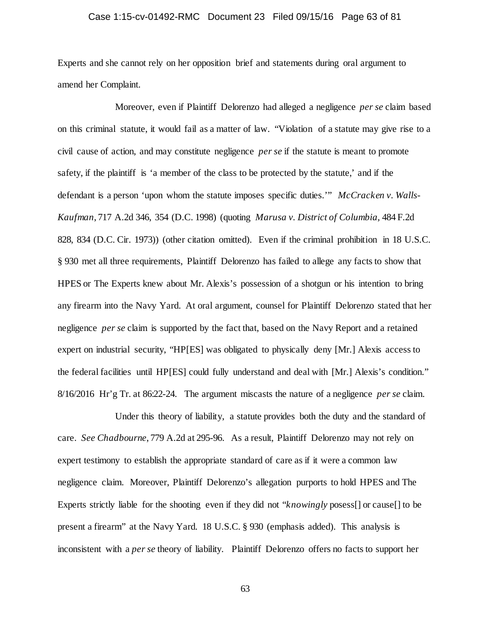# Case 1:15-cv-01492-RMC Document 23 Filed 09/15/16 Page 63 of 81

Experts and she cannot rely on her opposition brief and statements during oral argument to amend her Complaint.

Moreover, even if Plaintiff Delorenzo had alleged a negligence *per se* claim based on this criminal statute, it would fail as a matter of law. "Violation of a statute may give rise to a civil cause of action, and may constitute negligence *per se* if the statute is meant to promote safety, if the plaintiff is 'a member of the class to be protected by the statute,' and if the defendant is a person 'upon whom the statute imposes specific duties.'" *McCracken v. Walls-Kaufman*, 717 A.2d 346, 354 (D.C. 1998) (quoting *Marusa v. District of Columbia,* 484 F.2d 828, 834 (D.C. Cir. 1973)) (other citation omitted). Even if the criminal prohibition in 18 U.S.C. § 930 met all three requirements, Plaintiff Delorenzo has failed to allege any facts to show that HPES or The Experts knew about Mr. Alexis's possession of a shotgun or his intention to bring any firearm into the Navy Yard. At oral argument, counsel for Plaintiff Delorenzo stated that her negligence *per se* claim is supported by the fact that, based on the Navy Report and a retained expert on industrial security, "HP[ES] was obligated to physically deny [Mr.] Alexis access to the federal facilities until HP[ES] could fully understand and deal with [Mr.] Alexis's condition." 8/16/2016 Hr'g Tr. at 86:22-24. The argument miscasts the nature of a negligence *per se* claim.

Under this theory of liability, a statute provides both the duty and the standard of care. *See Chadbourne*, 779 A.2d at 295-96. As a result, Plaintiff Delorenzo may not rely on expert testimony to establish the appropriate standard of care as if it were a common law negligence claim. Moreover, Plaintiff Delorenzo's allegation purports to hold HPES and The Experts strictly liable for the shooting even if they did not "*knowingly* posess[] or cause[] to be present a firearm" at the Navy Yard. 18 U.S.C. § 930 (emphasis added). This analysis is inconsistent with a *per se* theory of liability. Plaintiff Delorenzo offers no facts to support her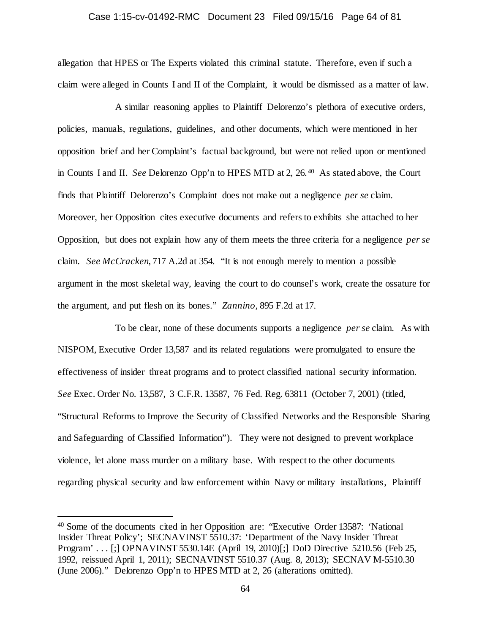#### Case 1:15-cv-01492-RMC Document 23 Filed 09/15/16 Page 64 of 81

allegation that HPES or The Experts violated this criminal statute. Therefore, even if such a claim were alleged in Counts I and II of the Complaint, it would be dismissed as a matter of law.

A similar reasoning applies to Plaintiff Delorenzo's plethora of executive orders, policies, manuals, regulations, guidelines, and other documents, which were mentioned in her opposition brief and her Complaint's factual background, but were not relied upon or mentioned in Counts I and II. *See* Delorenzo Opp'n to HPES MTD at 2, 26.[40](#page-63-0) As stated above, the Court finds that Plaintiff Delorenzo's Complaint does not make out a negligence *per se* claim. Moreover, her Opposition cites executive documents and refers to exhibits she attached to her Opposition, but does not explain how any of them meets the three criteria for a negligence *per se* claim. *See McCracken*, 717 A.2d at 354. "It is not enough merely to mention a possible argument in the most skeletal way, leaving the court to do counsel's work, create the ossature for the argument, and put flesh on its bones." *Zannino,* 895 F.2d at 17.

To be clear, none of these documents supports a negligence *per se* claim. As with NISPOM, Executive Order 13,587 and its related regulations were promulgated to ensure the effectiveness of insider threat programs and to protect classified national security information. *See* Exec. Order No. 13,587, 3 C.F.R. 13587, 76 Fed. Reg. 63811 (October 7, 2001) (titled, "Structural Reforms to Improve the Security of Classified Networks and the Responsible Sharing and Safeguarding of Classified Information"). They were not designed to prevent workplace violence, let alone mass murder on a military base. With respect to the other documents regarding physical security and law enforcement within Navy or military installations, Plaintiff

<span id="page-63-0"></span> <sup>40</sup> Some of the documents cited in her Opposition are: "Executive Order 13587: 'National Insider Threat Policy'; SECNAVINST 5510.37: 'Department of the Navy Insider Threat Program' . . . [;] OPNAVINST 5530.14E (April 19, 2010)[;] DoD Directive 5210.56 (Feb 25, 1992, reissued April 1, 2011); SECNAVINST 5510.37 (Aug. 8, 2013); SECNAV M-5510.30 (June 2006)." Delorenzo Opp'n to HPES MTD at 2, 26 (alterations omitted).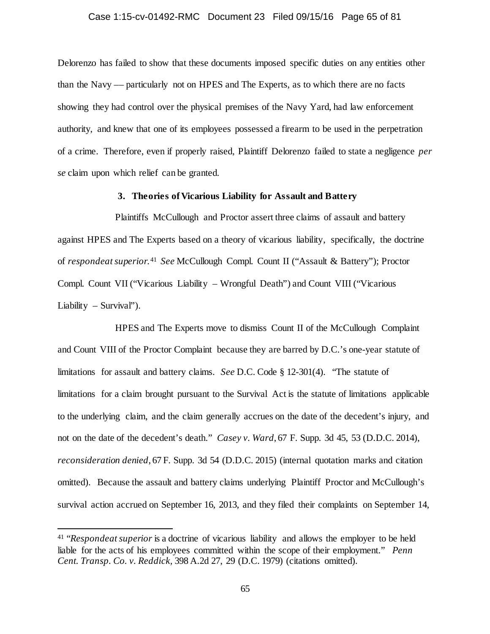# Case 1:15-cv-01492-RMC Document 23 Filed 09/15/16 Page 65 of 81

Delorenzo has failed to show that these documents imposed specific duties on any entities other than the Navy –– particularly not on HPES and The Experts, as to which there are no facts showing they had control over the physical premises of the Navy Yard, had law enforcement authority, and knew that one of its employees possessed a firearm to be used in the perpetration of a crime. Therefore, even if properly raised, Plaintiff Delorenzo failed to state a negligence *per se* claim upon which relief can be granted.

# **3. Theories of Vicarious Liability for Assault and Battery**

Plaintiffs McCullough and Proctor assert three claims of assault and battery against HPES and The Experts based on a theory of vicarious liability, specifically, the doctrine of *respondeat superior*. [41](#page-64-0) *See* McCullough Compl. Count II ("Assault & Battery"); Proctor Compl. Count VII ("Vicarious Liability – Wrongful Death") and Count VIII ("Vicarious Liability – Survival").

HPES and The Experts move to dismiss Count II of the McCullough Complaint and Count VIII of the Proctor Complaint because they are barred by D.C.'s one-year statute of limitations for assault and battery claims. *See* D.C. Code § 12-301(4). "The statute of limitations for a claim brought pursuant to the Survival Act is the statute of limitations applicable to the underlying claim, and the claim generally accrues on the date of the decedent's injury, and not on the date of the decedent's death." *Casey v. Ward*, 67 F. Supp. 3d 45, 53 (D.D.C. 2014), *reconsideration denied*, 67 F. Supp. 3d 54 (D.D.C. 2015) (internal quotation marks and citation omitted). Because the assault and battery claims underlying Plaintiff Proctor and McCullough's survival action accrued on September 16, 2013, and they filed their complaints on September 14,

<span id="page-64-0"></span> <sup>41</sup> "*Respondeat superior* is a doctrine of vicarious liability and allows the employer to be held liable for the acts of his employees committed within the scope of their employment." *Penn Cent. Transp. Co. v. Reddick,* 398 A.2d 27, 29 (D.C. 1979) (citations omitted).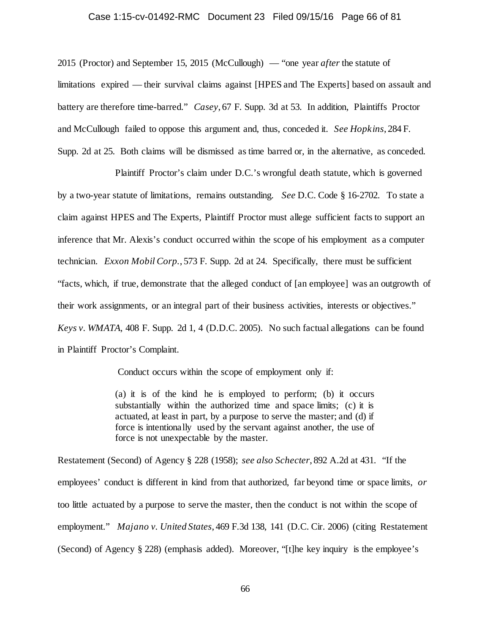#### Case 1:15-cv-01492-RMC Document 23 Filed 09/15/16 Page 66 of 81

2015 (Proctor) and September 15, 2015 (McCullough) — "one year *after* the statute of limitations expired — their survival claims against [HPES and The Experts] based on assault and battery are therefore time-barred." *Casey*, 67 F. Supp. 3d at 53. In addition, Plaintiffs Proctor and McCullough failed to oppose this argument and, thus, conceded it. *See Hopkins*, 284 F. Supp. 2d at 25. Both claims will be dismissed as time barred or, in the alternative, as conceded.

Plaintiff Proctor's claim under D.C.'s wrongful death statute, which is governed by a two-year statute of limitations, remains outstanding. *See* D.C. Code § 16-2702. To state a claim against HPES and The Experts, Plaintiff Proctor must allege sufficient facts to support an inference that Mr. Alexis's conduct occurred within the scope of his employment as a computer technician. *Exxon Mobil Corp.*, 573 F. Supp. 2d at 24. Specifically, there must be sufficient "facts, which, if true, demonstrate that the alleged conduct of [an employee] was an outgrowth of their work assignments, or an integral part of their business activities, interests or objectives." *Keys v. WMATA*, 408 F. Supp. 2d 1, 4 (D.D.C. 2005). No such factual allegations can be found in Plaintiff Proctor's Complaint.

Conduct occurs within the scope of employment only if:

(a) it is of the kind he is employed to perform; (b) it occurs substantially within the authorized time and space limits; (c) it is actuated, at least in part, by a purpose to serve the master; and (d) if force is intentionally used by the servant against another, the use of force is not unexpectable by the master.

Restatement (Second) of Agency § 228 (1958); *see also Schecter*, 892 A.2d at 431. "If the employees' conduct is different in kind from that authorized, far beyond time or space limits, *or* too little actuated by a purpose to serve the master, then the conduct is not within the scope of employment." *Majano v. United States*, 469 F.3d 138, 141 (D.C. Cir. 2006) (citing Restatement (Second) of Agency § 228) (emphasis added). Moreover, "[t]he key inquiry is the employee's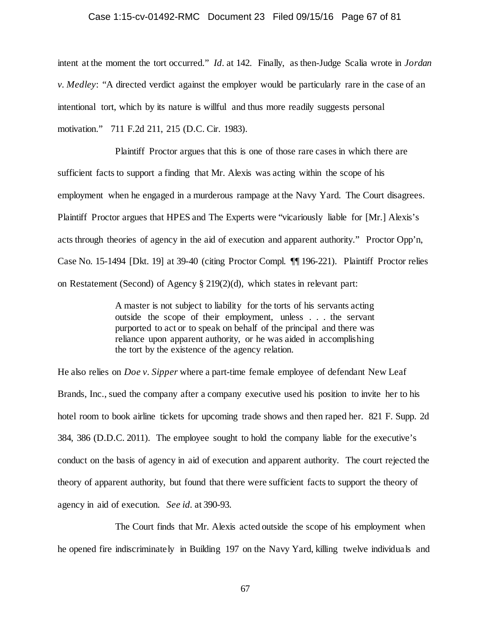#### Case 1:15-cv-01492-RMC Document 23 Filed 09/15/16 Page 67 of 81

intent at the moment the tort occurred." *Id.* at 142. Finally, as then-Judge Scalia wrote in *Jordan v. Medley*: "A directed verdict against the employer would be particularly rare in the case of an intentional tort, which by its nature is willful and thus more readily suggests personal motivation." 711 F.2d 211, 215 (D.C. Cir. 1983).

Plaintiff Proctor argues that this is one of those rare cases in which there are sufficient facts to support a finding that Mr. Alexis was acting within the scope of his employment when he engaged in a murderous rampage at the Navy Yard. The Court disagrees. Plaintiff Proctor argues that HPES and The Experts were "vicariously liable for [Mr.] Alexis's acts through theories of agency in the aid of execution and apparent authority." Proctor Opp'n, Case No. 15-1494 [Dkt. 19] at 39-40 (citing Proctor Compl. ¶¶ 196-221). Plaintiff Proctor relies on Restatement (Second) of Agency § 219(2)(d), which states in relevant part:

> A master is not subject to liability for the torts of his servants acting outside the scope of their employment, unless . . . the servant purported to act or to speak on behalf of the principal and there was reliance upon apparent authority, or he was aided in accomplishing the tort by the existence of the agency relation.

He also relies on *Doe v. Sipper* where a part-time female employee of defendant New Leaf Brands, Inc., sued the company after a company executive used his position to invite her to his hotel room to book airline tickets for upcoming trade shows and then raped her. 821 F. Supp. 2d 384, 386 (D.D.C. 2011). The employee sought to hold the company liable for the executive's conduct on the basis of agency in aid of execution and apparent authority. The court rejected the theory of apparent authority, but found that there were sufficient facts to support the theory of agency in aid of execution. *See id.* at 390-93.

The Court finds that Mr. Alexis acted outside the scope of his employment when he opened fire indiscriminately in Building 197 on the Navy Yard, killing twelve individuals and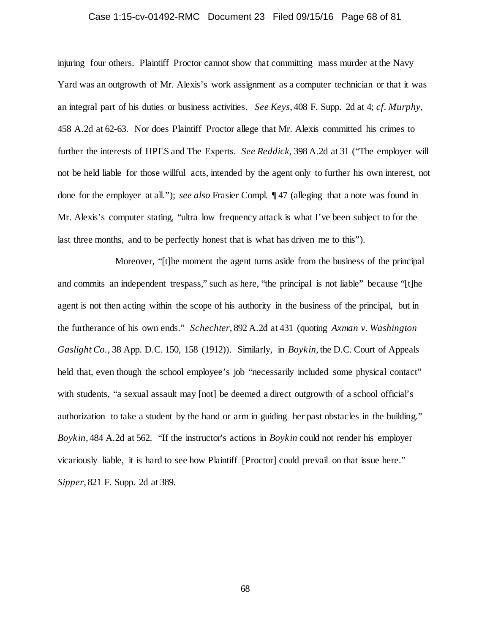# Case 1:15-cv-01492-RMC Document 23 Filed 09/15/16 Page 68 of 81

injuring four others. Plaintiff Proctor cannot show that committing mass murder at the Navy Yard was an outgrowth of Mr. Alexis's work assignment as a computer technician or that it was an integral part of his duties or business activities. *See Keys*, 408 F. Supp. 2d at 4; *cf. Murphy*, 458 A.2d at 62-63. Nor does Plaintiff Proctor allege that Mr. Alexis committed his crimes to further the interests of HPES and The Experts. *See Reddick,* 398 A.2d at 31 ("The employer will not be held liable for those willful acts, intended by the agent only to further his own interest, not done for the employer at all."); *see also* Frasier Compl. ¶ 47 (alleging that a note was found in Mr. Alexis's computer stating, "ultra low frequency attack is what I've been subject to for the last three months, and to be perfectly honest that is what has driven me to this").

Moreover, "[t]he moment the agent turns aside from the business of the principal and commits an independent trespass," such as here, "the principal is not liable" because "[t]he agent is not then acting within the scope of his authority in the business of the principal, but in the furtherance of his own ends." *Schechter*, 892 A.2d at 431 (quoting *Axman v. Washington Gaslight Co.,* 38 App. D.C. 150, 158 (1912)). Similarly, in *Boykin*, the D.C. Court of Appeals held that, even though the school employee's job "necessarily included some physical contact" with students, "a sexual assault may  $[not]$  be deemed a direct outgrowth of a school official's authorization to take a student by the hand or arm in guiding her past obstacles in the building." *Boykin*, 484 A.2d at 562. "If the instructor's actions in *Boykin* could not render his employer vicariously liable, it is hard to see how Plaintiff [Proctor] could prevail on that issue here." *Sipper*, 821 F. Supp. 2d at 389.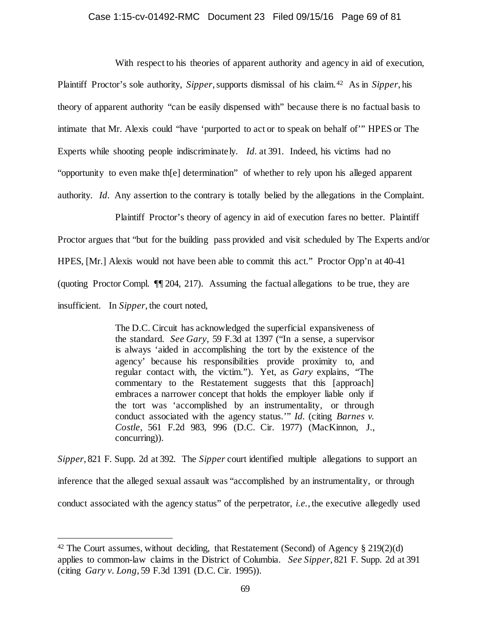# Case 1:15-cv-01492-RMC Document 23 Filed 09/15/16 Page 69 of 81

With respect to his theories of apparent authority and agency in aid of execution, Plaintiff Proctor's sole authority, *Sipper*, supports dismissal of his claim.[42](#page-68-0) As in *Sipper*, his theory of apparent authority "can be easily dispensed with" because there is no factual basis to intimate that Mr. Alexis could "have 'purported to act or to speak on behalf of'" HPES or The Experts while shooting people indiscriminately. *Id.* at 391. Indeed, his victims had no "opportunity to even make th[e] determination" of whether to rely upon his alleged apparent authority. *Id.* Any assertion to the contrary is totally belied by the allegations in the Complaint.

Plaintiff Proctor's theory of agency in aid of execution fares no better. Plaintiff Proctor argues that "but for the building pass provided and visit scheduled by The Experts and/or HPES, [Mr.] Alexis would not have been able to commit this act." Proctor Opp'n at 40-41 (quoting Proctor Compl. ¶¶ 204, 217). Assuming the factual allegations to be true, they are insufficient. In *Sipper*, the court noted,

> The D.C. Circuit has acknowledged the superficial expansiveness of the standard. *See Gary,* 59 F.3d at 1397 ("In a sense, a supervisor is always 'aided in accomplishing the tort by the existence of the agency' because his responsibilities provide proximity to, and regular contact with, the victim."). Yet, as *Gary* explains, "The commentary to the Restatement suggests that this [approach] embraces a narrower concept that holds the employer liable only if the tort was 'accomplished by an instrumentality, or through conduct associated with the agency status.'" *Id.* (citing *Barnes v. Costle,* 561 F.2d 983, 996 (D.C. Cir. 1977) (MacKinnon, J., concurring)).

*Sipper*, 821 F. Supp. 2d at 392. The *Sipper* court identified multiple allegations to support an inference that the alleged sexual assault was "accomplished by an instrumentality, or through conduct associated with the agency status" of the perpetrator, *i.e.*, the executive allegedly used

<span id="page-68-0"></span><sup>&</sup>lt;sup>42</sup> The Court assumes, without deciding, that Restatement (Second) of Agency  $\S 219(2)(d)$ applies to common-law claims in the District of Columbia. *See Sipper*, 821 F. Supp. 2d at 391 (citing *Gary v. Long*, 59 F.3d 1391 (D.C. Cir. 1995)).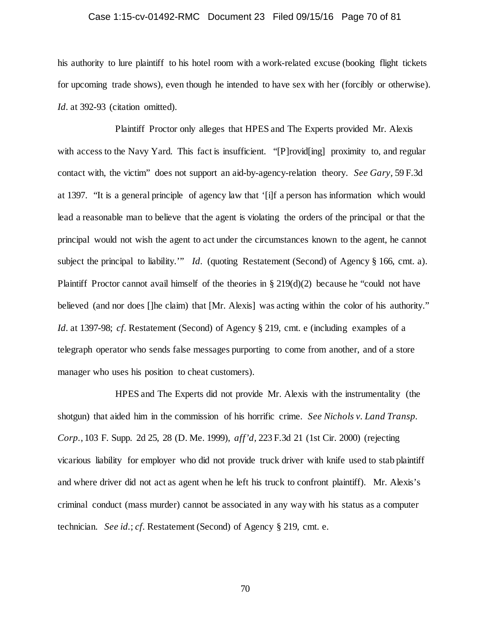# Case 1:15-cv-01492-RMC Document 23 Filed 09/15/16 Page 70 of 81

his authority to lure plaintiff to his hotel room with a work-related excuse (booking flight tickets for upcoming trade shows), even though he intended to have sex with her (forcibly or otherwise). Id. at 392-93 (citation omitted).

Plaintiff Proctor only alleges that HPES and The Experts provided Mr. Alexis with access to the Navy Yard. This fact is insufficient. "[P]rovid[ing] proximity to, and regular contact with, the victim" does not support an aid-by-agency-relation theory. *See Gary,* 59 F.3d at 1397. "It is a general principle of agency law that '[i]f a person has information which would lead a reasonable man to believe that the agent is violating the orders of the principal or that the principal would not wish the agent to act under the circumstances known to the agent, he cannot subject the principal to liability.'" *Id.* (quoting Restatement (Second) of Agency § 166, cmt. a). Plaintiff Proctor cannot avail himself of the theories in  $\S 219(d)(2)$  because he "could not have believed (and nor does []he claim) that [Mr. Alexis] was acting within the color of his authority." *Id.* at 1397-98; *cf.* Restatement (Second) of Agency § 219, cmt. e (including examples of a telegraph operator who sends false messages purporting to come from another, and of a store manager who uses his position to cheat customers).

HPES and The Experts did not provide Mr. Alexis with the instrumentality (the shotgun) that aided him in the commission of his horrific crime. *See Nichols v. Land Transp. Corp.*, 103 F. Supp. 2d 25, 28 (D. Me. 1999), *aff'd,* 223 F.3d 21 (1st Cir. 2000) (rejecting vicarious liability for employer who did not provide truck driver with knife used to stab plaintiff and where driver did not act as agent when he left his truck to confront plaintiff). Mr. Alexis's criminal conduct (mass murder) cannot be associated in any way with his status as a computer technician. *See id.*; *cf.* Restatement (Second) of Agency § 219, cmt. e.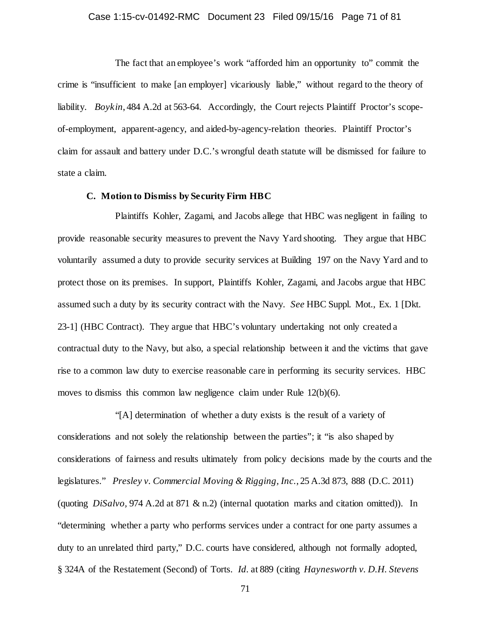# Case 1:15-cv-01492-RMC Document 23 Filed 09/15/16 Page 71 of 81

The fact that an employee's work "afforded him an opportunity to" commit the crime is "insufficient to make [an employer] vicariously liable," without regard to the theory of liability. *Boykin*, 484 A.2d at 563-64. Accordingly, the Court rejects Plaintiff Proctor's scopeof-employment, apparent-agency, and aided-by-agency-relation theories. Plaintiff Proctor's claim for assault and battery under D.C.'s wrongful death statute will be dismissed for failure to state a claim.

# **C. Motion to Dismiss by Security Firm HBC**

Plaintiffs Kohler, Zagami, and Jacobs allege that HBC was negligent in failing to provide reasonable security measures to prevent the Navy Yard shooting. They argue that HBC voluntarily assumed a duty to provide security services at Building 197 on the Navy Yard and to protect those on its premises. In support, Plaintiffs Kohler, Zagami, and Jacobs argue that HBC assumed such a duty by its security contract with the Navy. *See* HBC Suppl. Mot., Ex. 1 [Dkt. 23-1] (HBC Contract). They argue that HBC's voluntary undertaking not only created a contractual duty to the Navy, but also, a special relationship between it and the victims that gave rise to a common law duty to exercise reasonable care in performing its security services. HBC moves to dismiss this common law negligence claim under Rule 12(b)(6).

"[A] determination of whether a duty exists is the result of a variety of considerations and not solely the relationship between the parties"; it "is also shaped by considerations of fairness and results ultimately from policy decisions made by the courts and the legislatures." *Presley v. Commercial Moving & Rigging, Inc.*, 25 A.3d 873, 888 (D.C. 2011) (quoting *DiSalvo,* 974 A.2d at 871 & n.2) (internal quotation marks and citation omitted)). In "determining whether a party who performs services under a contract for one party assumes a duty to an unrelated third party," D.C. courts have considered, although not formally adopted, § 324A of the Restatement (Second) of Torts. *Id.* at 889 (citing *Haynesworth v. D.H. Stevens*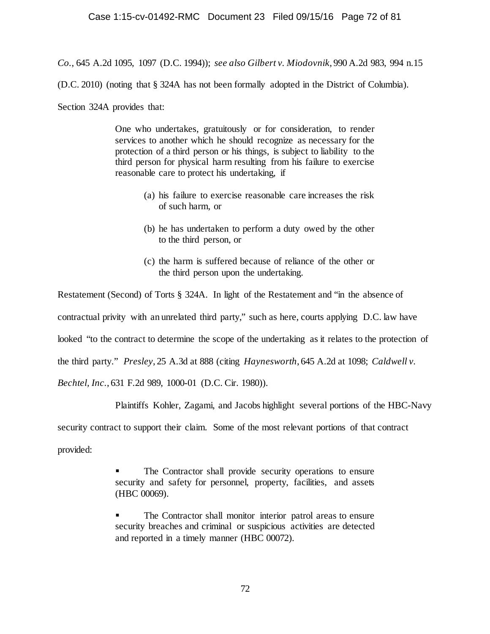*Co.*, 645 A.2d 1095, 1097 (D.C. 1994)); *see also Gilbert v. Miodovnik*, 990 A.2d 983, 994 n.15

(D.C. 2010) (noting that § 324A has not been formally adopted in the District of Columbia).

Section 324A provides that:

One who undertakes, gratuitously or for consideration, to render services to another which he should recognize as necessary for the protection of a third person or his things, is subject to liability to the third person for physical harm resulting from his failure to exercise reasonable care to protect his undertaking, if

- (a) his failure to exercise reasonable care increases the risk of such harm, or
- (b) he has undertaken to perform a duty owed by the other to the third person, or
- (c) the harm is suffered because of reliance of the other or the third person upon the undertaking.

Restatement (Second) of Torts § 324A. In light of the Restatement and "in the absence of contractual privity with an unrelated third party," such as here, courts applying D.C. law have looked "to the contract to determine the scope of the undertaking as it relates to the protection of the third party." *Presley*, 25 A.3d at 888 (citing *Haynesworth*, 645 A.2d at 1098; *Caldwell v. Bechtel, Inc.*, 631 F.2d 989, 1000-01 (D.C. Cir. 1980)).

Plaintiffs Kohler, Zagami, and Jacobs highlight several portions of the HBC-Navy

security contract to support their claim. Some of the most relevant portions of that contract

provided:

 The Contractor shall provide security operations to ensure security and safety for personnel, property, facilities, and assets (HBC 00069).

 The Contractor shall monitor interior patrol areas to ensure security breaches and criminal or suspicious activities are detected and reported in a timely manner (HBC 00072).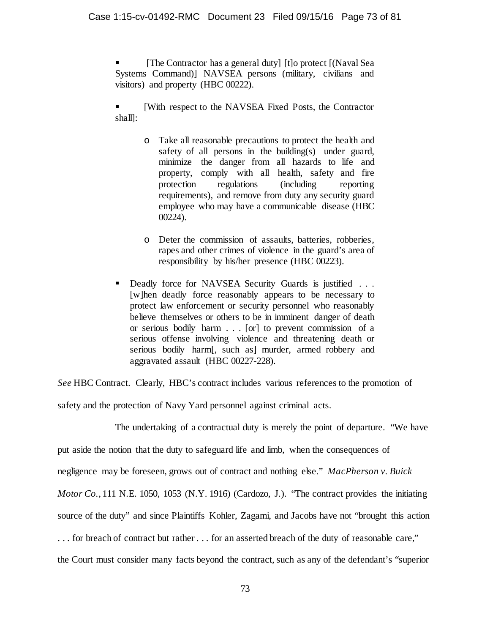[The Contractor has a general duty] [t]o protect [(Naval Sea Systems Command)] NAVSEA persons (military, civilians and visitors) and property (HBC 00222).

 [With respect to the NAVSEA Fixed Posts, the Contractor shall]:

- o Take all reasonable precautions to protect the health and safety of all persons in the building(s) under guard, minimize the danger from all hazards to life and property, comply with all health, safety and fire protection regulations (including reporting requirements), and remove from duty any security guard employee who may have a communicable disease (HBC 00224).
- o Deter the commission of assaults, batteries, robberies, rapes and other crimes of violence in the guard's area of responsibility by his/her presence (HBC 00223).
- Deadly force for NAVSEA Security Guards is justified . . . [w]hen deadly force reasonably appears to be necessary to protect law enforcement or security personnel who reasonably believe themselves or others to be in imminent danger of death or serious bodily harm . . . [or] to prevent commission of a serious offense involving violence and threatening death or serious bodily harm[, such as] murder, armed robbery and aggravated assault (HBC 00227-228).

*See* HBC Contract. Clearly, HBC's contract includes various references to the promotion of

safety and the protection of Navy Yard personnel against criminal acts.

The undertaking of a contractual duty is merely the point of departure. "We have put aside the notion that the duty to safeguard life and limb, when the consequences of negligence may be foreseen, grows out of contract and nothing else." *MacPherson v. Buick Motor Co.*, 111 N.E. 1050, 1053 (N.Y. 1916) (Cardozo, J.). "The contract provides the initiating source of the duty" and since Plaintiffs Kohler, Zagami, and Jacobs have not "brought this action . . . for breach of contract but rather . . . for an asserted breach of the duty of reasonable care," the Court must consider many facts beyond the contract, such as any of the defendant's "superior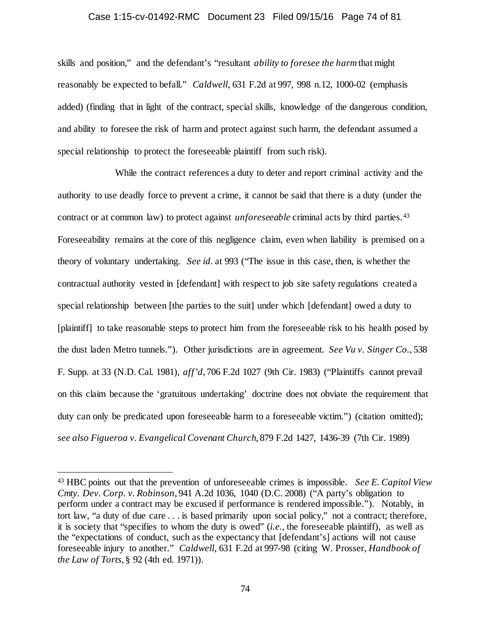#### Case 1:15-cv-01492-RMC Document 23 Filed 09/15/16 Page 74 of 81

skills and position," and the defendant's "resultant *ability to foresee the harm* that might reasonably be expected to befall." *Caldwell*, 631 F.2d at 997, 998 n.12, 1000-02 (emphasis added) (finding that in light of the contract, special skills, knowledge of the dangerous condition, and ability to foresee the risk of harm and protect against such harm, the defendant assumed a special relationship to protect the foreseeable plaintiff from such risk).

While the contract references a duty to deter and report criminal activity and the authority to use deadly force to prevent a crime, it cannot be said that there is a duty (under the contract or at common law) to protect against *unforeseeable* criminal acts by third parties.[43](#page-73-0) Foreseeability remains at the core of this negligence claim, even when liability is premised on a theory of voluntary undertaking. *See id.* at 993 ("The issue in this case, then, is whether the contractual authority vested in [defendant] with respect to job site safety regulations created a special relationship between [the parties to the suit] under which [defendant] owed a duty to [plaintiff] to take reasonable steps to protect him from the foreseeable risk to his health posed by the dust laden Metro tunnels."). Other jurisdictions are in agreement. *See Vu v. Singer Co.*, 538 F. Supp. at 33 (N.D. Cal. 1981), *aff'd*, 706 F.2d 1027 (9th Cir. 1983) ("Plaintiffs cannot prevail on this claim because the 'gratuitous undertaking' doctrine does not obviate the requirement that duty can only be predicated upon foreseeable harm to a foreseeable victim.") (citation omitted); *see also Figueroa v. Evangelical Covenant Church*, 879 F.2d 1427, 1436-39 (7th Cir. 1989)

<span id="page-73-0"></span> <sup>43</sup> HBC points out that the prevention of unforeseeable crimes is impossible. *See E. Capitol View Cmty. Dev. Corp. v. Robinson*, 941 A.2d 1036, 1040 (D.C. 2008) ("A party's obligation to perform under a contract may be excused if performance is rendered impossible."). Notably, in tort law, "a duty of due care . . . is based primarily upon social policy," not a contract; therefore, it is society that "specifies to whom the duty is owed" (*i.e.*, the foreseeable plaintiff), as well as the "expectations of conduct, such as the expectancy that [defendant's] actions will not cause foreseeable injury to another." *Caldwell*, 631 F.2d at 997-98 (citing W. Prosser, *Handbook of the Law of Torts*, § 92 (4th ed. 1971)).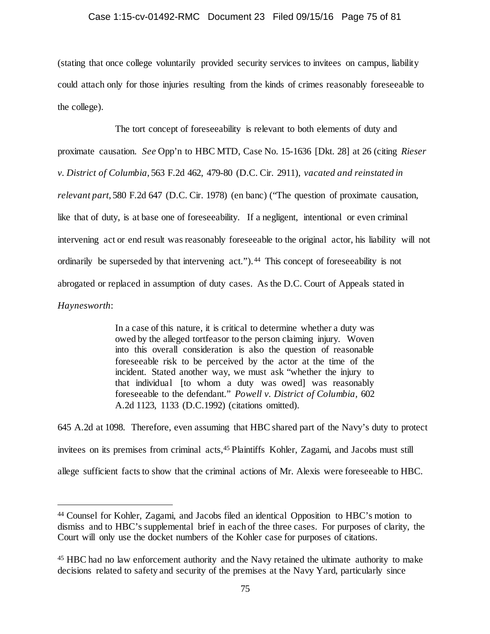### Case 1:15-cv-01492-RMC Document 23 Filed 09/15/16 Page 75 of 81

(stating that once college voluntarily provided security services to invitees on campus, liability could attach only for those injuries resulting from the kinds of crimes reasonably foreseeable to the college).

The tort concept of foreseeability is relevant to both elements of duty and proximate causation. *See* Opp'n to HBC MTD, Case No. 15-1636 [Dkt. 28] at 26 (citing *Rieser v. District of Columbia*, 563 F.2d 462, 479-80 (D.C. Cir. 2911), *vacated and reinstated in relevant part*, 580 F.2d 647 (D.C. Cir. 1978) (en banc) ("The question of proximate causation, like that of duty, is at base one of foreseeability. If a negligent, intentional or even criminal intervening act or end result was reasonably foreseeable to the original actor, his liability will not ordinarily be superseded by that intervening act."). [44](#page-74-0) This concept of foreseeability is not abrogated or replaced in assumption of duty cases. As the D.C. Court of Appeals stated in *Haynesworth*:

> In a case of this nature, it is critical to determine whether a duty was owed by the alleged tortfeasor to the person claiming injury. Woven into this overall consideration is also the question of reasonable foreseeable risk to be perceived by the actor at the time of the incident. Stated another way, we must ask "whether the injury to that individual [to whom a duty was owed] was reasonably foreseeable to the defendant." *Powell v. District of Columbia,* 602 A.2d 1123, 1133 (D.C.1992) (citations omitted).

645 A.2d at 1098. Therefore, even assuming that HBC shared part of the Navy's duty to protect invitees on its premises from criminal acts[,45](#page-74-1) Plaintiffs Kohler, Zagami, and Jacobs must still allege sufficient facts to show that the criminal actions of Mr. Alexis were foreseeable to HBC.

<span id="page-74-0"></span> <sup>44</sup> Counsel for Kohler, Zagami, and Jacobs filed an identical Opposition to HBC's motion to dismiss and to HBC's supplemental brief in each of the three cases. For purposes of clarity, the Court will only use the docket numbers of the Kohler case for purposes of citations.

<span id="page-74-1"></span><sup>45</sup> HBC had no law enforcement authority and the Navy retained the ultimate authority to make decisions related to safety and security of the premises at the Navy Yard, particularly since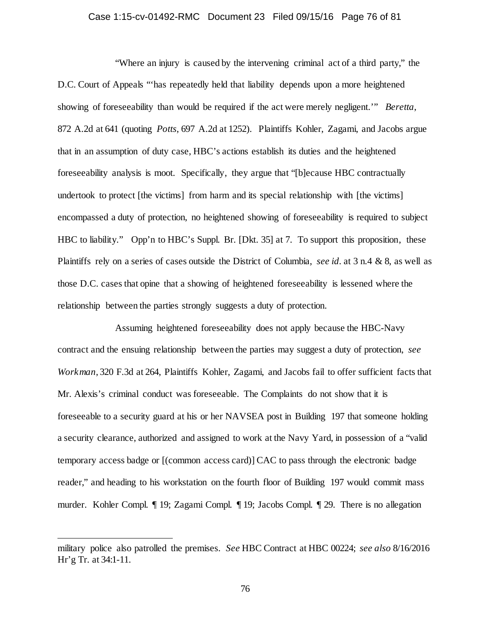### Case 1:15-cv-01492-RMC Document 23 Filed 09/15/16 Page 76 of 81

"Where an injury is caused by the intervening criminal act of a third party," the D.C. Court of Appeals "'has repeatedly held that liability depends upon a more heightened showing of foreseeability than would be required if the act were merely negligent.'" *Beretta*, 872 A.2d at 641 (quoting *Potts*, 697 A.2d at 1252). Plaintiffs Kohler, Zagami, and Jacobs argue that in an assumption of duty case, HBC's actions establish its duties and the heightened foreseeability analysis is moot. Specifically, they argue that "[b]ecause HBC contractually undertook to protect [the victims] from harm and its special relationship with [the victims] encompassed a duty of protection, no heightened showing of foreseeability is required to subject HBC to liability." Opp'n to HBC's Suppl. Br. [Dkt. 35] at 7. To support this proposition, these Plaintiffs rely on a series of cases outside the District of Columbia, *see id.* at 3 n.4 & 8, as well as those D.C. cases that opine that a showing of heightened foreseeability is lessened where the relationship between the parties strongly suggests a duty of protection.

Assuming heightened foreseeability does not apply because the HBC-Navy contract and the ensuing relationship between the parties may suggest a duty of protection, *see Workman*, 320 F.3d at 264, Plaintiffs Kohler, Zagami, and Jacobs fail to offer sufficient facts that Mr. Alexis's criminal conduct was foreseeable. The Complaints do not show that it is foreseeable to a security guard at his or her NAVSEA post in Building 197 that someone holding a security clearance, authorized and assigned to work at the Navy Yard, in possession of a "valid temporary access badge or [(common access card)] CAC to pass through the electronic badge reader," and heading to his workstation on the fourth floor of Building 197 would commit mass murder. Kohler Compl. ¶ 19; Zagami Compl. ¶ 19; Jacobs Compl. ¶ 29. There is no allegation

l

military police also patrolled the premises. *See* HBC Contract at HBC 00224; *see also* 8/16/2016 Hr'g Tr. at 34:1-11.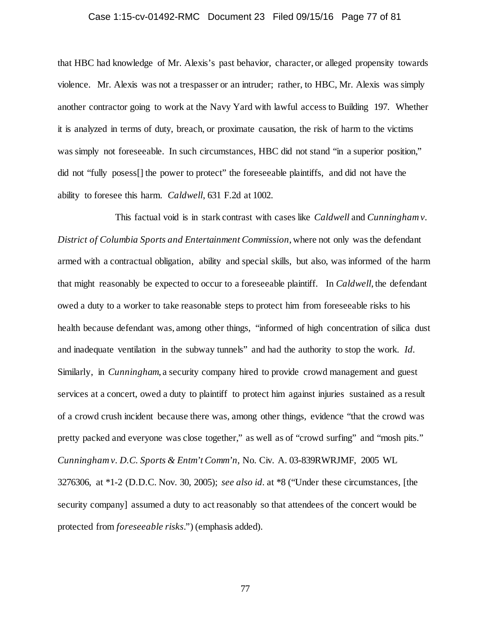### Case 1:15-cv-01492-RMC Document 23 Filed 09/15/16 Page 77 of 81

that HBC had knowledge of Mr. Alexis's past behavior, character, or alleged propensity towards violence. Mr. Alexis was not a trespasser or an intruder; rather, to HBC, Mr. Alexis was simply another contractor going to work at the Navy Yard with lawful access to Building 197. Whether it is analyzed in terms of duty, breach, or proximate causation, the risk of harm to the victims was simply not foreseeable. In such circumstances, HBC did not stand "in a superior position," did not "fully posess[] the power to protect" the foreseeable plaintiffs, and did not have the ability to foresee this harm. *Caldwell*, 631 F.2d at 1002.

This factual void is in stark contrast with cases like *Caldwell* and *Cunningham v. District of Columbia Sports and Entertainment Commission*, where not only was the defendant armed with a contractual obligation, ability and special skills, but also, was informed of the harm that might reasonably be expected to occur to a foreseeable plaintiff. In *Caldwell*, the defendant owed a duty to a worker to take reasonable steps to protect him from foreseeable risks to his health because defendant was, among other things, "informed of high concentration of silica dust and inadequate ventilation in the subway tunnels" and had the authority to stop the work. *Id.* Similarly, in *Cunningham*, a security company hired to provide crowd management and guest services at a concert, owed a duty to plaintiff to protect him against injuries sustained as a result of a crowd crush incident because there was, among other things, evidence "that the crowd was pretty packed and everyone was close together," as well as of "crowd surfing" and "mosh pits." *Cunningham v. D.C. Sports & Entm't Comm'n*, No. Civ. A. 03-839RWRJMF, 2005 WL 3276306, at \*1-2 (D.D.C. Nov. 30, 2005); *see also id.* at \*8 ("Under these circumstances, [the security company] assumed a duty to act reasonably so that attendees of the concert would be protected from *foreseeable risks*.") (emphasis added).

77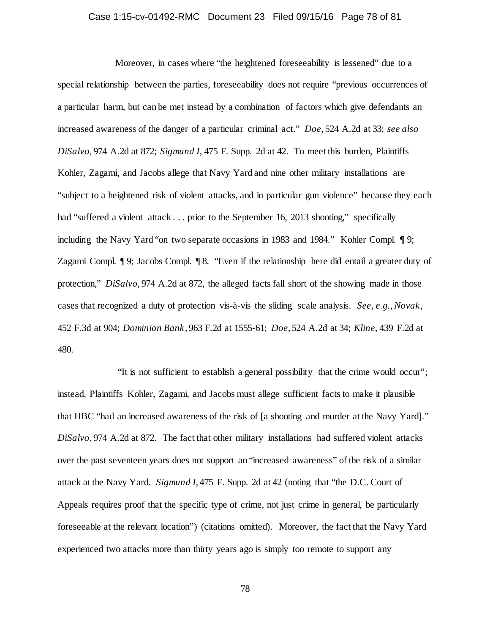### Case 1:15-cv-01492-RMC Document 23 Filed 09/15/16 Page 78 of 81

Moreover, in cases where "the heightened foreseeability is lessened" due to a special relationship between the parties, foreseeability does not require "previous occurrences of a particular harm, but can be met instead by a combination of factors which give defendants an increased awareness of the danger of a particular criminal act." *Doe*, 524 A.2d at 33; *see also DiSalvo*, 974 A.2d at 872; *Sigmund I*, 475 F. Supp. 2d at 42. To meet this burden, Plaintiffs Kohler, Zagami, and Jacobs allege that Navy Yard and nine other military installations are "subject to a heightened risk of violent attacks, and in particular gun violence" because they each had "suffered a violent attack . . . prior to the September 16, 2013 shooting," specifically including the Navy Yard "on two separate occasions in 1983 and 1984." Kohler Compl. ¶ 9; Zagami Compl. ¶ 9; Jacobs Compl. ¶ 8. "Even if the relationship here did entail a greater duty of protection," *DiSalvo*, 974 A.2d at 872, the alleged facts fall short of the showing made in those cases that recognized a duty of protection vis-à-vis the sliding scale analysis. *See, e.g.*, *Novak*, 452 F.3d at 904; *Dominion Bank*, 963 F.2d at 1555-61; *Doe*, 524 A.2d at 34; *Kline*, 439 F.2d at 480.

"It is not sufficient to establish a general possibility that the crime would occur"; instead, Plaintiffs Kohler, Zagami, and Jacobs must allege sufficient facts to make it plausible that HBC "had an increased awareness of the risk of [a shooting and murder at the Navy Yard]." *DiSalvo*, 974 A.2d at 872. The fact that other military installations had suffered violent attacks over the past seventeen years does not support an "increased awareness" of the risk of a similar attack at the Navy Yard. *Sigmund I*, 475 F. Supp. 2d at 42 (noting that "the D.C. Court of Appeals requires proof that the specific type of crime, not just crime in general, be particularly foreseeable at the relevant location") (citations omitted). Moreover, the fact that the Navy Yard experienced two attacks more than thirty years ago is simply too remote to support any

78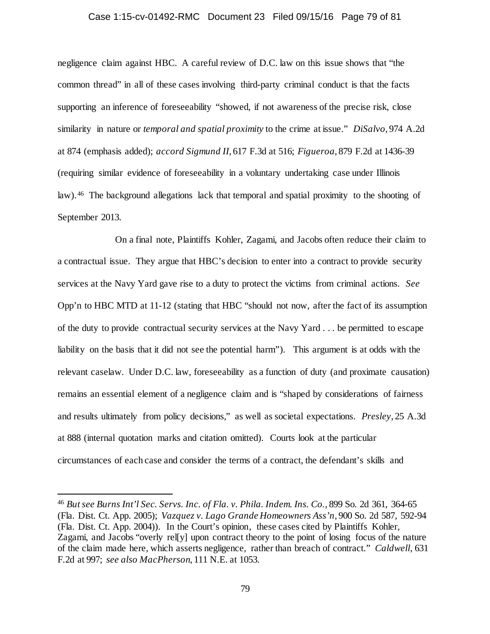#### Case 1:15-cv-01492-RMC Document 23 Filed 09/15/16 Page 79 of 81

negligence claim against HBC. A careful review of D.C. law on this issue shows that "the common thread" in all of these cases involving third-party criminal conduct is that the facts supporting an inference of foreseeability "showed, if not awareness of the precise risk, close similarity in nature or *temporal and spatial proximity* to the crime at issue." *DiSalvo*, 974 A.2d at 874 (emphasis added); *accord Sigmund II*, 617 F.3d at 516; *Figueroa*, 879 F.2d at 1436-39 (requiring similar evidence of foreseeability in a voluntary undertaking case under Illinois law). [46](#page-78-0) The background allegations lack that temporal and spatial proximity to the shooting of September 2013.

On a final note, Plaintiffs Kohler, Zagami, and Jacobs often reduce their claim to a contractual issue. They argue that HBC's decision to enter into a contract to provide security services at the Navy Yard gave rise to a duty to protect the victims from criminal actions. *See* Opp'n to HBC MTD at 11-12 (stating that HBC "should not now, after the fact of its assumption of the duty to provide contractual security services at the Navy Yard . . . be permitted to escape liability on the basis that it did not see the potential harm"). This argument is at odds with the relevant caselaw. Under D.C. law, foreseeability as a function of duty (and proximate causation) remains an essential element of a negligence claim and is "shaped by considerations of fairness and results ultimately from policy decisions," as well as societal expectations. *Presley*, 25 A.3d at 888 (internal quotation marks and citation omitted). Courts look at the particular circumstances of each case and consider the terms of a contract, the defendant's skills and

<span id="page-78-0"></span> <sup>46</sup> *But see Burns Int'l Sec. Servs. Inc. of Fla. v. Phila. Indem. Ins. Co.*, 899 So. 2d 361, 364-65 (Fla. Dist. Ct. App. 2005); *Vazquez v. Lago Grande Homeowners Ass'n*, 900 So. 2d 587, 592-94 (Fla. Dist. Ct. App. 2004)). In the Court's opinion, these cases cited by Plaintiffs Kohler, Zagami, and Jacobs "overly rel[y] upon contract theory to the point of losing focus of the nature of the claim made here, which asserts negligence, rather than breach of contract." *Caldwell*, 631 F.2d at 997; *see also MacPherson*, 111 N.E. at 1053.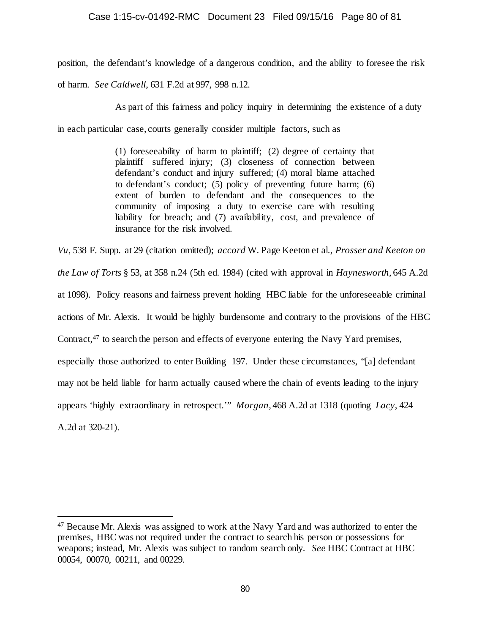## Case 1:15-cv-01492-RMC Document 23 Filed 09/15/16 Page 80 of 81

position, the defendant's knowledge of a dangerous condition, and the ability to foresee the risk

of harm. *See Caldwell*, 631 F.2d at 997, 998 n.12.

As part of this fairness and policy inquiry in determining the existence of a duty

in each particular case, courts generally consider multiple factors, such as

(1) foreseeability of harm to plaintiff; (2) degree of certainty that plaintiff suffered injury; (3) closeness of connection between defendant's conduct and injury suffered; (4) moral blame attached to defendant's conduct; (5) policy of preventing future harm; (6) extent of burden to defendant and the consequences to the community of imposing a duty to exercise care with resulting liability for breach; and (7) availability, cost, and prevalence of insurance for the risk involved.

*Vu*, 538 F. Supp. at 29 (citation omitted); *accord* W. Page Keeton et al., *Prosser and Keeton on the Law of Torts* § 53, at 358 n.24 (5th ed. 1984) (cited with approval in *Haynesworth*, 645 A.2d at 1098). Policy reasons and fairness prevent holding HBC liable for the unforeseeable criminal actions of Mr. Alexis. It would be highly burdensome and contrary to the provisions of the HBC Contract,<sup>[47](#page-79-0)</sup> to search the person and effects of everyone entering the Navy Yard premises, especially those authorized to enter Building 197. Under these circumstances, "[a] defendant may not be held liable for harm actually caused where the chain of events leading to the injury appears 'highly extraordinary in retrospect.'" *Morgan*, 468 A.2d at 1318 (quoting *Lacy*, 424 A.2d at 320-21).

<span id="page-79-0"></span> <sup>47</sup> Because Mr. Alexis was assigned to work at the Navy Yard and was authorized to enter the premises, HBC was not required under the contract to search his person or possessions for weapons; instead, Mr. Alexis was subject to random search only. *See* HBC Contract at HBC 00054, 00070, 00211, and 00229.